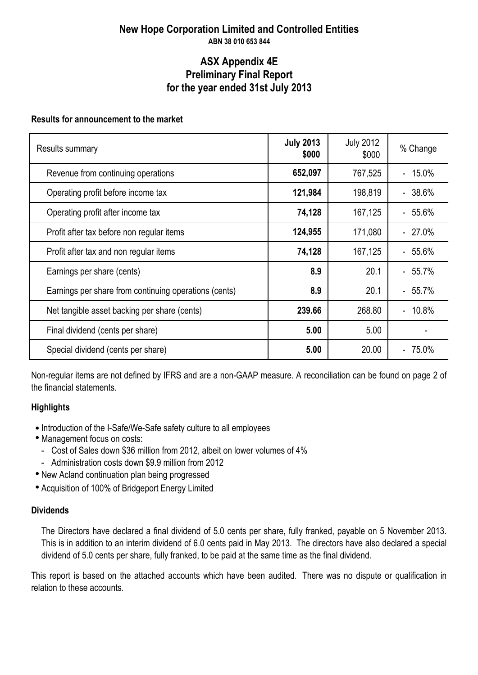## **New Hope Corporation Limited and Controlled Entities ABN 38 010 653 844**

## **ASX Appendix 4E for the year ended 31st July 2013 Preliminary Final Report**

## **Results for announcement to the market**

| Results summary                                       | <b>July 2013</b><br>\$000 | <b>July 2012</b><br>\$000 | % Change                |
|-------------------------------------------------------|---------------------------|---------------------------|-------------------------|
| Revenue from continuing operations                    | 652,097                   | 767,525                   | 15.0%<br>$\sim$         |
| Operating profit before income tax                    | 121,984                   | 198,819                   | $-38.6%$                |
| Operating profit after income tax                     | 74,128                    | 167,125                   | $-55.6%$                |
| Profit after tax before non regular items             | 124,955                   | 171,080                   | $-27.0\%$               |
| Profit after tax and non regular items                | 74,128                    | 167,125                   | $-55.6%$                |
| Earnings per share (cents)                            | 8.9                       | 20.1                      | $-55.7%$                |
| Earnings per share from continuing operations (cents) | 8.9                       | 20.1                      | 55.7%<br>$\blacksquare$ |
| Net tangible asset backing per share (cents)          | 239.66                    | 268.80                    | 10.8%<br>$\blacksquare$ |
| Final dividend (cents per share)                      | 5.00                      | 5.00                      |                         |
| Special dividend (cents per share)                    | 5.00                      | 20.00                     | $-75.0\%$               |

Non-regular items are not defined by IFRS and are a non-GAAP measure. A reconciliation can be found on page 2 of the financial statements.

## **Highlights**

- Introduction of the I-Safe/We-Safe safety culture to all employees
- Management focus on costs:
	- Cost of Sales down \$36 million from 2012, albeit on lower volumes of 4%
	- Administration costs down \$9.9 million from 2012
- New Acland continuation plan being progressed
- Acquisition of 100% of Bridgeport Energy Limited

## **Dividends**

The Directors have declared a final dividend of 5.0 cents per share, fully franked, payable on 5 November 2013. This is in addition to an interim dividend of 6.0 cents paid in May 2013. The directors have also declared a special dividend of 5.0 cents per share, fully franked, to be paid at the same time as the final dividend.

This report is based on the attached accounts which have been audited. There was no dispute or qualification in relation to these accounts.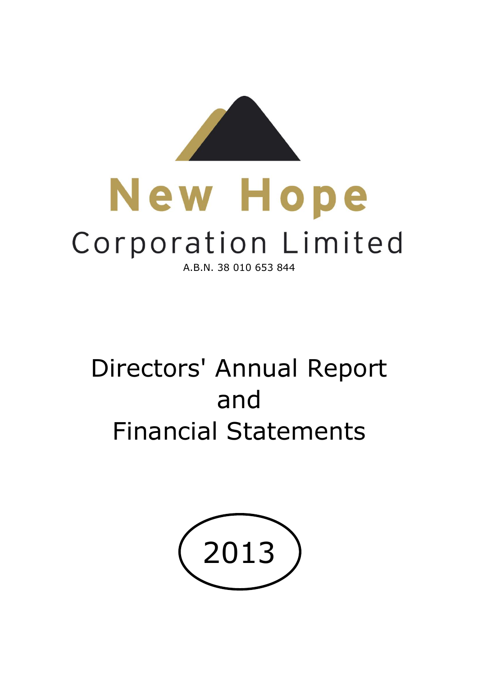

# New Hope Corporation Limited A.B.N. 38 010 653 844

# Directors' Annual Report and Financial Statements

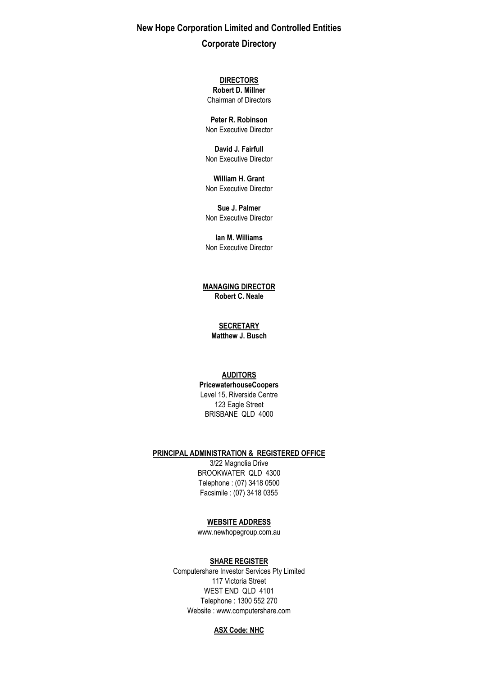**New Hope Corporation Limited and Controlled Entities Corporate Directory**

> **DIRECTORS Robert D. Millner**

Chairman of Directors

**Peter R. Robinson** Non Executive Director

**David J. Fairfull** Non Executive Director

Non Executive Director **William H. Grant**

**Sue J. Palmer** Non Executive Director

Non Executive Director **Ian M. Williams**

**MANAGING DIRECTOR Robert C. Neale**

> **SECRETARY Matthew J. Busch**

#### **AUDITORS**

123 Eagle Street BRISBANE QLD 4000 **PricewaterhouseCoopers** Level 15, Riverside Centre

#### **PRINCIPAL ADMINISTRATION & REGISTERED OFFICE**

Facsimile : (07) 3418 0355 Telephone : (07) 3418 0500 3/22 Magnolia Drive BROOKWATER QLD 4300

#### **WEBSITE ADDRESS**

www.newhopegroup.com.au

#### **SHARE REGISTER**

WEST END QLD 4101 Telephone : 1300 552 270 Website : www.computershare.com Computershare Investor Services Pty Limited 117 Victoria Street

#### **ASX Code: NHC**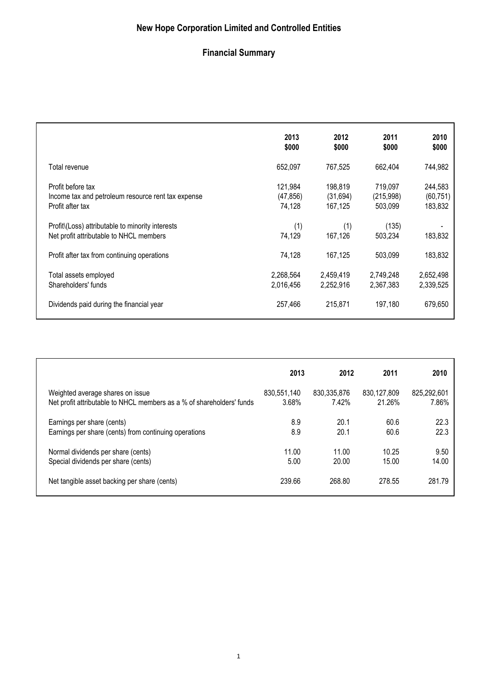# **Financial Summary**

|                                                    | 2013      | 2012      | 2011      | 2010      |
|----------------------------------------------------|-----------|-----------|-----------|-----------|
|                                                    | \$000     | \$000     | \$000     | \$000     |
| Total revenue                                      | 652,097   | 767,525   | 662,404   | 744,982   |
| Profit before tax                                  | 121,984   | 198,819   | 719.097   | 244,583   |
| Income tax and petroleum resource rent tax expense | (47, 856) | (31, 694) | (215,998) | (60, 751) |
| Profit after tax                                   | 74,128    | 167,125   | 503,099   | 183,832   |
| Profit\(Loss) attributable to minority interests   | (1)       | (1)       | (135)     | 183,832   |
| Net profit attributable to NHCL members            | 74,129    | 167,126   | 503,234   |           |
| Profit after tax from continuing operations        | 74,128    | 167,125   | 503,099   | 183,832   |
| Total assets employed                              | 2,268,564 | 2,459,419 | 2,749,248 | 2,652,498 |
| Shareholders' funds                                | 2,016,456 | 2,252,916 | 2,367,383 | 2,339,525 |
| Dividends paid during the financial year           | 257,466   | 215,871   | 197,180   | 679,650   |

|                                                                       | 2013        | 2012        | 2011        | 2010        |
|-----------------------------------------------------------------------|-------------|-------------|-------------|-------------|
| Weighted average shares on issue                                      | 830.551.140 | 830,335,876 | 830,127,809 | 825,292,601 |
| Net profit attributable to NHCL members as a % of shareholders' funds | 3.68%       | 7.42%       | 21.26%      | 7.86%       |
| Earnings per share (cents)                                            | 8.9         | 20.1        | 60.6        | 22.3        |
| Earnings per share (cents) from continuing operations                 | 8.9         | 20.1        | 60.6        | 22.3        |
| Normal dividends per share (cents)                                    | 11.00       | 11.00       | 10.25       | 9.50        |
| Special dividends per share (cents)                                   | 5.00        | 20.00       | 15.00       | 14.00       |
| Net tangible asset backing per share (cents)                          | 239.66      | 268.80      | 278.55      | 281.79      |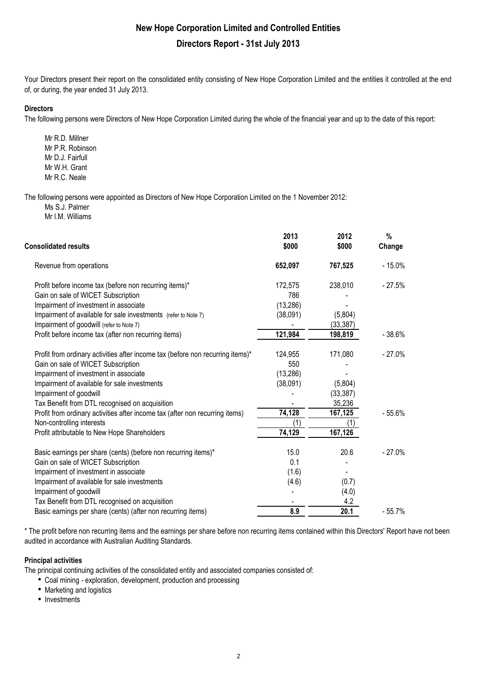Your Directors present their report on the consolidated entity consisting of New Hope Corporation Limited and the entities it controlled at the end of, or during, the year ended 31 July 2013.

#### **Directors**

The following persons were Directors of New Hope Corporation Limited during the whole of the financial year and up to the date of this report:

Mr R.D. Millner Mr P.R. Robinson Mr D.J. Fairfull Mr W.H. Grant Mr R.C. Neale

The following persons were appointed as Directors of New Hope Corporation Limited on the 1 November 2012:

Ms S.J. Palmer

Mr I.M. Williams

| <b>Consolidated results</b>                                                                                | 2013<br>\$000         | 2012<br>\$000        | %<br>Change |
|------------------------------------------------------------------------------------------------------------|-----------------------|----------------------|-------------|
| Revenue from operations                                                                                    | 652,097               | 767,525              | $-15.0%$    |
| Profit before income tax (before non recurring items)*<br>Gain on sale of WICET Subscription               | 172,575<br>786        | 238,010              | $-27.5%$    |
| Impairment of investment in associate                                                                      | (13, 286)             |                      |             |
| Impairment of available for sale investments (refer to Note 7)<br>Impairment of goodwill (refer to Note 7) | (38,091)              | (5,804)<br>(33, 387) |             |
| Profit before income tax (after non recurring items)                                                       | 121,984               | 198,819              | $-38.6%$    |
| Profit from ordinary activities after income tax (before non recurring items)*                             | 124,955               | 171,080              | $-27.0\%$   |
| Gain on sale of WICET Subscription                                                                         | 550                   |                      |             |
| Impairment of investment in associate<br>Impairment of available for sale investments                      | (13, 286)<br>(38,091) | (5,804)              |             |
| Impairment of goodwill                                                                                     |                       | (33, 387)            |             |
| Tax Benefit from DTL recognised on acquisition                                                             |                       | 35,236               |             |
| Profit from ordinary activities after income tax (after non recurring items)                               | 74,128                | 167,125              | $-55.6%$    |
| Non-controlling interests                                                                                  | (1)                   | (1)                  |             |
| Profit attributable to New Hope Shareholders                                                               | 74,129                | 167,126              |             |
| Basic earnings per share (cents) (before non recurring items)*                                             | 15.0                  | 20.6                 | $-27.0%$    |
| Gain on sale of WICET Subscription                                                                         | 0.1                   |                      |             |
| Impairment of investment in associate                                                                      | (1.6)                 |                      |             |
| Impairment of available for sale investments                                                               | (4.6)                 | (0.7)                |             |
| Impairment of goodwill                                                                                     |                       | (4.0)                |             |
| Tax Benefit from DTL recognised on acquisition                                                             |                       | 4.2                  |             |
| Basic earnings per share (cents) (after non recurring items)                                               | 8.9                   | 20.1                 | $-55.7%$    |

\* The profit before non recurring items and the earnings per share before non recurring items contained within this Directors' Report have not been audited in accordance with Australian Auditing Standards.

#### **Principal activities**

The principal continuing activities of the consolidated entity and associated companies consisted of:

- Coal mining exploration, development, production and processing
- Marketing and logistics
- Investments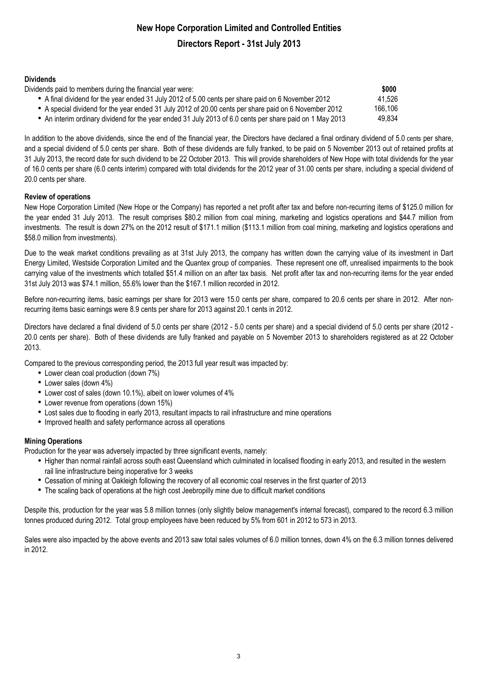#### **Dividends**

| Dividends paid to members during the financial year were:                                                | \$000   |
|----------------------------------------------------------------------------------------------------------|---------|
| • A final dividend for the year ended 31 July 2012 of 5.00 cents per share paid on 6 November 2012       | 41,526  |
| • A special dividend for the year ended 31 July 2012 of 20.00 cents per share paid on 6 November 2012    | 166,106 |
| • An interim ordinary dividend for the year ended 31 July 2013 of 6.0 cents per share paid on 1 May 2013 | 49,834  |

In addition to the above dividends, since the end of the financial year, the Directors have declared a final ordinary dividend of 5.0 cents per share, and a special dividend of 5.0 cents per share. Both of these dividends are fully franked, to be paid on 5 November 2013 out of retained profits at 31 July 2013, the record date for such dividend to be 22 October 2013. This will provide shareholders of New Hope with total dividends for the year of 16.0 cents per share (6.0 cents interim) compared with total dividends for the 2012 year of 31.00 cents per share, including a special dividend of 20.0 cents per share.

#### **Review of operations**

New Hope Corporation Limited (New Hope or the Company) has reported a net profit after tax and before non-recurring items of \$125.0 million for the year ended 31 July 2013. The result comprises \$80.2 million from coal mining, marketing and logistics operations and \$44.7 million from investments. The result is down 27% on the 2012 result of \$171.1 million (\$113.1 million from coal mining, marketing and logistics operations and \$58.0 million from investments).

Due to the weak market conditions prevailing as at 31st July 2013, the company has written down the carrying value of its investment in Dart Energy Limited, Westside Corporation Limited and the Quantex group of companies. These represent one off, unrealised impairments to the book carrying value of the investments which totalled \$51.4 million on an after tax basis. Net profit after tax and non-recurring items for the year ended 31st July 2013 was \$74.1 million, 55.6% lower than the \$167.1 million recorded in 2012.

Before non-recurring items, basic earnings per share for 2013 were 15.0 cents per share, compared to 20.6 cents per share in 2012. After nonrecurring items basic earnings were 8.9 cents per share for 2013 against 20.1 cents in 2012.

Directors have declared a final dividend of 5.0 cents per share (2012 - 5.0 cents per share) and a special dividend of 5.0 cents per share (2012 - 20.0 cents per share). Both of these dividends are fully franked and payable on 5 November 2013 to shareholders registered as at 22 October 2013.

Compared to the previous corresponding period, the 2013 full year result was impacted by:

- Lower clean coal production (down 7%)
- Lower sales (down 4%)
- Lower cost of sales (down 10.1%), albeit on lower volumes of 4%
- Lower revenue from operations (down 15%)
- Lost sales due to flooding in early 2013, resultant impacts to rail infrastructure and mine operations
- Improved health and safety performance across all operations

#### **Mining Operations**

Production for the year was adversely impacted by three significant events, namely:

- Higher than normal rainfall across south east Queensland which culminated in localised flooding in early 2013, and resulted in the western rail line infrastructure being inoperative for 3 weeks
- Cessation of mining at Oakleigh following the recovery of all economic coal reserves in the first quarter of 2013
- The scaling back of operations at the high cost Jeebropilly mine due to difficult market conditions

Despite this, production for the year was 5.8 million tonnes (only slightly below management's internal forecast), compared to the record 6.3 million tonnes produced during 2012. Total group employees have been reduced by 5% from 601 in 2012 to 573 in 2013.

Sales were also impacted by the above events and 2013 saw total sales volumes of 6.0 million tonnes, down 4% on the 6.3 million tonnes delivered in 2012.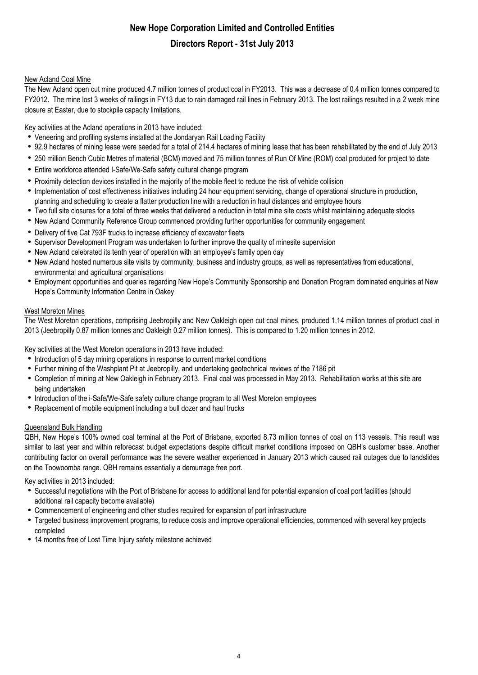#### New Acland Coal Mine

The New Acland open cut mine produced 4.7 million tonnes of product coal in FY2013. This was a decrease of 0.4 million tonnes compared to FY2012. The mine lost 3 weeks of railings in FY13 due to rain damaged rail lines in February 2013. The lost railings resulted in a 2 week mine closure at Easter, due to stockpile capacity limitations.

Key activities at the Acland operations in 2013 have included:

- Veneering and profiling systems installed at the Jondaryan Rail Loading Facility
- 92.9 hectares of mining lease were seeded for a total of 214.4 hectares of mining lease that has been rehabilitated by the end of July 2013
- 250 million Bench Cubic Metres of material (BCM) moved and 75 million tonnes of Run Of Mine (ROM) coal produced for project to date
- Entire workforce attended I-Safe/We-Safe safety cultural change program
- Proximity detection devices installed in the majority of the mobile fleet to reduce the risk of vehicle collision
- Implementation of cost effectiveness initiatives including 24 hour equipment servicing, change of operational structure in production,
- Two full site closures for a total of three weeks that delivered a reduction in total mine site costs whilst maintaining adequate stocks planning and scheduling to create a flatter production line with a reduction in haul distances and employee hours
- New Acland Community Reference Group commenced providing further opportunities for community engagement
- Delivery of five Cat 793F trucks to increase efficiency of excavator fleets
- Supervisor Development Program was undertaken to further improve the quality of minesite supervision
- New Acland celebrated its tenth year of operation with an employee's family open day
- New Acland hosted numerous site visits by community, business and industry groups, as well as representatives from educational, environmental and agricultural organisations
- Employment opportunities and queries regarding New Hope's Community Sponsorship and Donation Program dominated enquiries at New Hope's Community Information Centre in Oakey

#### West Moreton Mines

The West Moreton operations, comprising Jeebropilly and New Oakleigh open cut coal mines, produced 1.14 million tonnes of product coal in 2013 (Jeebropilly 0.87 million tonnes and Oakleigh 0.27 million tonnes). This is compared to 1.20 million tonnes in 2012.

Key activities at the West Moreton operations in 2013 have included:

- Introduction of 5 day mining operations in response to current market conditions
- Further mining of the Washplant Pit at Jeebropilly, and undertaking geotechnical reviews of the 7186 pit
- Completion of mining at New Oakleigh in February 2013. Final coal was processed in May 2013. Rehabilitation works at this site are being undertaken
- Introduction of the i-Safe/We-Safe safety culture change program to all West Moreton employees
- Replacement of mobile equipment including a bull dozer and haul trucks

#### Queensland Bulk Handling

QBH, New Hope's 100% owned coal terminal at the Port of Brisbane, exported 8.73 million tonnes of coal on 113 vessels. This result was similar to last year and within reforecast budget expectations despite difficult market conditions imposed on QBH's customer base. Another contributing factor on overall performance was the severe weather experienced in January 2013 which caused rail outages due to landslides on the Toowoomba range. QBH remains essentially a demurrage free port.

Key activities in 2013 included:

- Successful negotiations with the Port of Brisbane for access to additional land for potential expansion of coal port facilities (should additional rail capacity become available)
- Commencement of engineering and other studies required for expansion of port infrastructure
- Targeted business improvement programs, to reduce costs and improve operational efficiencies, commenced with several key projects completed
- 14 months free of Lost Time Injury safety milestone achieved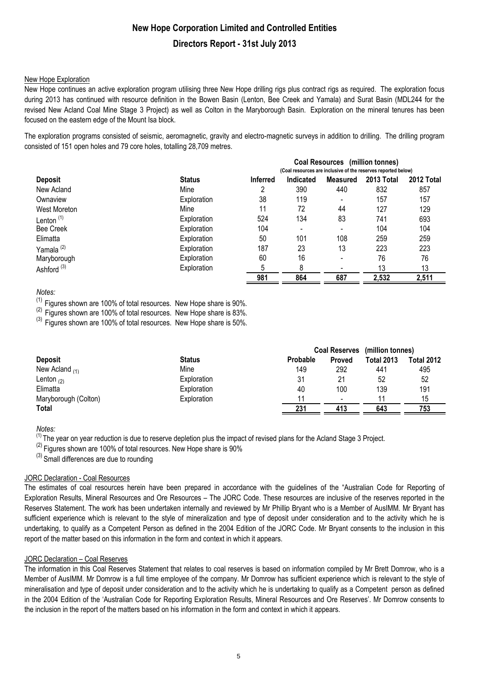#### New Hope Exploration

New Hope continues an active exploration program utilising three New Hope drilling rigs plus contract rigs as required. The exploration focus during 2013 has continued with resource definition in the Bowen Basin (Lenton, Bee Creek and Yamala) and Surat Basin (MDL244 for the revised New Acland Coal Mine Stage 3 Project) as well as Colton in the Maryborough Basin. Exploration on the mineral tenures has been focused on the eastern edge of the Mount Isa block.

The exploration programs consisted of seismic, aeromagnetic, gravity and electro-magnetic surveys in addition to drilling. The drilling program consisted of 151 open holes and 79 core holes, totalling 28,709 metres.

|                        |               |                                                               |           | <b>Coal Resources</b> (million tonnes) |            |            |
|------------------------|---------------|---------------------------------------------------------------|-----------|----------------------------------------|------------|------------|
| <b>Deposit</b>         |               | (Coal resources are inclusive of the reserves reported below) |           |                                        |            |            |
|                        | <b>Status</b> | <b>Inferred</b>                                               | Indicated | <b>Measured</b>                        | 2013 Total | 2012 Total |
| New Acland             | Mine          |                                                               | 390       | 440                                    | 832        | 857        |
| Ownaview               | Exploration   | 38                                                            | 119       | $\overline{\phantom{0}}$               | 157        | 157        |
| West Moreton           | Mine          | 11                                                            | 72        | 44                                     | 127        | 129        |
| Lenton $(1)$           | Exploration   | 524                                                           | 134       | 83                                     | 741        | 693        |
| <b>Bee Creek</b>       | Exploration   | 104                                                           |           | $\blacksquare$                         | 104        | 104        |
| Elimatta               | Exploration   | 50                                                            | 101       | 108                                    | 259        | 259        |
| Yamala <sup>(2)</sup>  | Exploration   | 187                                                           | 23        | 13                                     | 223        | 223        |
| Maryborough            | Exploration   | 60                                                            | 16        | $\overline{\phantom{0}}$               | 76         | 76         |
| Ashford <sup>(3)</sup> | Exploration   | 5                                                             | 8         |                                        | 13         | 13         |
|                        |               | 981                                                           | 864       | 687                                    | 2.532      | 2.511      |

#### *Notes:*

 $(1)$  Figures shown are 100% of total resources. New Hope share is 90%.

 $(2)$  Figures shown are 100% of total resources. New Hope share is 83%.

 $^{(3)}$  Figures shown are 100% of total resources. New Hope share is 50%.

|                      |               | <b>Coal Reserves</b> (million tonnes) |               |                   |                   |
|----------------------|---------------|---------------------------------------|---------------|-------------------|-------------------|
| <b>Deposit</b>       | <b>Status</b> | <b>Probable</b>                       | <b>Proved</b> | <b>Total 2013</b> | <b>Total 2012</b> |
| New Acland $(1)$     | Mine          | 149                                   | 292           | 441               | 495               |
| Lenton $(2)$         | Exploration   | 31                                    | 21            | 52                | 52                |
| Elimatta             | Exploration   | 40                                    | 100           | 139               | 191               |
| Maryborough (Colton) | Exploration   | 11                                    |               |                   | 15                |
| Total                |               | 231                                   | 413           | 643               | 753               |

*Notes:*

 $<sup>(1)</sup>$  The year on year reduction is due to reserve depletion plus the impact of revised plans for the Acland Stage 3 Project.</sup>

 $(2)$  Figures shown are 100% of total resources. New Hope share is 90%

 $<sup>(3)</sup>$  Small differences are due to rounding</sup>

#### **JORC Declaration - Coal Resources**

The estimates of coal resources herein have been prepared in accordance with the guidelines of the "Australian Code for Reporting of Exploration Results, Mineral Resources and Ore Resources – The JORC Code. These resources are inclusive of the reserves reported in the Reserves Statement. The work has been undertaken internally and reviewed by Mr Phillip Bryant who is a Member of AusIMM. Mr Bryant has sufficient experience which is relevant to the style of mineralization and type of deposit under consideration and to the activity which he is undertaking, to qualify as a Competent Person as defined in the 2004 Edition of the JORC Code. Mr Bryant consents to the inclusion in this report of the matter based on this information in the form and context in which it appears.

#### JORC Declaration – Coal Reserves

The information in this Coal Reserves Statement that relates to coal reserves is based on information compiled by Mr Brett Domrow, who is a Member of AusIMM. Mr Domrow is a full time employee of the company. Mr Domrow has sufficient experience which is relevant to the style of mineralisation and type of deposit under consideration and to the activity which he is undertaking to qualify as a Competent person as defined in the 2004 Edition of the 'Australian Code for Reporting Exploration Results, Mineral Resources and Ore Reserves'. Mr Domrow consents to the inclusion in the report of the matters based on his information in the form and context in which it appears.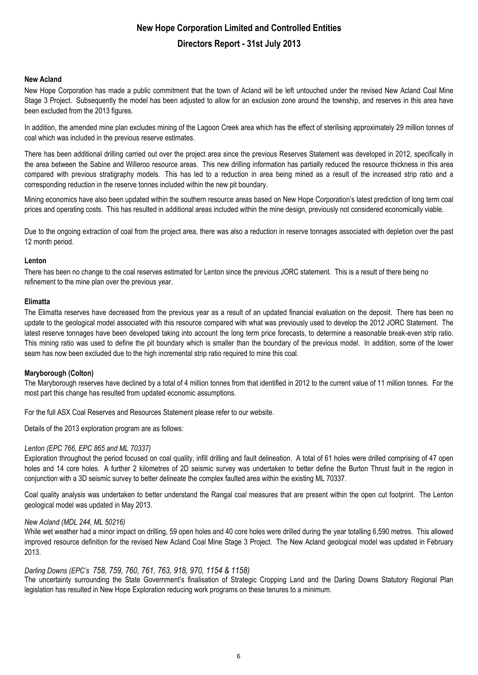#### **New Acland**

New Hope Corporation has made a public commitment that the town of Acland will be left untouched under the revised New Acland Coal Mine Stage 3 Project. Subsequently the model has been adjusted to allow for an exclusion zone around the township, and reserves in this area have been excluded from the 2013 figures.

In addition, the amended mine plan excludes mining of the Lagoon Creek area which has the effect of sterilising approximately 29 million tonnes of coal which was included in the previous reserve estimates.

There has been additional drilling carried out over the project area since the previous Reserves Statement was developed in 2012, specifically in the area between the Sabine and Willeroo resource areas. This new drilling information has partially reduced the resource thickness in this area compared with previous stratigraphy models. This has led to a reduction in area being mined as a result of the increased strip ratio and a corresponding reduction in the reserve tonnes included within the new pit boundary.

Mining economics have also been updated within the southern resource areas based on New Hope Corporation's latest prediction of long term coal prices and operating costs. This has resulted in additional areas included within the mine design, previously not considered economically viable.

Due to the ongoing extraction of coal from the project area, there was also a reduction in reserve tonnages associated with depletion over the past 12 month period.

#### **Lenton**

There has been no change to the coal reserves estimated for Lenton since the previous JORC statement. This is a result of there being no refinement to the mine plan over the previous year.

#### **Elimatta**

The Elimatta reserves have decreased from the previous year as a result of an updated financial evaluation on the deposit. There has been no update to the geological model associated with this resource compared with what was previously used to develop the 2012 JORC Statement. The latest reserve tonnages have been developed taking into account the long term price forecasts, to determine a reasonable break-even strip ratio. This mining ratio was used to define the pit boundary which is smaller than the boundary of the previous model. In addition, some of the lower seam has now been excluded due to the high incremental strip ratio required to mine this coal.

#### **Maryborough (Colton)**

The Maryborough reserves have declined by a total of 4 million tonnes from that identified in 2012 to the current value of 11 million tonnes. For the most part this change has resulted from updated economic assumptions.

For the full ASX Coal Reserves and Resources Statement please refer to our website.

Details of the 2013 exploration program are as follows:

#### *Lenton (EPC 766, EPC 865 and ML 70337)*

Exploration throughout the period focused on coal quality, infill drilling and fault delineation. A total of 61 holes were drilled comprising of 47 open holes and 14 core holes. A further 2 kilometres of 2D seismic survey was undertaken to better define the Burton Thrust fault in the region in conjunction with a 3D seismic survey to better delineate the complex faulted area within the existing ML 70337.

Coal quality analysis was undertaken to better understand the Rangal coal measures that are present within the open cut footprint. The Lenton geological model was updated in May 2013.

#### *New Acland (MDL 244, ML 50216)*

While wet weather had a minor impact on drilling, 59 open holes and 40 core holes were drilled during the year totalling 6,590 metres. This allowed improved resource definition for the revised New Acland Coal Mine Stage 3 Project. The New Acland geological model was updated in February 2013.

#### *Darling Downs (EPC's 758, 759, 760, 761, 763, 918, 970, 1154 & 1158)*

The uncertainty surrounding the State Government's finalisation of Strategic Cropping Land and the Darling Downs Statutory Regional Plan legislation has resulted in New Hope Exploration reducing work programs on these tenures to a minimum.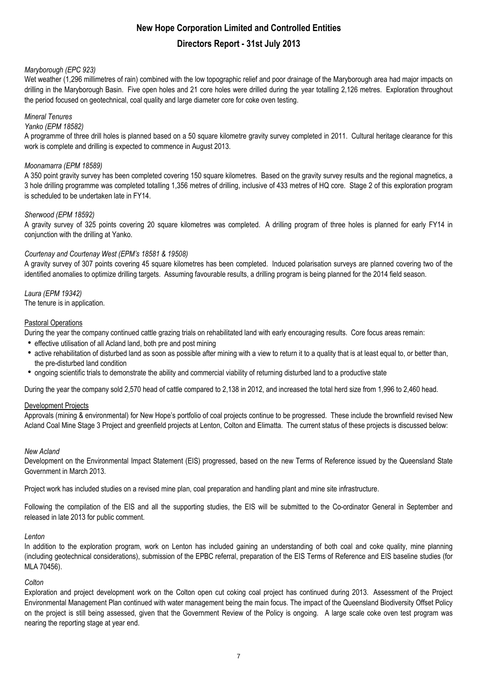#### *Maryborough (EPC 923)*

Wet weather (1,296 millimetres of rain) combined with the low topographic relief and poor drainage of the Maryborough area had major impacts on drilling in the Maryborough Basin. Five open holes and 21 core holes were drilled during the year totalling 2,126 metres. Exploration throughout the period focused on geotechnical, coal quality and large diameter core for coke oven testing.

#### *Mineral Tenures*

#### *Yanko (EPM 18582)*

A programme of three drill holes is planned based on a 50 square kilometre gravity survey completed in 2011. Cultural heritage clearance for this work is complete and drilling is expected to commence in August 2013.

#### *Moonamarra (EPM 18589)*

A 350 point gravity survey has been completed covering 150 square kilometres. Based on the gravity survey results and the regional magnetics, a 3 hole drilling programme was completed totalling 1,356 metres of drilling, inclusive of 433 metres of HQ core. Stage 2 of this exploration program is scheduled to be undertaken late in FY14.

#### *Sherwood (EPM 18592)*

A gravity survey of 325 points covering 20 square kilometres was completed. A drilling program of three holes is planned for early FY14 in conjunction with the drilling at Yanko.

#### *Courtenay and Courtenay West (EPM's 18581 & 19508)*

A gravity survey of 307 points covering 45 square kilometres has been completed. Induced polarisation surveys are planned covering two of the identified anomalies to optimize drilling targets. Assuming favourable results, a drilling program is being planned for the 2014 field season.

*Laura (EPM 19342)* The tenure is in application.

#### Pastoral Operations

During the year the company continued cattle grazing trials on rehabilitated land with early encouraging results. Core focus areas remain:

- effective utilisation of all Acland land, both pre and post mining
- active rehabilitation of disturbed land as soon as possible after mining with a view to return it to a quality that is at least equal to, or better than, the pre-disturbed land condition
- ongoing scientific trials to demonstrate the ability and commercial viability of returning disturbed land to a productive state

During the year the company sold 2,570 head of cattle compared to 2,138 in 2012, and increased the total herd size from 1,996 to 2,460 head.

#### Development Projects

Approvals (mining & environmental) for New Hope's portfolio of coal projects continue to be progressed. These include the brownfield revised New Acland Coal Mine Stage 3 Project and greenfield projects at Lenton, Colton and Elimatta. The current status of these projects is discussed below:

#### *New Acland*

Development on the Environmental Impact Statement (EIS) progressed, based on the new Terms of Reference issued by the Queensland State Government in March 2013.

Project work has included studies on a revised mine plan, coal preparation and handling plant and mine site infrastructure.

Following the compilation of the EIS and all the supporting studies, the EIS will be submitted to the Co-ordinator General in September and released in late 2013 for public comment.

#### *Lenton*

In addition to the exploration program, work on Lenton has included gaining an understanding of both coal and coke quality, mine planning (including geotechnical considerations), submission of the EPBC referral, preparation of the EIS Terms of Reference and EIS baseline studies (for MLA 70456).

#### *Colton*

Exploration and project development work on the Colton open cut coking coal project has continued during 2013. Assessment of the Project Environmental Management Plan continued with water management being the main focus. The impact of the Queensland Biodiversity Offset Policy on the project is still being assessed, given that the Government Review of the Policy is ongoing. A large scale coke oven test program was nearing the reporting stage at year end.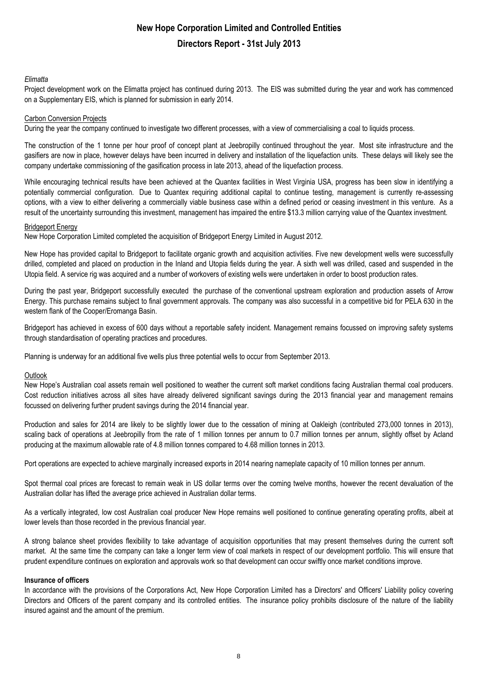#### *Elimatta*

Project development work on the Elimatta project has continued during 2013. The EIS was submitted during the year and work has commenced on a Supplementary EIS, which is planned for submission in early 2014.

#### Carbon Conversion Projects

During the year the company continued to investigate two different processes, with a view of commercialising a coal to liquids process.

The construction of the 1 tonne per hour proof of concept plant at Jeebropilly continued throughout the year. Most site infrastructure and the gasifiers are now in place, however delays have been incurred in delivery and installation of the liquefaction units. These delays will likely see the company undertake commissioning of the gasification process in late 2013, ahead of the liquefaction process.

While encouraging technical results have been achieved at the Quantex facilities in West Virginia USA, progress has been slow in identifying a potentially commercial configuration. Due to Quantex requiring additional capital to continue testing, management is currently re-assessing options, with a view to either delivering a commercially viable business case within a defined period or ceasing investment in this venture. As a result of the uncertainty surrounding this investment, management has impaired the entire \$13.3 million carrying value of the Quantex investment.

#### Bridgeport Energy

New Hope Corporation Limited completed the acquisition of Bridgeport Energy Limited in August 2012.

New Hope has provided capital to Bridgeport to facilitate organic growth and acquisition activities. Five new development wells were successfully drilled, completed and placed on production in the Inland and Utopia fields during the year. A sixth well was drilled, cased and suspended in the Utopia field. A service rig was acquired and a number of workovers of existing wells were undertaken in order to boost production rates.

During the past year, Bridgeport successfully executed the purchase of the conventional upstream exploration and production assets of Arrow Energy. This purchase remains subject to final government approvals. The company was also successful in a competitive bid for PELA 630 in the western flank of the Cooper/Eromanga Basin.

Bridgeport has achieved in excess of 600 days without a reportable safety incident. Management remains focussed on improving safety systems through standardisation of operating practices and procedures.

Planning is underway for an additional five wells plus three potential wells to occur from September 2013.

#### **Outlook**

New Hope's Australian coal assets remain well positioned to weather the current soft market conditions facing Australian thermal coal producers. Cost reduction initiatives across all sites have already delivered significant savings during the 2013 financial year and management remains focussed on delivering further prudent savings during the 2014 financial year.

Production and sales for 2014 are likely to be slightly lower due to the cessation of mining at Oakleigh (contributed 273,000 tonnes in 2013), scaling back of operations at Jeebropilly from the rate of 1 million tonnes per annum to 0.7 million tonnes per annum, slightly offset by Acland producing at the maximum allowable rate of 4.8 million tonnes compared to 4.68 million tonnes in 2013.

Port operations are expected to achieve marginally increased exports in 2014 nearing nameplate capacity of 10 million tonnes per annum.

Spot thermal coal prices are forecast to remain weak in US dollar terms over the coming twelve months, however the recent devaluation of the Australian dollar has lifted the average price achieved in Australian dollar terms.

As a vertically integrated, low cost Australian coal producer New Hope remains well positioned to continue generating operating profits, albeit at lower levels than those recorded in the previous financial year.

A strong balance sheet provides flexibility to take advantage of acquisition opportunities that may present themselves during the current soft market. At the same time the company can take a longer term view of coal markets in respect of our development portfolio. This will ensure that prudent expenditure continues on exploration and approvals work so that development can occur swiftly once market conditions improve.

#### **Insurance of officers**

In accordance with the provisions of the Corporations Act, New Hope Corporation Limited has a Directors' and Officers' Liability policy covering Directors and Officers of the parent company and its controlled entities. The insurance policy prohibits disclosure of the nature of the liability insured against and the amount of the premium.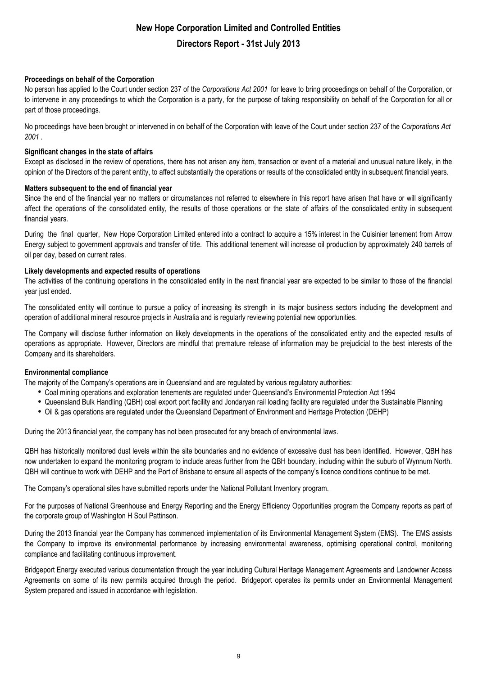#### **Proceedings on behalf of the Corporation**

No person has applied to the Court under section 237 of the *Corporations Act 2001* for leave to bring proceedings on behalf of the Corporation, or to intervene in any proceedings to which the Corporation is a party, for the purpose of taking responsibility on behalf of the Corporation for all or part of those proceedings.

No proceedings have been brought or intervened in on behalf of the Corporation with leave of the Court under section 237 of the *Corporations Act 2001* .

#### **Significant changes in the state of affairs**

Except as disclosed in the review of operations, there has not arisen any item, transaction or event of a material and unusual nature likely, in the opinion of the Directors of the parent entity, to affect substantially the operations or results of the consolidated entity in subsequent financial years.

#### **Matters subsequent to the end of financial year**

Since the end of the financial year no matters or circumstances not referred to elsewhere in this report have arisen that have or will significantly affect the operations of the consolidated entity, the results of those operations or the state of affairs of the consolidated entity in subsequent financial years.

During the final quarter, New Hope Corporation Limited entered into a contract to acquire a 15% interest in the Cuisinier tenement from Arrow Energy subject to government approvals and transfer of title. This additional tenement will increase oil production by approximately 240 barrels of oil per day, based on current rates.

#### **Likely developments and expected results of operations**

The activities of the continuing operations in the consolidated entity in the next financial year are expected to be similar to those of the financial year just ended.

The consolidated entity will continue to pursue a policy of increasing its strength in its major business sectors including the development and operation of additional mineral resource projects in Australia and is regularly reviewing potential new opportunities.

The Company will disclose further information on likely developments in the operations of the consolidated entity and the expected results of operations as appropriate. However, Directors are mindful that premature release of information may be prejudicial to the best interests of the Company and its shareholders.

#### **Environmental compliance**

The majority of the Company's operations are in Queensland and are regulated by various regulatory authorities:

- Coal mining operations and exploration tenements are regulated under Queensland's Environmental Protection Act 1994
- Queensland Bulk Handling (QBH) coal export port facility and Jondaryan rail loading facility are regulated under the Sustainable Planning
- Oil & gas operations are regulated under the Queensland Department of Environment and Heritage Protection (DEHP)

During the 2013 financial year, the company has not been prosecuted for any breach of environmental laws.

QBH has historically monitored dust levels within the site boundaries and no evidence of excessive dust has been identified. However, QBH has now undertaken to expand the monitoring program to include areas further from the QBH boundary, including within the suburb of Wynnum North. QBH will continue to work with DEHP and the Port of Brisbane to ensure all aspects of the company's licence conditions continue to be met.

The Company's operational sites have submitted reports under the National Pollutant Inventory program.

For the purposes of National Greenhouse and Energy Reporting and the Energy Efficiency Opportunities program the Company reports as part of the corporate group of Washington H Soul Pattinson.

During the 2013 financial year the Company has commenced implementation of its Environmental Management System (EMS). The EMS assists the Company to improve its environmental performance by increasing environmental awareness, optimising operational control, monitoring compliance and facilitating continuous improvement.

Bridgeport Energy executed various documentation through the year including Cultural Heritage Management Agreements and Landowner Access Agreements on some of its new permits acquired through the period. Bridgeport operates its permits under an Environmental Management System prepared and issued in accordance with legislation.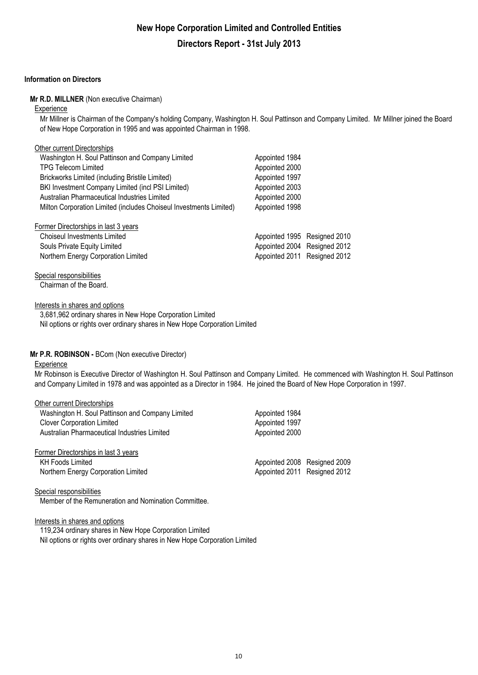#### **Information on Directors**

#### **Mr R.D. MILLNER** (Non executive Chairman)

#### **Experience**

Mr Millner is Chairman of the Company's holding Company, Washington H. Soul Pattinson and Company Limited. Mr Millner joined the Board of New Hope Corporation in 1995 and was appointed Chairman in 1998.

#### Other current Directorships

| Washington H. Soul Pattinson and Company Limited                   | Appointed 1984               |  |
|--------------------------------------------------------------------|------------------------------|--|
| <b>TPG Telecom Limited</b>                                         | Appointed 2000               |  |
| Brickworks Limited (including Bristile Limited)                    | Appointed 1997               |  |
| BKI Investment Company Limited (incl PSI Limited)                  | Appointed 2003               |  |
| Australian Pharmaceutical Industries Limited                       | Appointed 2000               |  |
| Milton Corporation Limited (includes Choiseul Investments Limited) | Appointed 1998               |  |
| Former Directorships in last 3 years                               |                              |  |
| Choiseul Investments Limited                                       | Appointed 1995 Resigned 2010 |  |
| Souls Private Equity Limited                                       | Appointed 2004 Resigned 2012 |  |
| Northern Energy Corporation Limited                                | Appointed 2011 Resigned 2012 |  |
|                                                                    |                              |  |

#### Special responsibilities

Chairman of the Board.

#### Interests in shares and options

3,681,962 ordinary shares in New Hope Corporation Limited Nil options or rights over ordinary shares in New Hope Corporation Limited

#### **Mr P.R. ROBINSON -** BCom (Non executive Director)

#### **Experience**

Mr Robinson is Executive Director of Washington H. Soul Pattinson and Company Limited. He commenced with Washington H. Soul Pattinson and Company Limited in 1978 and was appointed as a Director in 1984. He joined the Board of New Hope Corporation in 1997.

| Other current Directorships                      |                              |  |
|--------------------------------------------------|------------------------------|--|
| Washington H. Soul Pattinson and Company Limited | Appointed 1984               |  |
| <b>Clover Corporation Limited</b>                | Appointed 1997               |  |
| Australian Pharmaceutical Industries Limited     | Appointed 2000               |  |
| Former Directorships in last 3 years             |                              |  |
| <b>KH Foods Limited</b>                          | Appointed 2008 Resigned 2009 |  |
| Northern Energy Corporation Limited              | Appointed 2011 Resigned 2012 |  |
|                                                  |                              |  |

## Special responsibilities

Member of the Remuneration and Nomination Committee.

#### Interests in shares and options

119,234 ordinary shares in New Hope Corporation Limited Nil options or rights over ordinary shares in New Hope Corporation Limited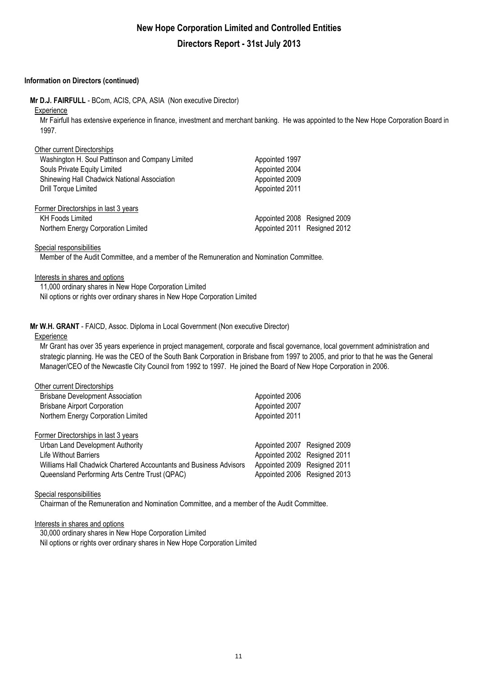#### **Information on Directors (continued)**

**Mr D.J. FAIRFULL** - BCom, ACIS, CPA, ASIA (Non executive Director)

#### **Experience**

Mr Fairfull has extensive experience in finance, investment and merchant banking. He was appointed to the New Hope Corporation Board in 1997.

| Other current Directorships                      |                              |  |
|--------------------------------------------------|------------------------------|--|
| Washington H. Soul Pattinson and Company Limited | Appointed 1997               |  |
| Souls Private Equity Limited                     | Appointed 2004               |  |
| Shinewing Hall Chadwick National Association     | Appointed 2009               |  |
| Drill Torque Limited                             | Appointed 2011               |  |
| Former Directorships in last 3 years             |                              |  |
| <b>KH Foods Limited</b>                          | Appointed 2008 Resigned 2009 |  |
| Northern Energy Corporation Limited              | Appointed 2011 Resigned 2012 |  |
|                                                  |                              |  |

#### Special responsibilities

Member of the Audit Committee, and a member of the Remuneration and Nomination Committee.

#### Interests in shares and options

11,000 ordinary shares in New Hope Corporation Limited Nil options or rights over ordinary shares in New Hope Corporation Limited

#### **Mr W.H. GRANT** - FAICD, Assoc. Diploma in Local Government (Non executive Director)

#### **Experience**

Mr Grant has over 35 years experience in project management, corporate and fiscal governance, local government administration and strategic planning. He was the CEO of the South Bank Corporation in Brisbane from 1997 to 2005, and prior to that he was the General Manager/CEO of the Newcastle City Council from 1992 to 1997. He joined the Board of New Hope Corporation in 2006.

| Other current Directorships |  |
|-----------------------------|--|
|                             |  |

| <b>Brisbane Development Association</b>                            | Appointed 2006               |  |
|--------------------------------------------------------------------|------------------------------|--|
| <b>Brisbane Airport Corporation</b>                                | Appointed 2007               |  |
| Northern Energy Corporation Limited                                | Appointed 2011               |  |
| Former Directorships in last 3 years                               |                              |  |
| Urban Land Development Authority                                   | Appointed 2007 Resigned 2009 |  |
| <b>Life Without Barriers</b>                                       | Appointed 2002 Resigned 2011 |  |
| Williams Hall Chadwick Chartered Accountants and Business Advisors | Appointed 2009 Resigned 2011 |  |
| Queensland Performing Arts Centre Trust (QPAC)                     | Appointed 2006 Resigned 2013 |  |

#### Special responsibilities

Chairman of the Remuneration and Nomination Committee, and a member of the Audit Committee.

Interests in shares and options

30,000 ordinary shares in New Hope Corporation Limited Nil options or rights over ordinary shares in New Hope Corporation Limited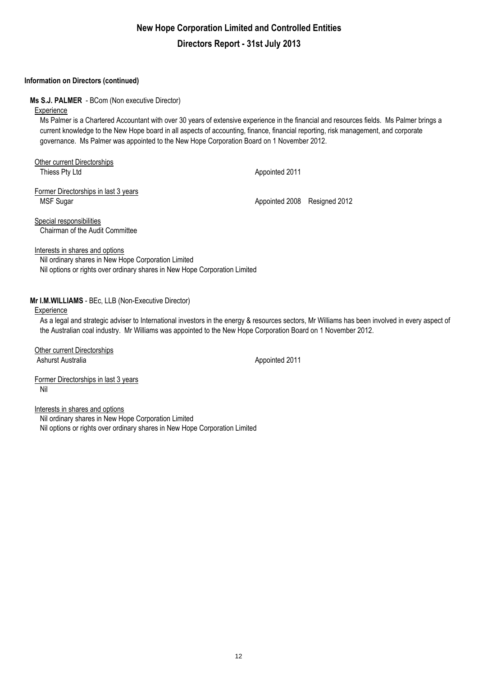#### **Information on Directors (continued)**

**Ms S.J. PALMER** - BCom (Non executive Director)

#### **Experience**

Ms Palmer is a Chartered Accountant with over 30 years of extensive experience in the financial and resources fields. Ms Palmer brings a current knowledge to the New Hope board in all aspects of accounting, finance, financial reporting, risk management, and corporate governance. Ms Palmer was appointed to the New Hope Corporation Board on 1 November 2012.

| Other current Directorships |  |
|-----------------------------|--|
| Thiess Pty Ltd              |  |

Appointed 2011

Former Directorships in last 3 years

MSF Sugar Appointed 2008 Resigned 2012

Special responsibilities Chairman of the Audit Committee

Interests in shares and options

Nil ordinary shares in New Hope Corporation Limited Nil options or rights over ordinary shares in New Hope Corporation Limited

#### **Mr I.M.WILLIAMS** - BEc, LLB (Non-Executive Director)

#### **Experience**

As a legal and strategic adviser to International investors in the energy & resources sectors, Mr Williams has been involved in every aspect of the Australian coal industry. Mr Williams was appointed to the New Hope Corporation Board on 1 November 2012.

Other current Directorships Ashurst Australia **Appointed 2011** 

Former Directorships in last 3 years Nil

Interests in shares and options Nil options or rights over ordinary shares in New Hope Corporation Limited Nil ordinary shares in New Hope Corporation Limited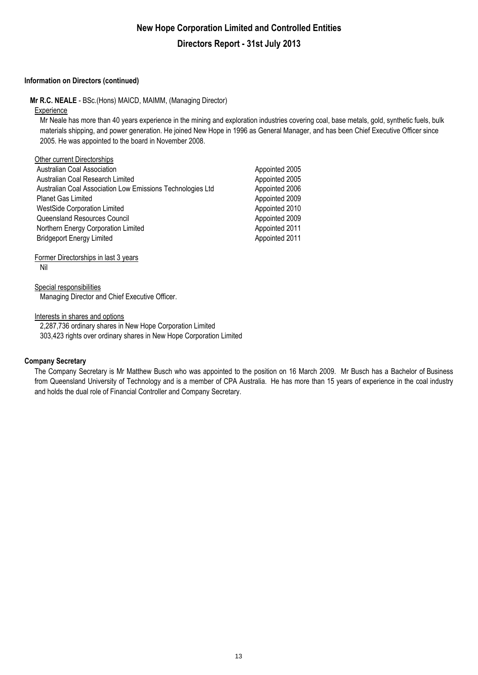#### **Information on Directors (continued)**

**Mr R.C. NEALE** - BSc.(Hons) MAICD, MAIMM, (Managing Director)

#### **Experience**

Mr Neale has more than 40 years experience in the mining and exploration industries covering coal, base metals, gold, synthetic fuels, bulk materials shipping, and power generation. He joined New Hope in 1996 as General Manager, and has been Chief Executive Officer since 2005. He was appointed to the board in November 2008.

| Other current Directorships                                |                |
|------------------------------------------------------------|----------------|
| Australian Coal Association                                | Appointed 2005 |
| Australian Coal Research Limited                           | Appointed 2005 |
| Australian Coal Association Low Emissions Technologies Ltd | Appointed 2006 |
| Planet Gas Limited                                         | Appointed 2009 |
| <b>WestSide Corporation Limited</b>                        | Appointed 2010 |
| Queensland Resources Council                               | Appointed 2009 |
| Northern Energy Corporation Limited                        | Appointed 2011 |
| <b>Bridgeport Energy Limited</b>                           | Appointed 2011 |

Former Directorships in last 3 years

Nil

#### Special responsibilities

Managing Director and Chief Executive Officer.

Interests in shares and options

2,287,736 ordinary shares in New Hope Corporation Limited 303,423 rights over ordinary shares in New Hope Corporation Limited

#### **Company Secretary**

The Company Secretary is Mr Matthew Busch who was appointed to the position on 16 March 2009. Mr Busch has a Bachelor of Business from Queensland University of Technology and is a member of CPA Australia. He has more than 15 years of experience in the coal industry and holds the dual role of Financial Controller and Company Secretary.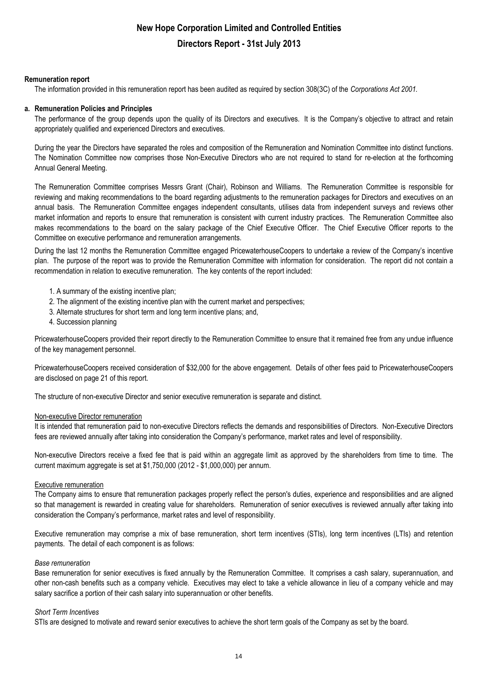#### **Remuneration report**

The information provided in this remuneration report has been audited as required by section 308(3C) of the *Corporations Act 2001.*

#### **a. Remuneration Policies and Principles**

The performance of the group depends upon the quality of its Directors and executives. It is the Company's objective to attract and retain appropriately qualified and experienced Directors and executives.

During the year the Directors have separated the roles and composition of the Remuneration and Nomination Committee into distinct functions. The Nomination Committee now comprises those Non-Executive Directors who are not required to stand for re-election at the forthcoming Annual General Meeting.

The Remuneration Committee comprises Messrs Grant (Chair), Robinson and Williams. The Remuneration Committee is responsible for reviewing and making recommendations to the board regarding adjustments to the remuneration packages for Directors and executives on an annual basis. The Remuneration Committee engages independent consultants, utilises data from independent surveys and reviews other market information and reports to ensure that remuneration is consistent with current industry practices. The Remuneration Committee also makes recommendations to the board on the salary package of the Chief Executive Officer. The Chief Executive Officer reports to the Committee on executive performance and remuneration arrangements.

During the last 12 months the Remuneration Committee engaged PricewaterhouseCoopers to undertake a review of the Company's incentive plan. The purpose of the report was to provide the Remuneration Committee with information for consideration. The report did not contain a recommendation in relation to executive remuneration. The key contents of the report included:

- 1. A summary of the existing incentive plan;
- 2. The alignment of the existing incentive plan with the current market and perspectives;
- 3. Alternate structures for short term and long term incentive plans; and,
- 4. Succession planning

PricewaterhouseCoopers provided their report directly to the Remuneration Committee to ensure that it remained free from any undue influence of the key management personnel.

PricewaterhouseCoopers received consideration of \$32,000 for the above engagement. Details of other fees paid to PricewaterhouseCoopers are disclosed on page 21 of this report.

The structure of non-executive Director and senior executive remuneration is separate and distinct.

#### Non-executive Director remuneration

It is intended that remuneration paid to non-executive Directors reflects the demands and responsibilities of Directors. Non-Executive Directors fees are reviewed annually after taking into consideration the Company's performance, market rates and level of responsibility.

Non-executive Directors receive a fixed fee that is paid within an aggregate limit as approved by the shareholders from time to time. The current maximum aggregate is set at \$1,750,000 (2012 - \$1,000,000) per annum.

#### Executive remuneration

The Company aims to ensure that remuneration packages properly reflect the person's duties, experience and responsibilities and are aligned so that management is rewarded in creating value for shareholders. Remuneration of senior executives is reviewed annually after taking into consideration the Company's performance, market rates and level of responsibility.

Executive remuneration may comprise a mix of base remuneration, short term incentives (STIs), long term incentives (LTIs) and retention payments. The detail of each component is as follows:

#### *Base remuneration*

Base remuneration for senior executives is fixed annually by the Remuneration Committee. It comprises a cash salary, superannuation, and other non-cash benefits such as a company vehicle. Executives may elect to take a vehicle allowance in lieu of a company vehicle and may salary sacrifice a portion of their cash salary into superannuation or other benefits.

#### *Short Term Incentives*

STIs are designed to motivate and reward senior executives to achieve the short term goals of the Company as set by the board.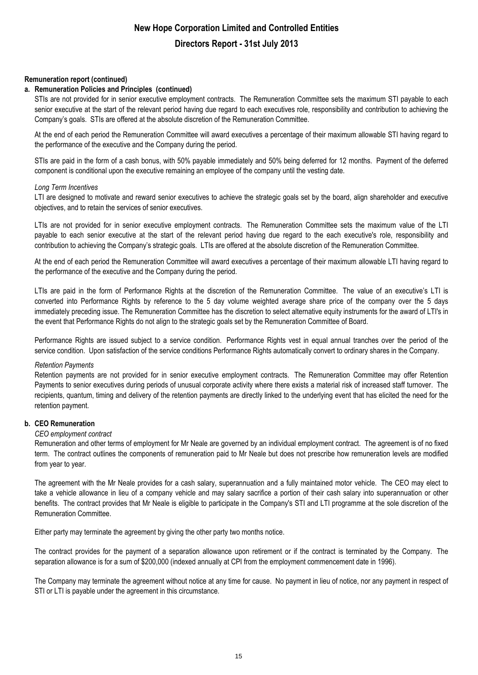#### **Remuneration report (continued)**

#### **a. Remuneration Policies and Principles (continued)**

STIs are not provided for in senior executive employment contracts. The Remuneration Committee sets the maximum STI payable to each senior executive at the start of the relevant period having due regard to each executives role, responsibility and contribution to achieving the Company's goals. STIs are offered at the absolute discretion of the Remuneration Committee.

At the end of each period the Remuneration Committee will award executives a percentage of their maximum allowable STI having regard to the performance of the executive and the Company during the period.

STIs are paid in the form of a cash bonus, with 50% payable immediately and 50% being deferred for 12 months. Payment of the deferred component is conditional upon the executive remaining an employee of the company until the vesting date.

#### *Long Term Incentives*

LTI are designed to motivate and reward senior executives to achieve the strategic goals set by the board, align shareholder and executive objectives, and to retain the services of senior executives.

LTIs are not provided for in senior executive employment contracts. The Remuneration Committee sets the maximum value of the LTI payable to each senior executive at the start of the relevant period having due regard to the each executive's role, responsibility and contribution to achieving the Company's strategic goals. LTIs are offered at the absolute discretion of the Remuneration Committee.

At the end of each period the Remuneration Committee will award executives a percentage of their maximum allowable LTI having regard to the performance of the executive and the Company during the period.

LTIs are paid in the form of Performance Rights at the discretion of the Remuneration Committee. The value of an executive's LTI is converted into Performance Rights by reference to the 5 day volume weighted average share price of the company over the 5 days immediately preceding issue. The Remuneration Committee has the discretion to select alternative equity instruments for the award of LTI's in the event that Performance Rights do not align to the strategic goals set by the Remuneration Committee of Board.

Performance Rights are issued subject to a service condition. Performance Rights vest in equal annual tranches over the period of the service condition. Upon satisfaction of the service conditions Performance Rights automatically convert to ordinary shares in the Company.

#### *Retention Payments*

Retention payments are not provided for in senior executive employment contracts. The Remuneration Committee may offer Retention Payments to senior executives during periods of unusual corporate activity where there exists a material risk of increased staff turnover. The recipients, quantum, timing and delivery of the retention payments are directly linked to the underlying event that has elicited the need for the retention payment.

#### **b. CEO Remuneration**

#### *CEO employment contract*

Remuneration and other terms of employment for Mr Neale are governed by an individual employment contract. The agreement is of no fixed term. The contract outlines the components of remuneration paid to Mr Neale but does not prescribe how remuneration levels are modified from year to year.

The agreement with the Mr Neale provides for a cash salary, superannuation and a fully maintained motor vehicle. The CEO may elect to take a vehicle allowance in lieu of a company vehicle and may salary sacrifice a portion of their cash salary into superannuation or other benefits. The contract provides that Mr Neale is eligible to participate in the Company's STI and LTI programme at the sole discretion of the Remuneration Committee.

Either party may terminate the agreement by giving the other party two months notice.

The contract provides for the payment of a separation allowance upon retirement or if the contract is terminated by the Company. The separation allowance is for a sum of \$200,000 (indexed annually at CPI from the employment commencement date in 1996).

The Company may terminate the agreement without notice at any time for cause. No payment in lieu of notice, nor any payment in respect of STI or LTI is payable under the agreement in this circumstance.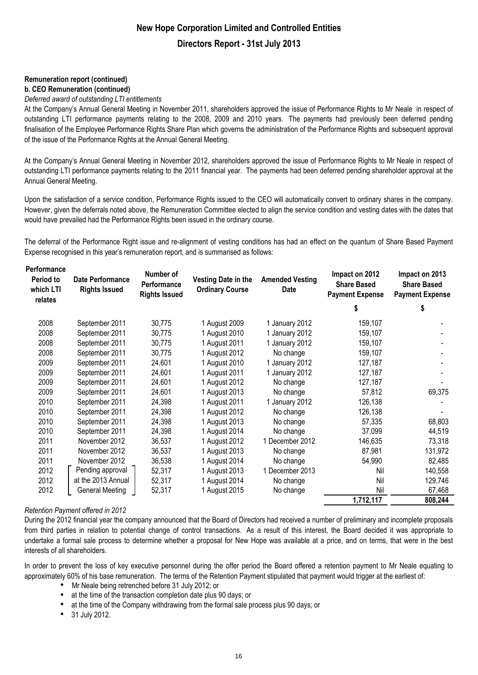#### **Remuneration report (continued)**

#### **b. CEO Remuneration (continued)**

#### *Deferred award of outstanding LTI entitlements*

At the Company's Annual General Meeting in November 2011, shareholders approved the issue of Performance Rights to Mr Neale in respect of outstanding LTI performance payments relating to the 2008, 2009 and 2010 years. The payments had previously been deferred pending finalisation of the Employee Performance Rights Share Plan which governs the administration of the Performance Rights and subsequent approval of the issue of the Performance Rights at the Annual General Meeting.

At the Company's Annual General Meeting in November 2012, shareholders approved the issue of Performance Rights to Mr Neale in respect of outstanding LTI performance payments relating to the 2011 financial year. The payments had been deferred pending shareholder approval at the Annual General Meeting.

Upon the satisfaction of a service condition, Performance Rights issued to the CEO will automatically convert to ordinary shares in the company. However, given the deferrals noted above, the Remuneration Committee elected to align the service condition and vesting dates with the dates that would have prevailed had the Performance Rights been issued in the ordinary course.

The deferral of the Performance Right issue and re-alignment of vesting conditions has had an effect on the quantum of Share Based Payment Expense recognised in this year's remuneration report, and is summarised as follows:

| Performance<br>Period to<br>which LTI<br>relates | Date Performance<br><b>Rights Issued</b> | Number of<br>Performance<br><b>Rights Issued</b> | Vesting Date in the<br><b>Ordinary Course</b> | <b>Amended Vesting</b><br><b>Date</b> | Impact on 2012<br><b>Share Based</b><br><b>Payment Expense</b> | Impact on 2013<br><b>Share Based</b><br><b>Payment Expense</b> |
|--------------------------------------------------|------------------------------------------|--------------------------------------------------|-----------------------------------------------|---------------------------------------|----------------------------------------------------------------|----------------------------------------------------------------|
|                                                  |                                          |                                                  |                                               |                                       | \$                                                             | \$                                                             |
| 2008                                             | September 2011                           | 30,775                                           | 1 August 2009                                 | 1 January 2012                        | 159,107                                                        |                                                                |
| 2008                                             | September 2011                           | 30,775                                           | 1 August 2010                                 | 1 January 2012                        | 159,107                                                        |                                                                |
| 2008                                             | September 2011                           | 30,775                                           | 1 August 2011                                 | 1 January 2012                        | 159,107                                                        |                                                                |
| 2008                                             | September 2011                           | 30,775                                           | 1 August 2012                                 | No change                             | 159,107                                                        |                                                                |
| 2009                                             | September 2011                           | 24,601                                           | 1 August 2010                                 | 1 January 2012                        | 127,187                                                        |                                                                |
| 2009                                             | September 2011                           | 24,601                                           | 1 August 2011                                 | 1 January 2012                        | 127,187                                                        |                                                                |
| 2009                                             | September 2011                           | 24,601                                           | 1 August 2012                                 | No change                             | 127,187                                                        |                                                                |
| 2009                                             | September 2011                           | 24,601                                           | 1 August 2013                                 | No change                             | 57,812                                                         | 69,375                                                         |
| 2010                                             | September 2011                           | 24,398                                           | 1 August 2011                                 | 1 January 2012                        | 126,138                                                        |                                                                |
| 2010                                             | September 2011                           | 24,398                                           | 1 August 2012                                 | No change                             | 126,138                                                        |                                                                |
| 2010                                             | September 2011                           | 24,398                                           | 1 August 2013                                 | No change                             | 57,335                                                         | 68,803                                                         |
| 2010                                             | September 2011                           | 24,398                                           | 1 August 2014                                 | No change                             | 37,099                                                         | 44,519                                                         |
| 2011                                             | November 2012                            | 36,537                                           | 1 August 2012                                 | 1 December 2012                       | 146,635                                                        | 73,318                                                         |
| 2011                                             | November 2012                            | 36,537                                           | 1 August 2013                                 | No change                             | 87,981                                                         | 131,972                                                        |
| 2011                                             | November 2012                            | 36,538                                           | 1 August 2014                                 | No change                             | 54,990                                                         | 82,485                                                         |
| 2012                                             | Pending approval                         | 52,317                                           | 1 August 2013                                 | 1 December 2013                       | Nil                                                            | 140,558                                                        |
| 2012                                             | at the 2013 Annual                       | 52,317                                           | 1 August 2014                                 | No change                             | Nil                                                            | 129,746                                                        |
| 2012                                             | <b>General Meeting</b>                   | 52,317                                           | 1 August 2015                                 | No change                             | Nil                                                            | 67,468                                                         |
|                                                  |                                          |                                                  |                                               |                                       | 1,712,117                                                      | 808,244                                                        |

#### *Retention Payment offered in 2012*

During the 2012 financial year the company announced that the Board of Directors had received a number of preliminary and incomplete proposals from third parties in relation to potential change of control transactions. As a result of this interest, the Board decided it was appropriate to undertake a formal sale process to determine whether a proposal for New Hope was available at a price, and on terms, that were in the best interests of all shareholders.

In order to prevent the loss of key executive personnel during the offer period the Board offered a retention payment to Mr Neale equating to approximately 60% of his base remuneration. The terms of the Retention Payment stipulated that payment would trigger at the earliest of:

- Mr Neale being retrenched before 31 July 2012; or
- at the time of the transaction completion date plus 90 days; or
- at the time of the Company withdrawing from the formal sale process plus 90 days; or
- 31 July 2012.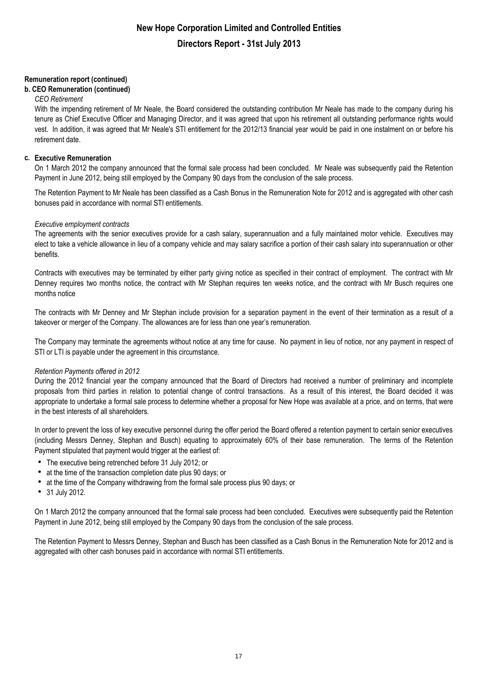#### **Remuneration report (continued)**

#### **b. CEO Remuneration (continued)**

#### *CEO Retirement*

With the impending retirement of Mr Neale, the Board considered the outstanding contribution Mr Neale has made to the company during his tenure as Chief Executive Officer and Managing Director, and it was agreed that upon his retirement all outstanding performance rights would vest. In addition, it was agreed that Mr Neale's STI entitlement for the 2012/13 financial year would be paid in one instalment on or before his retirement date.

#### **c. Executive Remuneration**

On 1 March 2012 the company announced that the formal sale process had been concluded. Mr Neale was subsequently paid the Retention Payment in June 2012, being still employed by the Company 90 days from the conclusion of the sale process.

The Retention Payment to Mr Neale has been classified as a Cash Bonus in the Remuneration Note for 2012 and is aggregated with other cash bonuses paid in accordance with normal STI entitlements.

#### *Executive employment contracts*

The agreements with the senior executives provide for a cash salary, superannuation and a fully maintained motor vehicle. Executives may elect to take a vehicle allowance in lieu of a company vehicle and may salary sacrifice a portion of their cash salary into superannuation or other benefits.

Contracts with executives may be terminated by either party giving notice as specified in their contract of employment. The contract with Mr Denney requires two months notice, the contract with Mr Stephan requires ten weeks notice, and the contract with Mr Busch requires one months notice

The contracts with Mr Denney and Mr Stephan include provision for a separation payment in the event of their termination as a result of a takeover or merger of the Company. The allowances are for less than one year's remuneration.

The Company may terminate the agreements without notice at any time for cause. No payment in lieu of notice, nor any payment in respect of STI or LTI is payable under the agreement in this circumstance.

#### *Retention Payments offered in 2012*

During the 2012 financial year the company announced that the Board of Directors had received a number of preliminary and incomplete proposals from third parties in relation to potential change of control transactions. As a result of this interest, the Board decided it was appropriate to undertake a formal sale process to determine whether a proposal for New Hope was available at a price, and on terms, that were in the best interests of all shareholders.

In order to prevent the loss of key executive personnel during the offer period the Board offered a retention payment to certain senior executives (including Messrs Denney, Stephan and Busch) equating to approximately 60% of their base remuneration. The terms of the Retention Payment stipulated that payment would trigger at the earliest of:

- The executive being retrenched before 31 July 2012; or
- $\bullet$ at the time of the transaction completion date plus 90 days; or
- at the time of the Company withdrawing from the formal sale process plus 90 days; or
- 31 July 2012.

On 1 March 2012 the company announced that the formal sale process had been concluded. Executives were subsequently paid the Retention Payment in June 2012, being still employed by the Company 90 days from the conclusion of the sale process.

The Retention Payment to Messrs Denney, Stephan and Busch has been classified as a Cash Bonus in the Remuneration Note for 2012 and is aggregated with other cash bonuses paid in accordance with normal STI entitlements.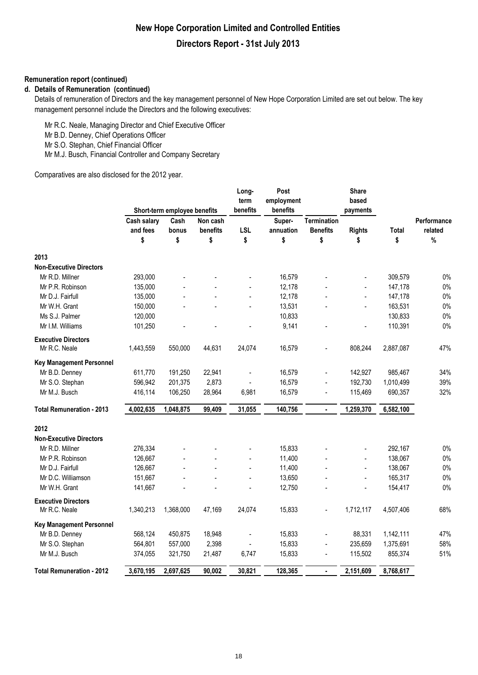#### **Remuneration report (continued)**

#### **d. Details of Remuneration (continued)**

Details of remuneration of Directors and the key management personnel of New Hope Corporation Limited are set out below. The key management personnel include the Directors and the following executives:

Mr R.C. Neale, Managing Director and Chief Executive Officer

Mr B.D. Denney, Chief Operations Officer

Mr S.O. Stephan, Chief Financial Officer

Mr M.J. Busch, Financial Controller and Company Secretary

Comparatives are also disclosed for the 2012 year.

|                                  |                               | Short-term employee benefits |                            | Long-<br>term<br>benefits | Post<br>employment<br>benefits |                                             | <b>Share</b><br>based<br>payments |             |                                |
|----------------------------------|-------------------------------|------------------------------|----------------------------|---------------------------|--------------------------------|---------------------------------------------|-----------------------------------|-------------|--------------------------------|
|                                  | Cash salary<br>and fees<br>\$ | Cash<br>bonus<br>\$          | Non cash<br>benefits<br>\$ | <b>LSL</b><br>\$          | Super-<br>annuation<br>\$      | <b>Termination</b><br><b>Benefits</b><br>\$ | <b>Rights</b><br>\$               | Total<br>\$ | Performance<br>related<br>$\%$ |
|                                  |                               |                              |                            |                           |                                |                                             |                                   |             |                                |
| 2013                             |                               |                              |                            |                           |                                |                                             |                                   |             |                                |
| <b>Non-Executive Directors</b>   |                               |                              |                            |                           |                                |                                             |                                   |             |                                |
| Mr R.D. Millner                  | 293,000                       |                              |                            |                           | 16,579                         |                                             |                                   | 309,579     | $0\%$                          |
| Mr P.R. Robinson                 | 135,000                       |                              |                            | $\overline{a}$            | 12,178                         |                                             | $\blacksquare$                    | 147,178     | $0\%$                          |
| Mr D.J. Fairfull                 | 135,000                       |                              |                            | $\overline{a}$            | 12,178                         |                                             | $\overline{\phantom{a}}$          | 147,178     | $0\%$                          |
| Mr W.H. Grant                    | 150,000                       |                              |                            |                           | 13,531                         |                                             | $\overline{a}$                    | 163,531     | $0\%$                          |
| Ms S.J. Palmer                   | 120,000                       |                              |                            |                           | 10,833                         |                                             |                                   | 130,833     | 0%                             |
| Mr I.M. Williams                 | 101,250                       |                              |                            | ÷,                        | 9,141                          |                                             | $\overline{a}$                    | 110,391     | 0%                             |
| <b>Executive Directors</b>       |                               |                              |                            |                           |                                |                                             |                                   |             |                                |
| Mr R.C. Neale                    | 1,443,559                     | 550,000                      | 44,631                     | 24,074                    | 16,579                         |                                             | 808,244                           | 2,887,087   | 47%                            |
| <b>Key Management Personnel</b>  |                               |                              |                            |                           |                                |                                             |                                   |             |                                |
| Mr B.D. Denney                   | 611,770                       | 191,250                      | 22,941                     | $\overline{a}$            | 16,579                         |                                             | 142.927                           | 985,467     | 34%                            |
| Mr S.O. Stephan                  | 596,942                       | 201,375                      | 2,873                      |                           | 16,579                         |                                             | 192,730                           | 1,010,499   | 39%                            |
| Mr M.J. Busch                    | 416,114                       | 106,250                      | 28,964                     | 6,981                     | 16,579                         | $\overline{a}$                              | 115,469                           | 690,357     | 32%                            |
| <b>Total Remuneration - 2013</b> | 4,002,635                     | 1,048,875                    | 99,409                     | 31,055                    | 140,756                        | $\blacksquare$                              | 1,259,370                         | 6,582,100   |                                |
| 2012                             |                               |                              |                            |                           |                                |                                             |                                   |             |                                |
| <b>Non-Executive Directors</b>   |                               |                              |                            |                           |                                |                                             |                                   |             |                                |
| Mr R.D. Millner                  | 276,334                       |                              |                            |                           | 15,833                         |                                             | $\overline{a}$                    | 292,167     | 0%                             |
| Mr P.R. Robinson                 | 126,667                       |                              |                            |                           | 11,400                         |                                             | $\blacksquare$                    | 138,067     | $0\%$                          |
| Mr D.J. Fairfull                 | 126,667                       |                              |                            |                           | 11,400                         |                                             | $\overline{a}$                    | 138,067     | $0\%$                          |
| Mr D.C. Williamson               | 151,667                       |                              |                            | $\overline{a}$            | 13,650                         |                                             | $\overline{a}$                    | 165,317     | 0%                             |
| Mr W.H. Grant                    | 141,667                       |                              |                            | $\overline{a}$            | 12,750                         |                                             |                                   | 154,417     | 0%                             |
| <b>Executive Directors</b>       |                               |                              |                            |                           |                                |                                             |                                   |             |                                |
| Mr R.C. Neale                    | 1,340,213                     | 1,368,000                    | 47,169                     | 24,074                    | 15,833                         |                                             | 1,712,117                         | 4,507,406   | 68%                            |
| <b>Key Management Personnel</b>  |                               |                              |                            |                           |                                |                                             |                                   |             |                                |
| Mr B.D. Denney                   | 568,124                       | 450,875                      | 18,948                     |                           | 15,833                         |                                             | 88,331                            | 1,142,111   | 47%                            |
| Mr S.O. Stephan                  | 564,801                       | 557,000                      | 2,398                      | $\overline{a}$            | 15,833                         |                                             | 235,659                           | 1,375,691   | 58%                            |
| Mr M.J. Busch                    | 374,055                       | 321,750                      | 21,487                     | 6,747                     | 15,833                         | $\overline{a}$                              | 115,502                           | 855,374     | 51%                            |
| <b>Total Remuneration - 2012</b> | 3,670,195                     | 2,697,625                    | 90,002                     | 30,821                    | 128,365                        | $\blacksquare$                              | 2,151,609                         | 8,768,617   |                                |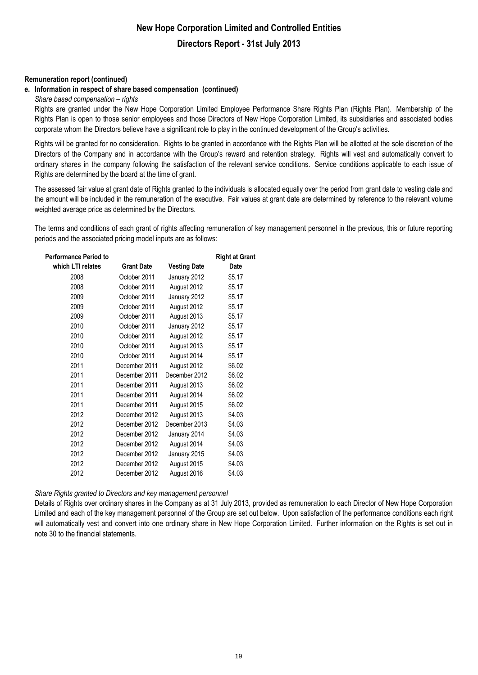#### **Remuneration report (continued)**

#### **e. Information in respect of share based compensation (continued)**

*Share based compensation – rights*

Rights are granted under the New Hope Corporation Limited Employee Performance Share Rights Plan (Rights Plan). Membership of the Rights Plan is open to those senior employees and those Directors of New Hope Corporation Limited, its subsidiaries and associated bodies corporate whom the Directors believe have a significant role to play in the continued development of the Group's activities.

Rights will be granted for no consideration. Rights to be granted in accordance with the Rights Plan will be allotted at the sole discretion of the Directors of the Company and in accordance with the Group's reward and retention strategy. Rights will vest and automatically convert to ordinary shares in the company following the satisfaction of the relevant service conditions. Service conditions applicable to each issue of Rights are determined by the board at the time of grant.

The assessed fair value at grant date of Rights granted to the individuals is allocated equally over the period from grant date to vesting date and the amount will be included in the remuneration of the executive. Fair values at grant date are determined by reference to the relevant volume weighted average price as determined by the Directors.

The terms and conditions of each grant of rights affecting remuneration of key management personnel in the previous, this or future reporting periods and the associated pricing model inputs are as follows:

| <b>Performance Period to</b> |                   |                     | <b>Right at Grant</b> |
|------------------------------|-------------------|---------------------|-----------------------|
| which LTI relates            | <b>Grant Date</b> | <b>Vesting Date</b> | Date                  |
| 2008                         | October 2011      | January 2012        | \$5.17                |
| 2008                         | October 2011      | August 2012         | \$5.17                |
| 2009                         | October 2011      | January 2012        | \$5.17                |
| 2009                         | October 2011      | August 2012         | \$5.17                |
| 2009                         | October 2011      | August 2013         | \$5.17                |
| 2010                         | October 2011      | January 2012        | \$5.17                |
| 2010                         | October 2011      | August 2012         | \$5.17                |
| 2010                         | October 2011      | August 2013         | \$5.17                |
| 2010                         | October 2011      | August 2014         | \$5.17                |
| 2011                         | December 2011     | August 2012         | \$6.02                |
| 2011                         | December 2011     | December 2012       | \$6.02                |
| 2011                         | December 2011     | August 2013         | \$6.02                |
| 2011                         | December 2011     | August 2014         | \$6.02                |
| 2011                         | December 2011     | August 2015         | \$6.02                |
| 2012                         | December 2012     | August 2013         | \$4.03                |
| 2012                         | December 2012     | December 2013       | \$4.03                |
| 2012                         | December 2012     | January 2014        | \$4.03                |
| 2012                         | December 2012     | August 2014         | \$4.03                |
| 2012                         | December 2012     | January 2015        | \$4.03                |
| 2012                         | December 2012     | August 2015         | \$4.03                |
| 2012                         | December 2012     | August 2016         | \$4.03                |
|                              |                   |                     |                       |

*Share Rights granted to Directors and key management personnel*

Details of Rights over ordinary shares in the Company as at 31 July 2013, provided as remuneration to each Director of New Hope Corporation Limited and each of the key management personnel of the Group are set out below. Upon satisfaction of the performance conditions each right will automatically vest and convert into one ordinary share in New Hope Corporation Limited. Further information on the Rights is set out in note 30 to the financial statements.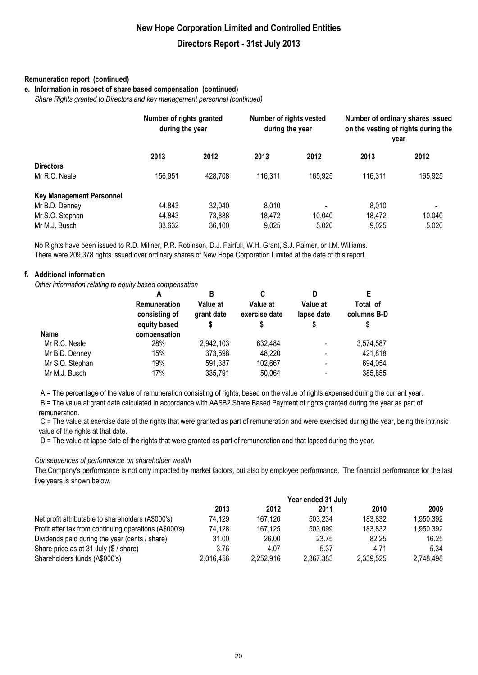#### **Remuneration report (continued)**

#### **e. Information in respect of share based compensation (continued)**

*Share Rights granted to Directors and key management personnel (continued)*

|                                 | Number of rights granted<br>during the year |         | Number of rights vested<br>during the year |         | Number of ordinary shares issued<br>on the vesting of rights during the<br>vear |         |
|---------------------------------|---------------------------------------------|---------|--------------------------------------------|---------|---------------------------------------------------------------------------------|---------|
|                                 | 2013                                        | 2012    | 2013                                       | 2012    | 2013                                                                            | 2012    |
| <b>Directors</b>                |                                             |         |                                            |         |                                                                                 |         |
| Mr R.C. Neale                   | 156,951                                     | 428,708 | 116,311                                    | 165,925 | 116,311                                                                         | 165,925 |
| <b>Key Management Personnel</b> |                                             |         |                                            |         |                                                                                 |         |
| Mr B.D. Denney                  | 44,843                                      | 32,040  | 8,010                                      |         | 8,010                                                                           |         |
| Mr S.O. Stephan                 | 44,843                                      | 73,888  | 18.472                                     | 10.040  | 18,472                                                                          | 10,040  |
| Mr M.J. Busch                   | 33,632                                      | 36,100  | 9.025                                      | 5.020   | 9.025                                                                           | 5,020   |

No Rights have been issued to R.D. Millner, P.R. Robinson, D.J. Fairfull, W.H. Grant, S.J. Palmer, or I.M. Williams. There were 209,378 rights issued over ordinary shares of New Hope Corporation Limited at the date of this report.

#### **f. Additional information**

*Other information relating to equity based compensation*

| А            | В                                                    | C                      |                           |                        |
|--------------|------------------------------------------------------|------------------------|---------------------------|------------------------|
|              |                                                      |                        |                           | Total of               |
|              |                                                      |                        |                           | columns B-D            |
|              |                                                      |                        |                           |                        |
| compensation |                                                      |                        |                           |                        |
| 28%          | 2,942,103                                            | 632,484                | ٠                         | 3,574,587              |
| 15%          | 373,598                                              | 48,220                 | ٠                         | 421,818                |
| 19%          | 591,387                                              | 102,667                |                           | 694,054                |
| 17%          | 335,791                                              | 50,064                 |                           | 385,855                |
|              | <b>Remuneration</b><br>consisting of<br>equity based | Value at<br>grant date | Value at<br>exercise date | Value at<br>lapse date |

A = The percentage of the value of remuneration consisting of rights, based on the value of rights expensed during the current year.

 B = The value at grant date calculated in accordance with AASB2 Share Based Payment of rights granted during the year as part of remuneration.

 C = The value at exercise date of the rights that were granted as part of remuneration and were exercised during the year, being the intrinsic value of the rights at that date.

D = The value at lapse date of the rights that were granted as part of remuneration and that lapsed during the year.

#### *Consequences of performance on shareholder wealth*

The Company's performance is not only impacted by market factors, but also by employee performance. The financial performance for the last five years is shown below.

|                                                        | Year ended 31 July |           |           |           |           |  |  |
|--------------------------------------------------------|--------------------|-----------|-----------|-----------|-----------|--|--|
|                                                        | 2013               | 2012      | 2011      | 2010      | 2009      |  |  |
| Net profit attributable to shareholders (A\$000's)     | 74,129             | 167.126   | 503.234   | 183,832   | 1,950,392 |  |  |
| Profit after tax from continuing operations (A\$000's) | 74,128             | 167.125   | 503.099   | 183,832   | 1.950.392 |  |  |
| Dividends paid during the year (cents / share)         | 31.00              | 26.00     | 23.75     | 82.25     | 16.25     |  |  |
| Share price as at 31 July (\$ / share)                 | 3.76               | 4.07      | 5.37      | 4.71      | 5.34      |  |  |
| Shareholders funds (A\$000's)                          | 2.016.456          | 2,252,916 | 2,367,383 | 2,339,525 | 2,748,498 |  |  |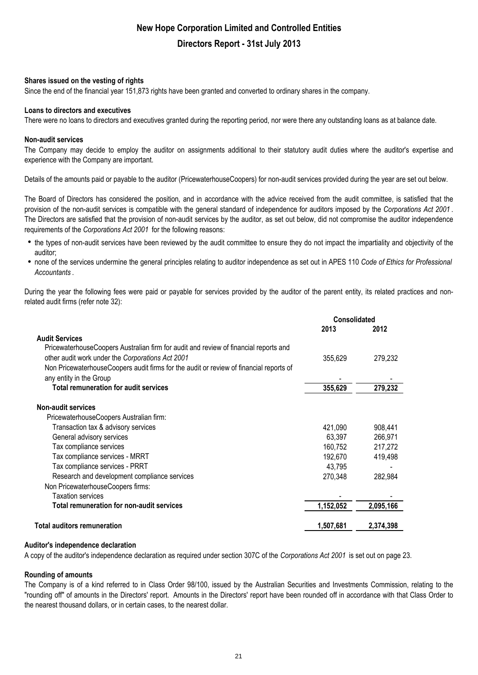#### **Shares issued on the vesting of rights**

Since the end of the financial year 151,873 rights have been granted and converted to ordinary shares in the company.

#### **Loans to directors and executives**

There were no loans to directors and executives granted during the reporting period, nor were there any outstanding loans as at balance date.

#### **Non-audit services**

The Company may decide to employ the auditor on assignments additional to their statutory audit duties where the auditor's expertise and experience with the Company are important.

Details of the amounts paid or payable to the auditor (PricewaterhouseCoopers) for non-audit services provided during the year are set out below.

The Board of Directors has considered the position, and in accordance with the advice received from the audit committee, is satisfied that the provision of the non-audit services is compatible with the general standard of independence for auditors imposed by the *Corporations Act 2001* . The Directors are satisfied that the provision of non-audit services by the auditor, as set out below, did not compromise the auditor independence requirements of the *Corporations Act 2001* for the following reasons:

- the types of non-audit services have been reviewed by the audit committee to ensure they do not impact the impartiality and objectivity of the auditor;
- h none of the services undermine the general principles relating to auditor independence as set out in APES 110 *Code of Ethics for Professional Accountants* .

During the year the following fees were paid or payable for services provided by the auditor of the parent entity, its related practices and nonrelated audit firms (refer note 32):

|                                                                                        | Consolidated |           |
|----------------------------------------------------------------------------------------|--------------|-----------|
|                                                                                        | 2013         | 2012      |
| <b>Audit Services</b>                                                                  |              |           |
| PricewaterhouseCoopers Australian firm for audit and review of financial reports and   |              |           |
| other audit work under the Corporations Act 2001                                       | 355,629      | 279,232   |
| Non PricewaterhouseCoopers audit firms for the audit or review of financial reports of |              |           |
| any entity in the Group                                                                |              |           |
| <b>Total remuneration for audit services</b>                                           | 355,629      | 279,232   |
| <b>Non-audit services</b>                                                              |              |           |
| PricewaterhouseCoopers Australian firm:                                                |              |           |
| Transaction tax & advisory services                                                    | 421,090      | 908,441   |
| General advisory services                                                              | 63,397       | 266,971   |
| Tax compliance services                                                                | 160,752      | 217,272   |
| Tax compliance services - MRRT                                                         | 192,670      | 419,498   |
| Tax compliance services - PRRT                                                         | 43,795       |           |
| Research and development compliance services                                           | 270,348      | 282,984   |
| Non PricewaterhouseCoopers firms:                                                      |              |           |
| <b>Taxation services</b>                                                               |              |           |
| <b>Total remuneration for non-audit services</b>                                       | 1,152,052    | 2,095,166 |
| Total auditors remuneration                                                            | 1,507,681    | 2,374,398 |

#### **Auditor's independence declaration**

A copy of the auditor's independence declaration as required under section 307C of the *Corporations Act 2001* is set out on page 23.

#### **Rounding of amounts**

The Company is of a kind referred to in Class Order 98/100, issued by the Australian Securities and Investments Commission, relating to the "rounding off" of amounts in the Directors' report. Amounts in the Directors' report have been rounded off in accordance with that Class Order to the nearest thousand dollars, or in certain cases, to the nearest dollar.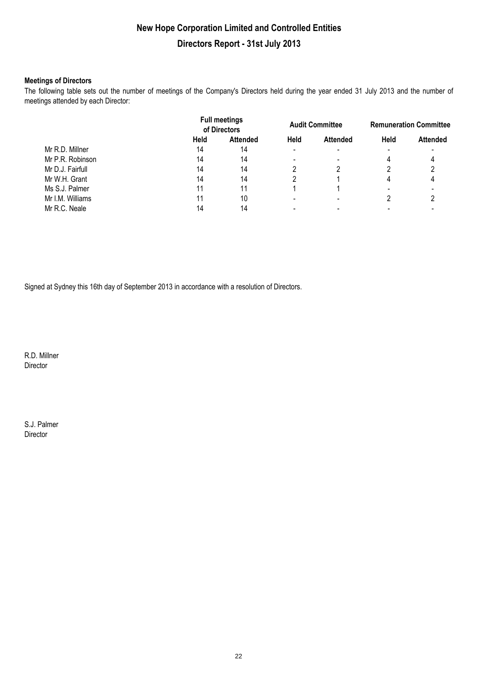#### **Meetings of Directors**

The following table sets out the number of meetings of the Company's Directors held during the year ended 31 July 2013 and the number of meetings attended by each Director:

|                  | <b>Full meetings</b><br>of Directors |                 | <b>Audit Committee</b>   |                          | <b>Remuneration Committee</b> |                 |
|------------------|--------------------------------------|-----------------|--------------------------|--------------------------|-------------------------------|-----------------|
|                  | Held                                 | <b>Attended</b> | Held                     | <b>Attended</b>          | Held                          | <b>Attended</b> |
| Mr R.D. Millner  | 14                                   | 14              | $\overline{\phantom{a}}$ | $\overline{\phantom{a}}$ |                               |                 |
| Mr P.R. Robinson | 14                                   | 14              | $\,$                     |                          | 4                             | 4               |
| Mr D.J. Fairfull | 14                                   | 14              |                          |                          |                               | າ               |
| Mr W.H. Grant    | 14                                   | 14              |                          |                          |                               | 4               |
| Ms S.J. Palmer   |                                      |                 |                          |                          |                               |                 |
| Mr I.M. Williams |                                      | 10              |                          |                          |                               |                 |
| Mr R.C. Neale    | 14                                   | 14              |                          |                          |                               |                 |

Signed at Sydney this 16th day of September 2013 in accordance with a resolution of Directors.

R.D. Millner Director

S.J. Palmer Director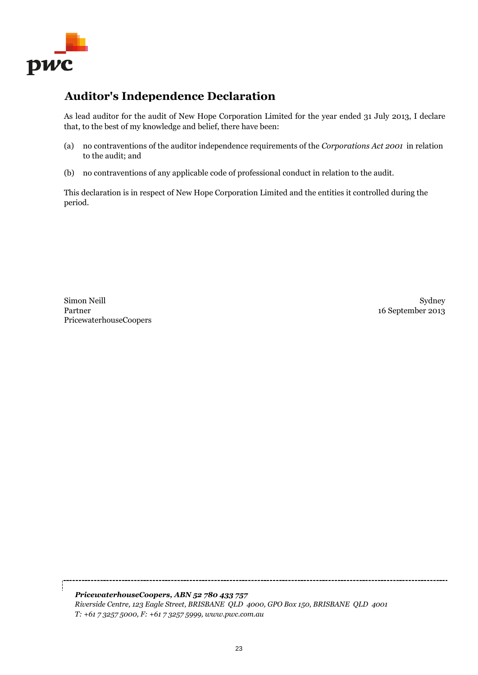

# **Auditor's Independence Declaration**

As lead auditor for the audit of New Hope Corporation Limited for the year ended 31 July 2013, I declare that, to the best of my knowledge and belief, there have been:

- (a) no contraventions of the auditor independence requirements of the *Corporations Act 2001* in relation to the audit; and
- (b) no contraventions of any applicable code of professional conduct in relation to the audit.

This declaration is in respect of New Hope Corporation Limited and the entities it controlled during the period.

PricewaterhouseCoopers Simon Neill Partner

Sydney 16 September 2013

*PricewaterhouseCoopers, ABN 52 780 433 757 Riverside Centre, 123 Eagle Street, BRISBANE QLD 4000, GPO Box 150, BRISBANE QLD 4001 T: +61 7 3257 5000, F: +61 7 3257 5999, www.pwc.com.au*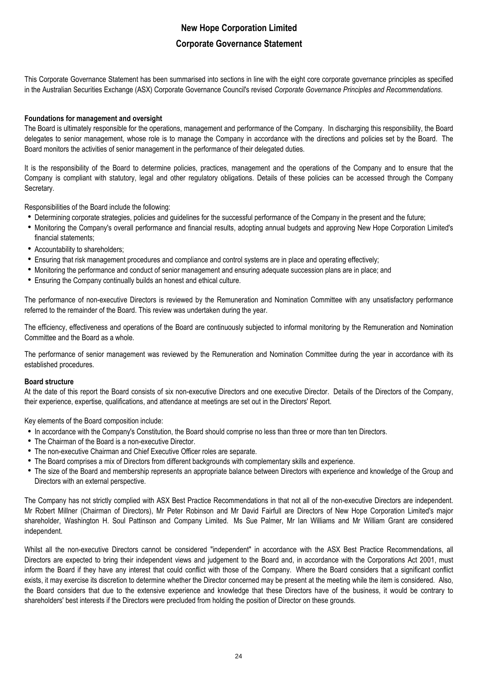This Corporate Governance Statement has been summarised into sections in line with the eight core corporate governance principles as specified in the Australian Securities Exchange (ASX) Corporate Governance Council's revised *Corporate Governance Principles and Recommendations.*

#### **Foundations for management and oversight**

The Board is ultimately responsible for the operations, management and performance of the Company. In discharging this responsibility, the Board delegates to senior management, whose role is to manage the Company in accordance with the directions and policies set by the Board. The Board monitors the activities of senior management in the performance of their delegated duties.

It is the responsibility of the Board to determine policies, practices, management and the operations of the Company and to ensure that the Company is compliant with statutory, legal and other regulatory obligations. Details of these policies can be accessed through the Company Secretary.

Responsibilities of the Board include the following:

- Determining corporate strategies, policies and guidelines for the successful performance of the Company in the present and the future;
- Monitoring the Company's overall performance and financial results, adopting annual budgets and approving New Hope Corporation Limited's financial statements;
- Accountability to shareholders;
- Ensuring that risk management procedures and compliance and control systems are in place and operating effectively;
- Monitoring the performance and conduct of senior management and ensuring adequate succession plans are in place; and
- Ensuring the Company continually builds an honest and ethical culture.

The performance of non-executive Directors is reviewed by the Remuneration and Nomination Committee with any unsatisfactory performance referred to the remainder of the Board. This review was undertaken during the year.

The efficiency, effectiveness and operations of the Board are continuously subjected to informal monitoring by the Remuneration and Nomination Committee and the Board as a whole.

The performance of senior management was reviewed by the Remuneration and Nomination Committee during the year in accordance with its established procedures.

#### **Board structure**

At the date of this report the Board consists of six non-executive Directors and one executive Director. Details of the Directors of the Company, their experience, expertise, qualifications, and attendance at meetings are set out in the Directors' Report.

Key elements of the Board composition include:

- In accordance with the Company's Constitution, the Board should comprise no less than three or more than ten Directors.
- The Chairman of the Board is a non-executive Director.
- The non-executive Chairman and Chief Executive Officer roles are separate.
- The Board comprises a mix of Directors from different backgrounds with complementary skills and experience.
- The size of the Board and membership represents an appropriate balance between Directors with experience and knowledge of the Group and Directors with an external perspective.

The Company has not strictly complied with ASX Best Practice Recommendations in that not all of the non-executive Directors are independent. Mr Robert Millner (Chairman of Directors), Mr Peter Robinson and Mr David Fairfull are Directors of New Hope Corporation Limited's major shareholder, Washington H. Soul Pattinson and Company Limited. Ms Sue Palmer, Mr Ian Williams and Mr William Grant are considered independent.

Whilst all the non-executive Directors cannot be considered "independent" in accordance with the ASX Best Practice Recommendations, all Directors are expected to bring their independent views and judgement to the Board and, in accordance with the Corporations Act 2001, must inform the Board if they have any interest that could conflict with those of the Company. Where the Board considers that a significant conflict exists, it may exercise its discretion to determine whether the Director concerned may be present at the meeting while the item is considered. Also, the Board considers that due to the extensive experience and knowledge that these Directors have of the business, it would be contrary to shareholders' best interests if the Directors were precluded from holding the position of Director on these grounds.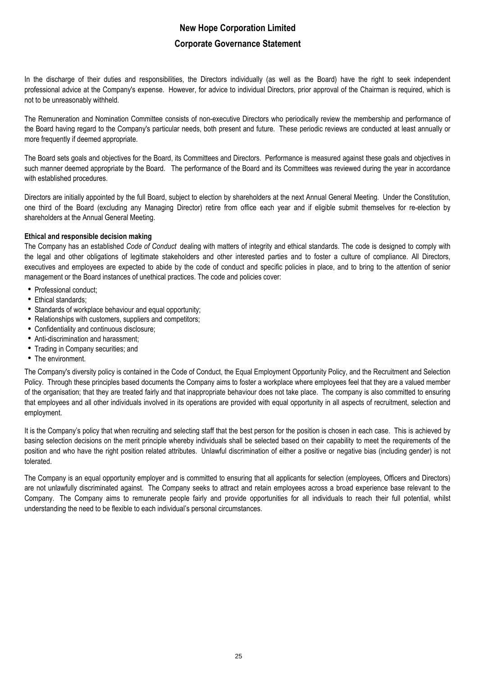In the discharge of their duties and responsibilities, the Directors individually (as well as the Board) have the right to seek independent professional advice at the Company's expense. However, for advice to individual Directors, prior approval of the Chairman is required, which is not to be unreasonably withheld.

The Remuneration and Nomination Committee consists of non-executive Directors who periodically review the membership and performance of the Board having regard to the Company's particular needs, both present and future. These periodic reviews are conducted at least annually or more frequently if deemed appropriate.

The Board sets goals and objectives for the Board, its Committees and Directors. Performance is measured against these goals and objectives in such manner deemed appropriate by the Board. The performance of the Board and its Committees was reviewed during the year in accordance with established procedures.

Directors are initially appointed by the full Board, subject to election by shareholders at the next Annual General Meeting. Under the Constitution, one third of the Board (excluding any Managing Director) retire from office each year and if eligible submit themselves for re-election by shareholders at the Annual General Meeting.

#### **Ethical and responsible decision making**

The Company has an established *Code of Conduct* dealing with matters of integrity and ethical standards. The code is designed to comply with the legal and other obligations of legitimate stakeholders and other interested parties and to foster a culture of compliance. All Directors, executives and employees are expected to abide by the code of conduct and specific policies in place, and to bring to the attention of senior management or the Board instances of unethical practices. The code and policies cover:

- Professional conduct;
- Ethical standards;
- Standards of workplace behaviour and equal opportunity;
- Relationships with customers, suppliers and competitors;
- Confidentiality and continuous disclosure;
- Anti-discrimination and harassment;
- Trading in Company securities; and
- The environment.

The Company's diversity policy is contained in the Code of Conduct, the Equal Employment Opportunity Policy, and the Recruitment and Selection Policy. Through these principles based documents the Company aims to foster a workplace where employees feel that they are a valued member of the organisation; that they are treated fairly and that inappropriate behaviour does not take place. The company is also committed to ensuring that employees and all other individuals involved in its operations are provided with equal opportunity in all aspects of recruitment, selection and employment.

It is the Company's policy that when recruiting and selecting staff that the best person for the position is chosen in each case. This is achieved by basing selection decisions on the merit principle whereby individuals shall be selected based on their capability to meet the requirements of the position and who have the right position related attributes. Unlawful discrimination of either a positive or negative bias (including gender) is not tolerated.

The Company is an equal opportunity employer and is committed to ensuring that all applicants for selection (employees, Officers and Directors) are not unlawfully discriminated against. The Company seeks to attract and retain employees across a broad experience base relevant to the Company. The Company aims to remunerate people fairly and provide opportunities for all individuals to reach their full potential, whilst understanding the need to be flexible to each individual's personal circumstances.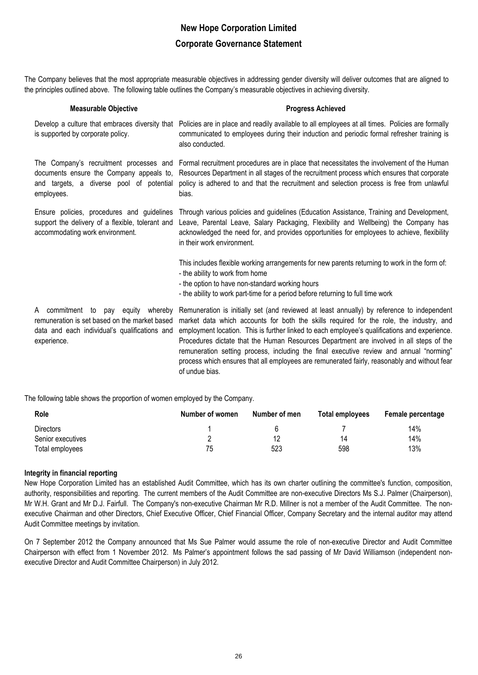The Company believes that the most appropriate measurable objectives in addressing gender diversity will deliver outcomes that are aligned to the principles outlined above. The following table outlines the Company's measurable objectives in achieving diversity.

| <b>Measurable Objective</b>                                                         | <b>Progress Achieved</b>                                                                                                                                                                                                                                                                                                                                                                                                |
|-------------------------------------------------------------------------------------|-------------------------------------------------------------------------------------------------------------------------------------------------------------------------------------------------------------------------------------------------------------------------------------------------------------------------------------------------------------------------------------------------------------------------|
| Develop a culture that embraces diversity that<br>is supported by corporate policy. | Policies are in place and readily available to all employees at all times. Policies are formally<br>communicated to employees during their induction and periodic formal refresher training is<br>also conducted.                                                                                                                                                                                                       |
| employees.                                                                          | The Company's recruitment processes and Formal recruitment procedures are in place that necessitates the involvement of the Human<br>documents ensure the Company appeals to, Resources Department in all stages of the recruitment process which ensures that corporate<br>and targets, a diverse pool of potential policy is adhered to and that the recruitment and selection process is free from unlawful<br>bias. |
| support the delivery of a flexible, tolerant and<br>accommodating work environment. | Ensure policies, procedures and guidelines Through various policies and guidelines (Education Assistance, Training and Development,<br>Leave, Parental Leave, Salary Packaging, Flexibility and Wellbeing) the Company has<br>acknowledged the need for, and provides opportunities for employees to achieve, flexibility<br>in their work environment.                                                                 |
|                                                                                     | This includes flexible working arrangements for new parents returning to work in the form of:<br>- the ability to work from home<br>- the option to have non-standard working hours<br>- the ability to work part-time for a period before returning to full time work                                                                                                                                                  |

A commitment to pay equity whereby remuneration is set based on the market based data and each individual's qualifications and experience.

Remuneration is initially set (and reviewed at least annually) by reference to independent market data which accounts for both the skills required for the role, the industry, and employment location. This is further linked to each employee's qualifications and experience. Procedures dictate that the Human Resources Department are involved in all steps of the remuneration setting process, including the final executive review and annual "norming" process which ensures that all employees are remunerated fairly, reasonably and without fear of undue bias.

The following table shows the proportion of women employed by the Company.

| Role              | Number of women | Number of men | Total employees | Female percentage |
|-------------------|-----------------|---------------|-----------------|-------------------|
| <b>Directors</b>  |                 |               |                 | 14%               |
| Senior executives |                 | 12            | 14              | 14%               |
| Total employees   | 75              | 523           | 598             | 13%               |

#### **Integrity in financial reporting**

New Hope Corporation Limited has an established Audit Committee, which has its own charter outlining the committee's function, composition, authority, responsibilities and reporting. The current members of the Audit Committee are non-executive Directors Ms S.J. Palmer (Chairperson), Mr W.H. Grant and Mr D.J. Fairfull. The Company's non-executive Chairman Mr R.D. Millner is not a member of the Audit Committee. The nonexecutive Chairman and other Directors, Chief Executive Officer, Chief Financial Officer, Company Secretary and the internal auditor may attend Audit Committee meetings by invitation.

On 7 September 2012 the Company announced that Ms Sue Palmer would assume the role of non-executive Director and Audit Committee Chairperson with effect from 1 November 2012. Ms Palmer's appointment follows the sad passing of Mr David Williamson (independent nonexecutive Director and Audit Committee Chairperson) in July 2012.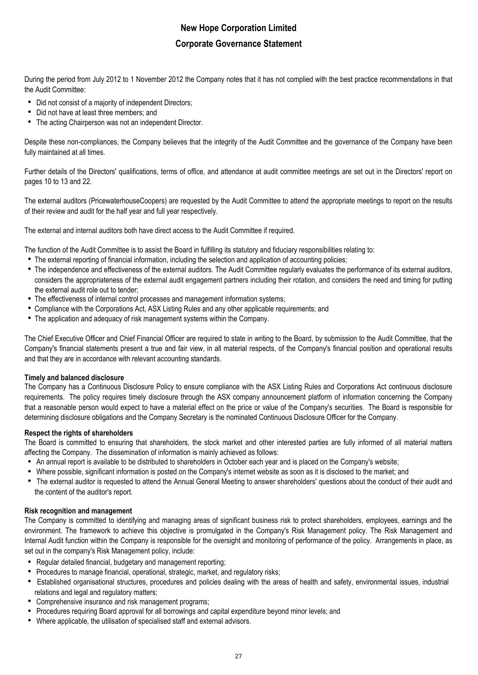During the period from July 2012 to 1 November 2012 the Company notes that it has not complied with the best practice recommendations in that the Audit Committee:

- Did not consist of a majority of independent Directors;
- Did not have at least three members; and
- The acting Chairperson was not an independent Director.

Despite these non-compliances, the Company believes that the integrity of the Audit Committee and the governance of the Company have been fully maintained at all times.

Further details of the Directors' qualifications, terms of office, and attendance at audit committee meetings are set out in the Directors' report on pages 10 to 13 and 22.

The external auditors (PricewaterhouseCoopers) are requested by the Audit Committee to attend the appropriate meetings to report on the results of their review and audit for the half year and full year respectively.

The external and internal auditors both have direct access to the Audit Committee if required.

The function of the Audit Committee is to assist the Board in fulfilling its statutory and fiduciary responsibilities relating to:

- The external reporting of financial information, including the selection and application of accounting policies;
- The independence and effectiveness of the external auditors. The Audit Committee regularly evaluates the performance of its external auditors, considers the appropriateness of the external audit engagement partners including their rotation, and considers the need and timing for putting the external audit role out to tender;
- The effectiveness of internal control processes and management information systems;
- Compliance with the Corporations Act, ASX Listing Rules and any other applicable requirements; and
- The application and adequacy of risk management systems within the Company.

The Chief Executive Officer and Chief Financial Officer are required to state in writing to the Board, by submission to the Audit Committee, that the Company's financial statements present a true and fair view, in all material respects, of the Company's financial position and operational results and that they are in accordance with relevant accounting standards.

#### **Timely and balanced disclosure**

The Company has a Continuous Disclosure Policy to ensure compliance with the ASX Listing Rules and Corporations Act continuous disclosure requirements. The policy requires timely disclosure through the ASX company announcement platform of information concerning the Company that a reasonable person would expect to have a material effect on the price or value of the Company's securities. The Board is responsible for determining disclosure obligations and the Company Secretary is the nominated Continuous Disclosure Officer for the Company.

#### **Respect the rights of shareholders**

The Board is committed to ensuring that shareholders, the stock market and other interested parties are fully informed of all material matters affecting the Company. The dissemination of information is mainly achieved as follows:

- An annual report is available to be distributed to shareholders in October each year and is placed on the Company's website;
- Where possible, significant information is posted on the Company's internet website as soon as it is disclosed to the market; and
- The external auditor is requested to attend the Annual General Meeting to answer shareholders' questions about the conduct of their audit and the content of the auditor's report.

#### **Risk recognition and management**

The Company is committed to identifying and managing areas of significant business risk to protect shareholders, employees, earnings and the environment. The framework to achieve this objective is promulgated in the Company's Risk Management policy. The Risk Management and Internal Audit function within the Company is responsible for the oversight and monitoring of performance of the policy. Arrangements in place, as set out in the company's Risk Management policy, include:

- Regular detailed financial, budgetary and management reporting;
- Procedures to manage financial, operational, strategic, market, and regulatory risks;
- Established organisational structures, procedures and policies dealing with the areas of health and safety, environmental issues, industrial relations and legal and regulatory matters;
- Comprehensive insurance and risk management programs;
- Procedures requiring Board approval for all borrowings and capital expenditure beyond minor levels; and
- Where applicable, the utilisation of specialised staff and external advisors.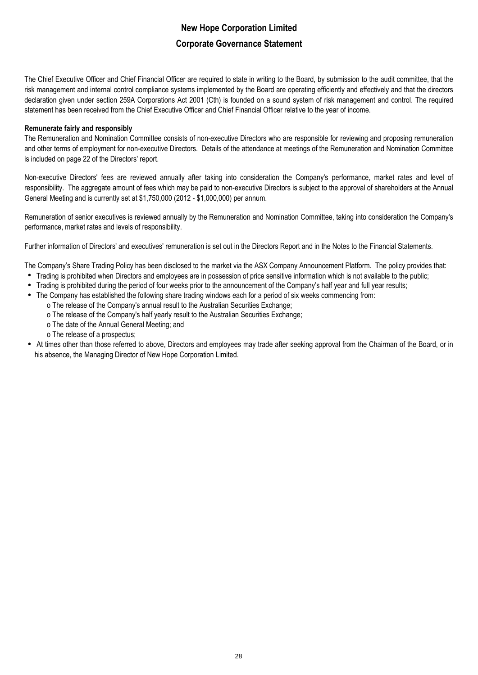The Chief Executive Officer and Chief Financial Officer are required to state in writing to the Board, by submission to the audit committee, that the risk management and internal control compliance systems implemented by the Board are operating efficiently and effectively and that the directors declaration given under section 259A Corporations Act 2001 (Cth) is founded on a sound system of risk management and control. The required statement has been received from the Chief Executive Officer and Chief Financial Officer relative to the year of income.

#### **Remunerate fairly and responsibly**

The Remuneration and Nomination Committee consists of non-executive Directors who are responsible for reviewing and proposing remuneration and other terms of employment for non-executive Directors. Details of the attendance at meetings of the Remuneration and Nomination Committee is included on page 22 of the Directors' report.

Non-executive Directors' fees are reviewed annually after taking into consideration the Company's performance, market rates and level of responsibility. The aggregate amount of fees which may be paid to non-executive Directors is subject to the approval of shareholders at the Annual General Meeting and is currently set at \$1,750,000 (2012 - \$1,000,000) per annum.

Remuneration of senior executives is reviewed annually by the Remuneration and Nomination Committee, taking into consideration the Company's performance, market rates and levels of responsibility.

Further information of Directors' and executives' remuneration is set out in the Directors Report and in the Notes to the Financial Statements.

The Company's Share Trading Policy has been disclosed to the market via the ASX Company Announcement Platform. The policy provides that:

- Trading is prohibited when Directors and employees are in possession of price sensitive information which is not available to the public;
- Trading is prohibited during the period of four weeks prior to the announcement of the Company's half year and full year results;
- The Company has established the following share trading windows each for a period of six weeks commencing from:
	- o The release of the Company's annual result to the Australian Securities Exchange;
		- o The release of the Company's half yearly result to the Australian Securities Exchange;
		- o The date of the Annual General Meeting; and
		- o The release of a prospectus;
- At times other than those referred to above, Directors and employees may trade after seeking approval from the Chairman of the Board, or in his absence, the Managing Director of New Hope Corporation Limited.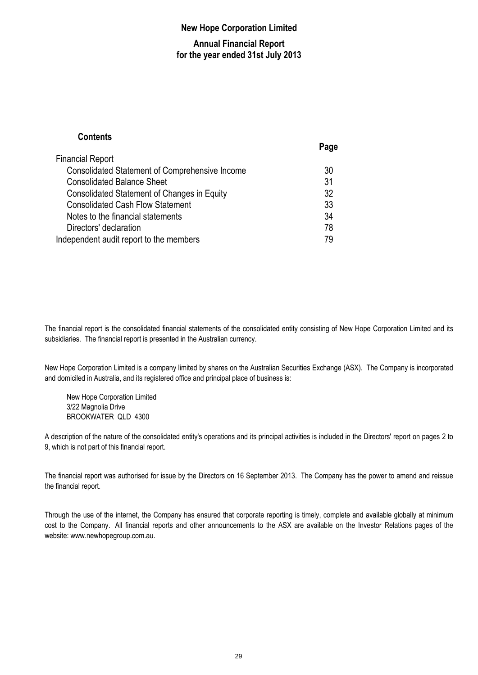### **New Hope Corporation Limited**

## **Annual Financial Report for the year ended 31st July 2013**

## **Contents Page** Financial Report Consolidated Statement of Comprehensive Income 30 **Consolidated Balance Sheet 31** 31 Consolidated Statement of Changes in Equity 32 Consolidated Cash Flow Statement 33 Notes to the financial statements 34 Directors' declaration 78 Independent audit report to the members 79

The financial report is the consolidated financial statements of the consolidated entity consisting of New Hope Corporation Limited and its subsidiaries. The financial report is presented in the Australian currency.

New Hope Corporation Limited is a company limited by shares on the Australian Securities Exchange (ASX). The Company is incorporated and domiciled in Australia, and its registered office and principal place of business is:

New Hope Corporation Limited 3/22 Magnolia Drive BROOKWATER QLD 4300

A description of the nature of the consolidated entity's operations and its principal activities is included in the Directors' report on pages 2 to 9, which is not part of this financial report.

The financial report was authorised for issue by the Directors on 16 September 2013. The Company has the power to amend and reissue the financial report.

Through the use of the internet, the Company has ensured that corporate reporting is timely, complete and available globally at minimum cost to the Company. All financial reports and other announcements to the ASX are available on the Investor Relations pages of the website: www.newhopegroup.com.au.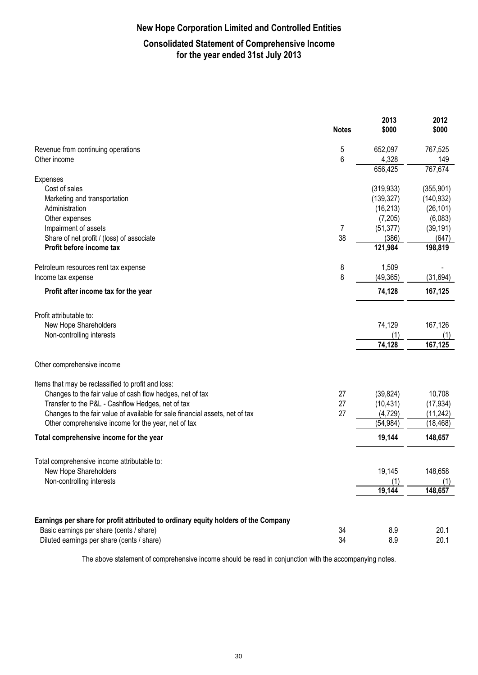## **Consolidated Statement of Comprehensive Income for the year ended 31st July 2013**

|                                                                                    | <b>Notes</b> | 2013<br>\$000           | 2012<br>\$000             |
|------------------------------------------------------------------------------------|--------------|-------------------------|---------------------------|
| Revenue from continuing operations                                                 | 5            | 652,097                 | 767,525                   |
| Other income                                                                       | 6            | 4,328                   | 149                       |
|                                                                                    |              | 656,425                 | 767,674                   |
| Expenses                                                                           |              |                         |                           |
| Cost of sales                                                                      |              | (319, 933)              | (355, 901)                |
| Marketing and transportation                                                       |              | (139, 327)              | (140, 932)                |
| Administration                                                                     |              | (16, 213)               | (26, 101)                 |
| Other expenses                                                                     |              | (7, 205)                | (6,083)                   |
| Impairment of assets                                                               | 7            | (51, 377)               | (39, 191)                 |
| Share of net profit / (loss) of associate                                          | 38           | (386)                   | (647)                     |
| Profit before income tax                                                           |              | 121,984                 | 198,819                   |
| Petroleum resources rent tax expense                                               | 8            | 1,509                   |                           |
| Income tax expense                                                                 | 8            | (49, 365)               | (31, 694)                 |
| Profit after income tax for the year                                               |              | 74,128                  | 167,125                   |
| Profit attributable to:<br>New Hope Shareholders<br>Non-controlling interests      |              | 74,129<br>(1)<br>74,128 | 167,126<br>(1)<br>167,125 |
| Other comprehensive income                                                         |              |                         |                           |
| Items that may be reclassified to profit and loss:                                 |              |                         |                           |
| Changes to the fair value of cash flow hedges, net of tax                          | 27           | (39, 824)               | 10,708                    |
| Transfer to the P&L - Cashflow Hedges, net of tax                                  | 27           | (10, 431)               | (17, 934)                 |
| Changes to the fair value of available for sale financial assets, net of tax       | 27           | (4, 729)                | (11, 242)                 |
| Other comprehensive income for the year, net of tax                                |              | (54, 984)               | (18, 468)                 |
| Total comprehensive income for the year                                            |              | 19,144                  | 148,657                   |
| Total comprehensive income attributable to:                                        |              |                         |                           |
| New Hope Shareholders                                                              |              | 19,145                  | 148,658                   |
| Non-controlling interests                                                          |              | (1)                     | (1)                       |
|                                                                                    |              | 19,144                  | 148,657                   |
| Earnings per share for profit attributed to ordinary equity holders of the Company |              |                         |                           |
| Basic earnings per share (cents / share)                                           | 34<br>34     | 8.9<br>8.9              | 20.1<br>20.1              |
| Diluted earnings per share (cents / share)                                         |              |                         |                           |

The above statement of comprehensive income should be read in conjunction with the accompanying notes.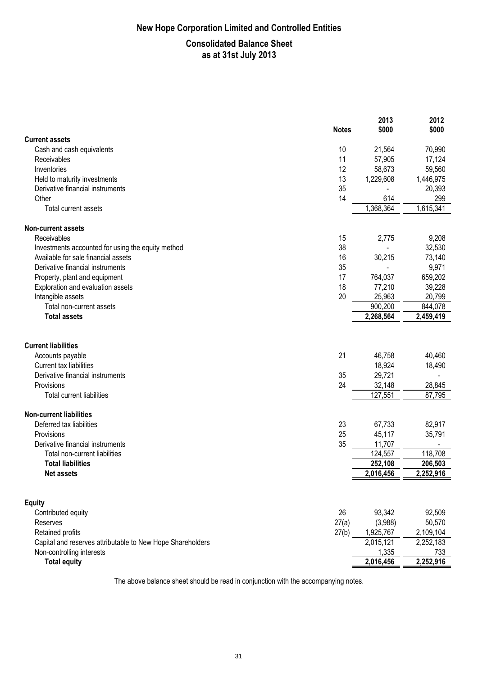## **Consolidated Balance Sheet as at 31st July 2013**

|                                                            |              | 2013             | 2012                   |
|------------------------------------------------------------|--------------|------------------|------------------------|
|                                                            | <b>Notes</b> | \$000            | \$000                  |
| <b>Current assets</b>                                      |              |                  |                        |
| Cash and cash equivalents                                  | 10           | 21,564           | 70,990                 |
| Receivables                                                | 11           | 57,905           | 17,124                 |
| Inventories                                                | 12           | 58,673           | 59,560                 |
| Held to maturity investments                               | 13           | 1,229,608        | 1,446,975              |
| Derivative financial instruments<br>Other                  | 35<br>14     |                  | 20,393                 |
| Total current assets                                       |              | 614<br>1,368,364 | 299<br>1,615,341       |
|                                                            |              |                  |                        |
| Non-current assets                                         |              |                  |                        |
| Receivables                                                | 15           | 2,775            | 9,208                  |
| Investments accounted for using the equity method          | 38           |                  | 32,530                 |
| Available for sale financial assets                        | 16           | 30,215           | 73,140                 |
| Derivative financial instruments                           | 35           |                  | 9,971                  |
| Property, plant and equipment                              | 17           | 764,037          | 659,202                |
| Exploration and evaluation assets                          | 18           | 77,210           | 39,228                 |
| Intangible assets                                          | 20           | 25,963           | 20,799                 |
| Total non-current assets                                   |              | 900,200          | 844,078                |
| <b>Total assets</b>                                        |              | 2,268,564        | $\overline{2,}459,419$ |
| <b>Current liabilities</b>                                 |              |                  |                        |
| Accounts payable                                           | 21           | 46,758           | 40,460                 |
| Current tax liabilities                                    |              | 18,924           | 18,490                 |
| Derivative financial instruments                           | 35           | 29,721           |                        |
| Provisions                                                 | 24           | 32,148           | 28,845                 |
| <b>Total current liabilities</b>                           |              | 127,551          | 87,795                 |
| <b>Non-current liabilities</b>                             |              |                  |                        |
| Deferred tax liabilities                                   | 23           | 67,733           | 82,917                 |
| Provisions                                                 | 25           | 45,117           | 35,791                 |
| Derivative financial instruments                           | 35           | 11,707           |                        |
| Total non-current liabilities                              |              | 124,557          | 118,708                |
| <b>Total liabilities</b>                                   |              | 252,108          | 206,503                |
| <b>Net assets</b>                                          |              | 2,016,456        | 2,252,916              |
|                                                            |              |                  |                        |
| <b>Equity</b>                                              |              |                  |                        |
| Contributed equity                                         | 26           | 93,342           | 92,509                 |
| Reserves                                                   | 27(a)        | (3,988)          | 50,570                 |
| Retained profits                                           | 27(b)        | 1,925,767        | 2,109,104              |
| Capital and reserves attributable to New Hope Shareholders |              | 2,015,121        | 2,252,183              |
| Non-controlling interests                                  |              | 1,335            | 733                    |
| <b>Total equity</b>                                        |              | 2,016,456        | 2,252,916              |

The above balance sheet should be read in conjunction with the accompanying notes.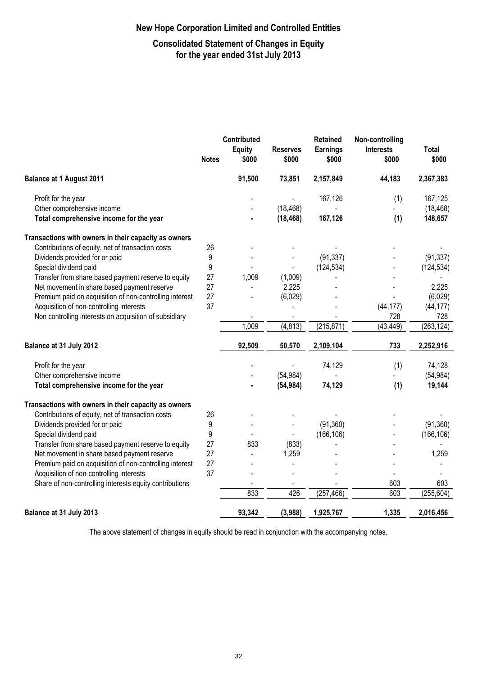## **Consolidated Statement of Changes in Equity for the year ended 31st July 2013**

|                                                                       | <b>Notes</b> | Contributed<br><b>Equity</b><br>\$000 | <b>Reserves</b><br>\$000 | Retained<br><b>Earnings</b><br>\$000 | Non-controlling<br><b>Interests</b><br>\$000 | <b>Total</b><br>\$000 |
|-----------------------------------------------------------------------|--------------|---------------------------------------|--------------------------|--------------------------------------|----------------------------------------------|-----------------------|
| <b>Balance at 1 August 2011</b>                                       |              | 91,500                                | 73,851                   | 2,157,849                            | 44,183                                       | 2,367,383             |
| Profit for the year                                                   |              |                                       |                          | 167,126                              | (1)                                          | 167,125               |
| Other comprehensive income<br>Total comprehensive income for the year |              |                                       | (18, 468)<br>(18, 468)   | 167,126                              | $\overline{a}$<br>(1)                        | (18, 468)<br>148,657  |
| Transactions with owners in their capacity as owners                  |              |                                       |                          |                                      |                                              |                       |
| Contributions of equity, net of transaction costs                     | 26           |                                       |                          |                                      |                                              |                       |
| Dividends provided for or paid                                        | 9            |                                       |                          | (91, 337)                            |                                              | (91, 337)             |
| Special dividend paid                                                 | 9            |                                       |                          | (124, 534)                           |                                              | (124, 534)            |
| Transfer from share based payment reserve to equity                   | 27           | 1,009                                 | (1,009)                  |                                      |                                              |                       |
| Net movement in share based payment reserve                           | 27           |                                       | 2,225                    |                                      |                                              | 2,225                 |
| Premium paid on acquisition of non-controlling interest               | 27           |                                       | (6,029)                  |                                      |                                              | (6,029)               |
| Acquisition of non-controlling interests                              | 37           |                                       |                          |                                      | (44, 177)                                    | (44, 177)             |
| Non controlling interests on acquisition of subsidiary                |              |                                       |                          |                                      | 728                                          | 728                   |
|                                                                       |              | 1,009                                 | (4, 813)                 | (215, 871)                           | (43, 449)                                    | (263, 124)            |
| Balance at 31 July 2012                                               |              | 92,509                                | 50,570                   | 2,109,104                            | 733                                          | 2,252,916             |
| Profit for the year                                                   |              |                                       |                          | 74,129                               | (1)                                          | 74,128                |
| Other comprehensive income                                            |              |                                       | (54, 984)                |                                      |                                              | (54, 984)             |
| Total comprehensive income for the year                               |              |                                       | (54, 984)                | 74,129                               | (1)                                          | 19,144                |
| Transactions with owners in their capacity as owners                  |              |                                       |                          |                                      |                                              |                       |
| Contributions of equity, net of transaction costs                     | 26           |                                       |                          |                                      |                                              |                       |
| Dividends provided for or paid                                        | 9            |                                       |                          | (91, 360)                            |                                              | (91, 360)             |
| Special dividend paid                                                 | 9            |                                       | $\overline{a}$           | (166, 106)                           |                                              | (166, 106)            |
| Transfer from share based payment reserve to equity                   | 27           | 833                                   | (833)                    |                                      |                                              |                       |
| Net movement in share based payment reserve                           | 27           |                                       | 1,259                    |                                      |                                              | 1,259                 |
| Premium paid on acquisition of non-controlling interest               | 27           |                                       |                          |                                      |                                              |                       |
| Acquisition of non-controlling interests                              | 37           |                                       |                          |                                      |                                              |                       |
| Share of non-controlling interests equity contributions               |              |                                       |                          |                                      | 603                                          | 603                   |
|                                                                       |              | 833                                   | 426                      | (257, 466)                           | 603                                          | (255, 604)            |
| Balance at 31 July 2013                                               |              | 93,342                                | (3,988)                  | 1,925,767                            | 1,335                                        | 2,016,456             |

The above statement of changes in equity should be read in conjunction with the accompanying notes.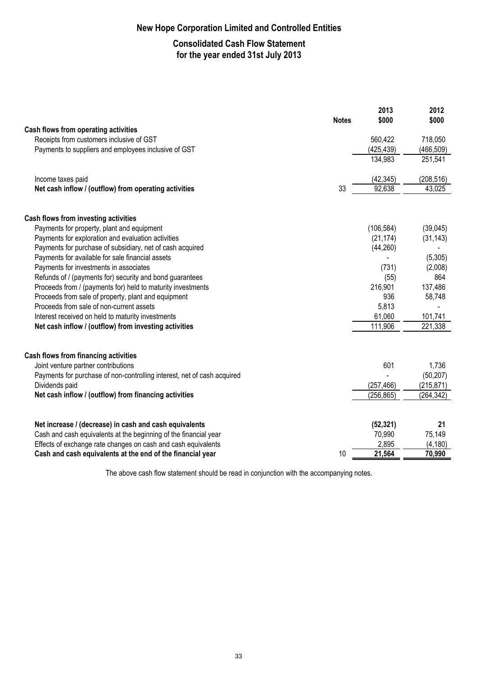## **Consolidated Cash Flow Statement for the year ended 31st July 2013**

|                                                                         | <b>Notes</b> | 2013<br>\$000 | 2012<br>\$000 |
|-------------------------------------------------------------------------|--------------|---------------|---------------|
| Cash flows from operating activities                                    |              |               |               |
| Receipts from customers inclusive of GST                                |              | 560,422       | 718,050       |
| Payments to suppliers and employees inclusive of GST                    |              | (425, 439)    | (466, 509)    |
|                                                                         |              | 134,983       | 251,541       |
| Income taxes paid                                                       |              | (42, 345)     | (208, 516)    |
| Net cash inflow / (outflow) from operating activities                   | 33           | 92,638        | 43,025        |
| Cash flows from investing activities                                    |              |               |               |
| Payments for property, plant and equipment                              |              | (106, 584)    | (39,045)      |
| Payments for exploration and evaluation activities                      |              | (21, 174)     | (31, 143)     |
| Payments for purchase of subsidiary, net of cash acquired               |              | (44, 260)     |               |
| Payments for available for sale financial assets                        |              |               | (5,305)       |
| Payments for investments in associates                                  |              | (731)         | (2,008)       |
| Refunds of / (payments for) security and bond guarantees                |              | (55)          | 864           |
| Proceeds from / (payments for) held to maturity investments             |              | 216,901       | 137,486       |
| Proceeds from sale of property, plant and equipment                     |              | 936           | 58,748        |
| Proceeds from sale of non-current assets                                |              | 5,813         |               |
| Interest received on held to maturity investments                       |              | 61,060        | 101,741       |
| Net cash inflow / (outflow) from investing activities                   |              | 111,906       | 221,338       |
| Cash flows from financing activities                                    |              |               |               |
| Joint venture partner contributions                                     |              | 601           | 1,736         |
| Payments for purchase of non-controlling interest, net of cash acquired |              |               | (50, 207)     |
| Dividends paid                                                          |              | (257, 466)    | (215, 871)    |
| Net cash inflow / (outflow) from financing activities                   |              | (256, 865)    | (264, 342)    |
| Net increase / (decrease) in cash and cash equivalents                  |              | (52, 321)     | 21            |
| Cash and cash equivalents at the beginning of the financial year        |              | 70,990        | 75,149        |
| Effects of exchange rate changes on cash and cash equivalents           |              | 2,895         | (4, 180)      |
| Cash and cash equivalents at the end of the financial year              | 10           | 21,564        | 70,990        |

The above cash flow statement should be read in conjunction with the accompanying notes.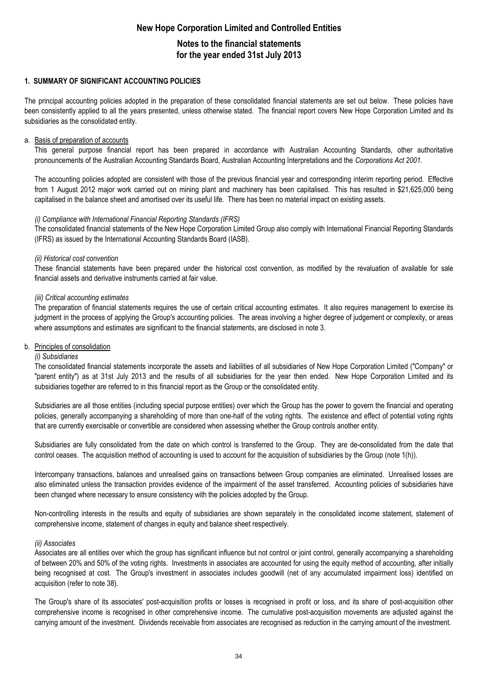### **Notes to the financial statements for the year ended 31st July 2013**

#### **1. SUMMARY OF SIGNIFICANT ACCOUNTING POLICIES**

The principal accounting policies adopted in the preparation of these consolidated financial statements are set out below. These policies have been consistently applied to all the years presented, unless otherwise stated. The financial report covers New Hope Corporation Limited and its subsidiaries as the consolidated entity.

#### a. Basis of preparation of accounts

This general purpose financial report has been prepared in accordance with Australian Accounting Standards, other authoritative pronouncements of the Australian Accounting Standards Board, Australian Accounting Interpretations and the *Corporations Act 2001.*

The accounting policies adopted are consistent with those of the previous financial year and corresponding interim reporting period. Effective from 1 August 2012 major work carried out on mining plant and machinery has been capitalised. This has resulted in \$21,625,000 being capitalised in the balance sheet and amortised over its useful life. There has been no material impact on existing assets.

#### *(i) Compliance with International Financial Reporting Standards (IFRS)*

The consolidated financial statements of the New Hope Corporation Limited Group also comply with International Financial Reporting Standards (IFRS) as issued by the International Accounting Standards Board (IASB).

#### *(ii) Historical cost convention*

These financial statements have been prepared under the historical cost convention, as modified by the revaluation of available for sale financial assets and derivative instruments carried at fair value.

#### *(iii) Critical accounting estimates*

The preparation of financial statements requires the use of certain critical accounting estimates. It also requires management to exercise its judgment in the process of applying the Group's accounting policies. The areas involving a higher degree of judgement or complexity, or areas where assumptions and estimates are significant to the financial statements, are disclosed in note 3.

#### b. Principles of consolidation

#### *(i) Subsidiaries*

The consolidated financial statements incorporate the assets and liabilities of all subsidiaries of New Hope Corporation Limited ("Company" or "parent entity") as at 31st July 2013 and the results of all subsidiaries for the year then ended. New Hope Corporation Limited and its subsidiaries together are referred to in this financial report as the Group or the consolidated entity.

Subsidiaries are all those entities (including special purpose entities) over which the Group has the power to govern the financial and operating policies, generally accompanying a shareholding of more than one-half of the voting rights. The existence and effect of potential voting rights that are currently exercisable or convertible are considered when assessing whether the Group controls another entity.

Subsidiaries are fully consolidated from the date on which control is transferred to the Group. They are de-consolidated from the date that control ceases. The acquisition method of accounting is used to account for the acquisition of subsidiaries by the Group (note 1(h)).

Intercompany transactions, balances and unrealised gains on transactions between Group companies are eliminated. Unrealised losses are also eliminated unless the transaction provides evidence of the impairment of the asset transferred. Accounting policies of subsidiaries have been changed where necessary to ensure consistency with the policies adopted by the Group.

Non-controlling interests in the results and equity of subsidiaries are shown separately in the consolidated income statement, statement of comprehensive income, statement of changes in equity and balance sheet respectively.

#### *(ii) Associates*

Associates are all entities over which the group has significant influence but not control or joint control, generally accompanying a shareholding of between 20% and 50% of the voting rights. Investments in associates are accounted for using the equity method of accounting, after initially being recognised at cost. The Group's investment in associates includes goodwill (net of any accumulated impairment loss) identified on acquisition (refer to note 38).

The Group's share of its associates' post-acquisition profits or losses is recognised in profit or loss, and its share of post-acquisition other comprehensive income is recognised in other comprehensive income. The cumulative post-acquisition movements are adjusted against the carrying amount of the investment. Dividends receivable from associates are recognised as reduction in the carrying amount of the investment.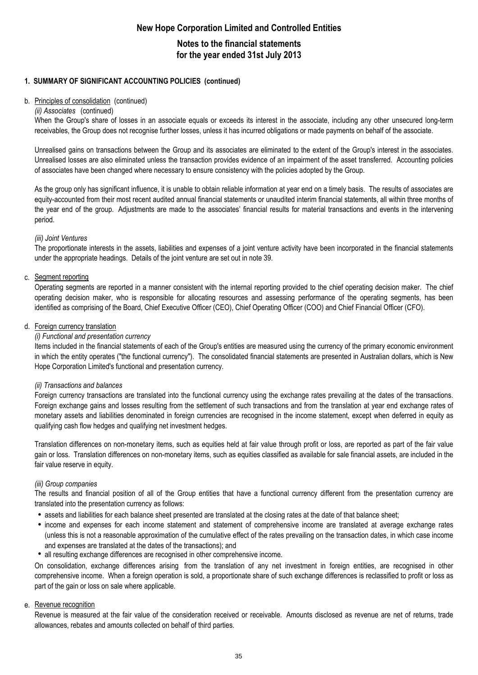### **Notes to the financial statements for the year ended 31st July 2013**

### **1. SUMMARY OF SIGNIFICANT ACCOUNTING POLICIES (continued)**

#### b. Principles of consolidation (continued)

#### *(ii) Associates* (continued)

When the Group's share of losses in an associate equals or exceeds its interest in the associate, including any other unsecured long-term receivables, the Group does not recognise further losses, unless it has incurred obligations or made payments on behalf of the associate.

Unrealised gains on transactions between the Group and its associates are eliminated to the extent of the Group's interest in the associates. Unrealised losses are also eliminated unless the transaction provides evidence of an impairment of the asset transferred. Accounting policies of associates have been changed where necessary to ensure consistency with the policies adopted by the Group.

As the group only has significant influence, it is unable to obtain reliable information at year end on a timely basis. The results of associates are equity-accounted from their most recent audited annual financial statements or unaudited interim financial statements, all within three months of the year end of the group. Adjustments are made to the associates' financial results for material transactions and events in the intervening period.

#### *(iii) Joint Ventures*

The proportionate interests in the assets, liabilities and expenses of a joint venture activity have been incorporated in the financial statements under the appropriate headings. Details of the joint venture are set out in note 39.

#### c. Segment reporting

Operating segments are reported in a manner consistent with the internal reporting provided to the chief operating decision maker. The chief operating decision maker, who is responsible for allocating resources and assessing performance of the operating segments, has been identified as comprising of the Board, Chief Executive Officer (CEO), Chief Operating Officer (COO) and Chief Financial Officer (CFO).

#### d. Foreign currency translation

#### *(i) Functional and presentation currency*

Items included in the financial statements of each of the Group's entities are measured using the currency of the primary economic environment in which the entity operates ("the functional currency"). The consolidated financial statements are presented in Australian dollars, which is New Hope Corporation Limited's functional and presentation currency.

#### *(ii) Transactions and balances*

Foreign currency transactions are translated into the functional currency using the exchange rates prevailing at the dates of the transactions. Foreign exchange gains and losses resulting from the settlement of such transactions and from the translation at year end exchange rates of monetary assets and liabilities denominated in foreign currencies are recognised in the income statement, except when deferred in equity as qualifying cash flow hedges and qualifying net investment hedges.

Translation differences on non-monetary items, such as equities held at fair value through profit or loss, are reported as part of the fair value gain or loss. Translation differences on non-monetary items, such as equities classified as available for sale financial assets, are included in the fair value reserve in equity.

#### *(iii) Group companies*

The results and financial position of all of the Group entities that have a functional currency different from the presentation currency are translated into the presentation currency as follows:

- assets and liabilities for each balance sheet presented are translated at the closing rates at the date of that balance sheet;
- income and expenses for each income statement and statement of comprehensive income are translated at average exchange rates (unless this is not a reasonable approximation of the cumulative effect of the rates prevailing on the transaction dates, in which case income and expenses are translated at the dates of the transactions); and
- all resulting exchange differences are recognised in other comprehensive income.

On consolidation, exchange differences arising from the translation of any net investment in foreign entities, are recognised in other comprehensive income. When a foreign operation is sold, a proportionate share of such exchange differences is reclassified to profit or loss as part of the gain or loss on sale where applicable.

#### e. Revenue recognition

Revenue is measured at the fair value of the consideration received or receivable. Amounts disclosed as revenue are net of returns, trade allowances, rebates and amounts collected on behalf of third parties.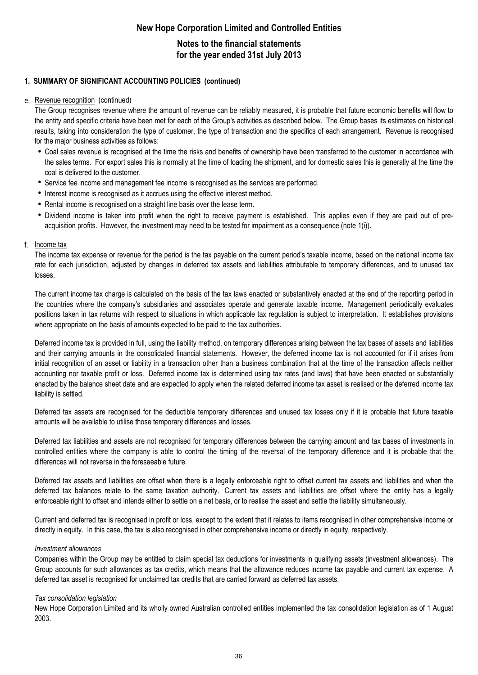### **Notes to the financial statements for the year ended 31st July 2013**

#### **1. SUMMARY OF SIGNIFICANT ACCOUNTING POLICIES (continued)**

#### e. <u>Revenue recognition</u> (continued)

The Group recognises revenue where the amount of revenue can be reliably measured, it is probable that future economic benefits will flow to the entity and specific criteria have been met for each of the Group's activities as described below. The Group bases its estimates on historical results, taking into consideration the type of customer, the type of transaction and the specifics of each arrangement. Revenue is recognised for the major business activities as follows:

- Coal sales revenue is recognised at the time the risks and benefits of ownership have been transferred to the customer in accordance with the sales terms. For export sales this is normally at the time of loading the shipment, and for domestic sales this is generally at the time the coal is delivered to the customer.
- Service fee income and management fee income is recognised as the services are performed.
- Interest income is recognised as it accrues using the effective interest method.
- Rental income is recognised on a straight line basis over the lease term.
- Dividend income is taken into profit when the right to receive payment is established. This applies even if they are paid out of preacquisition profits. However, the investment may need to be tested for impairment as a consequence (note 1(i)).

#### f. Income tax

The income tax expense or revenue for the period is the tax payable on the current period's taxable income, based on the national income tax rate for each jurisdiction, adjusted by changes in deferred tax assets and liabilities attributable to temporary differences, and to unused tax losses.

The current income tax charge is calculated on the basis of the tax laws enacted or substantively enacted at the end of the reporting period in the countries where the company's subsidiaries and associates operate and generate taxable income. Management periodically evaluates positions taken in tax returns with respect to situations in which applicable tax regulation is subject to interpretation. It establishes provisions where appropriate on the basis of amounts expected to be paid to the tax authorities.

Deferred income tax is provided in full, using the liability method, on temporary differences arising between the tax bases of assets and liabilities and their carrying amounts in the consolidated financial statements. However, the deferred income tax is not accounted for if it arises from initial recognition of an asset or liability in a transaction other than a business combination that at the time of the transaction affects neither accounting nor taxable profit or loss. Deferred income tax is determined using tax rates (and laws) that have been enacted or substantially enacted by the balance sheet date and are expected to apply when the related deferred income tax asset is realised or the deferred income tax liability is settled.

Deferred tax assets are recognised for the deductible temporary differences and unused tax losses only if it is probable that future taxable amounts will be available to utilise those temporary differences and losses.

Deferred tax liabilities and assets are not recognised for temporary differences between the carrying amount and tax bases of investments in controlled entities where the company is able to control the timing of the reversal of the temporary difference and it is probable that the differences will not reverse in the foreseeable future.

Deferred tax assets and liabilities are offset when there is a legally enforceable right to offset current tax assets and liabilities and when the deferred tax balances relate to the same taxation authority. Current tax assets and liabilities are offset where the entity has a legally enforceable right to offset and intends either to settle on a net basis, or to realise the asset and settle the liability simultaneously.

Current and deferred tax is recognised in profit or loss, except to the extent that it relates to items recognised in other comprehensive income or directly in equity. In this case, the tax is also recognised in other comprehensive income or directly in equity, respectively.

#### *Investment allowances*

Companies within the Group may be entitled to claim special tax deductions for investments in qualifying assets (investment allowances). The Group accounts for such allowances as tax credits, which means that the allowance reduces income tax payable and current tax expense. A deferred tax asset is recognised for unclaimed tax credits that are carried forward as deferred tax assets.

#### *Tax consolidation legislation*

New Hope Corporation Limited and its wholly owned Australian controlled entities implemented the tax consolidation legislation as of 1 August 2003.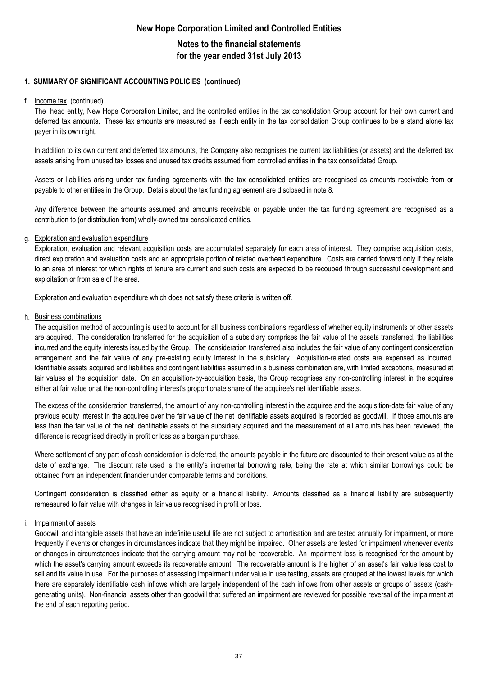### **Notes to the financial statements for the year ended 31st July 2013**

#### **1. SUMMARY OF SIGNIFICANT ACCOUNTING POLICIES (continued)**

#### f. Income tax (continued)

The head entity, New Hope Corporation Limited, and the controlled entities in the tax consolidation Group account for their own current and deferred tax amounts. These tax amounts are measured as if each entity in the tax consolidation Group continues to be a stand alone tax payer in its own right.

In addition to its own current and deferred tax amounts, the Company also recognises the current tax liabilities (or assets) and the deferred tax assets arising from unused tax losses and unused tax credits assumed from controlled entities in the tax consolidated Group.

Assets or liabilities arising under tax funding agreements with the tax consolidated entities are recognised as amounts receivable from or payable to other entities in the Group. Details about the tax funding agreement are disclosed in note 8.

Any difference between the amounts assumed and amounts receivable or payable under the tax funding agreement are recognised as a contribution to (or distribution from) wholly-owned tax consolidated entities.

#### g. Exploration and evaluation expenditure

Exploration, evaluation and relevant acquisition costs are accumulated separately for each area of interest. They comprise acquisition costs, direct exploration and evaluation costs and an appropriate portion of related overhead expenditure. Costs are carried forward only if they relate to an area of interest for which rights of tenure are current and such costs are expected to be recouped through successful development and exploitation or from sale of the area.

Exploration and evaluation expenditure which does not satisfy these criteria is written off.

#### h. Business combinations

The acquisition method of accounting is used to account for all business combinations regardless of whether equity instruments or other assets are acquired. The consideration transferred for the acquisition of a subsidiary comprises the fair value of the assets transferred, the liabilities incurred and the equity interests issued by the Group. The consideration transferred also includes the fair value of any contingent consideration arrangement and the fair value of any pre-existing equity interest in the subsidiary. Acquisition-related costs are expensed as incurred. Identifiable assets acquired and liabilities and contingent liabilities assumed in a business combination are, with limited exceptions, measured at fair values at the acquisition date. On an acquisition-by-acquisition basis, the Group recognises any non-controlling interest in the acquiree either at fair value or at the non-controlling interest's proportionate share of the acquiree's net identifiable assets.

The excess of the consideration transferred, the amount of any non-controlling interest in the acquiree and the acquisition-date fair value of any previous equity interest in the acquiree over the fair value of the net identifiable assets acquired is recorded as goodwill. If those amounts are less than the fair value of the net identifiable assets of the subsidiary acquired and the measurement of all amounts has been reviewed, the difference is recognised directly in profit or loss as a bargain purchase.

Where settlement of any part of cash consideration is deferred, the amounts payable in the future are discounted to their present value as at the date of exchange. The discount rate used is the entity's incremental borrowing rate, being the rate at which similar borrowings could be obtained from an independent financier under comparable terms and conditions.

Contingent consideration is classified either as equity or a financial liability. Amounts classified as a financial liability are subsequently remeasured to fair value with changes in fair value recognised in profit or loss.

#### i. Impairment of assets

Goodwill and intangible assets that have an indefinite useful life are not subject to amortisation and are tested annually for impairment, or more frequently if events or changes in circumstances indicate that they might be impaired. Other assets are tested for impairment whenever events or changes in circumstances indicate that the carrying amount may not be recoverable. An impairment loss is recognised for the amount by which the asset's carrying amount exceeds its recoverable amount. The recoverable amount is the higher of an asset's fair value less cost to sell and its value in use. For the purposes of assessing impairment under value in use testing, assets are grouped at the lowest levels for which there are separately identifiable cash inflows which are largely independent of the cash inflows from other assets or groups of assets (cashgenerating units). Non-financial assets other than goodwill that suffered an impairment are reviewed for possible reversal of the impairment at the end of each reporting period.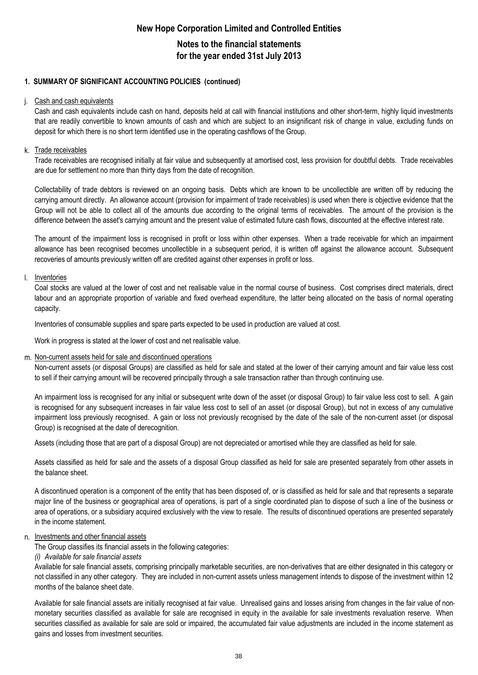### **Notes to the financial statements for the year ended 31st July 2013**

#### **1. SUMMARY OF SIGNIFICANT ACCOUNTING POLICIES (continued)**

#### j. <u>Cash and cash equivalents</u>

Cash and cash equivalents include cash on hand, deposits held at call with financial institutions and other short-term, highly liquid investments that are readily convertible to known amounts of cash and which are subject to an insignificant risk of change in value, excluding funds on deposit for which there is no short term identified use in the operating cashflows of the Group.

#### k. Trade receivables

Trade receivables are recognised initially at fair value and subsequently at amortised cost, less provision for doubtful debts. Trade receivables are due for settlement no more than thirty days from the date of recognition.

Collectability of trade debtors is reviewed on an ongoing basis. Debts which are known to be uncollectible are written off by reducing the carrying amount directly. An allowance account (provision for impairment of trade receivables) is used when there is objective evidence that the Group will not be able to collect all of the amounts due according to the original terms of receivables. The amount of the provision is the difference between the asset's carrying amount and the present value of estimated future cash flows, discounted at the effective interest rate.

The amount of the impairment loss is recognised in profit or loss within other expenses. When a trade receivable for which an impairment allowance has been recognised becomes uncollectible in a subsequent period, it is written off against the allowance account. Subsequent recoveries of amounts previously written off are credited against other expenses in profit or loss.

#### l. Inventories

Coal stocks are valued at the lower of cost and net realisable value in the normal course of business. Cost comprises direct materials, direct labour and an appropriate proportion of variable and fixed overhead expenditure, the latter being allocated on the basis of normal operating capacity.

Inventories of consumable supplies and spare parts expected to be used in production are valued at cost.

Work in progress is stated at the lower of cost and net realisable value.

#### m. Non-current assets held for sale and discontinued operations

Non-current assets (or disposal Groups) are classified as held for sale and stated at the lower of their carrying amount and fair value less cost to sell if their carrying amount will be recovered principally through a sale transaction rather than through continuing use.

An impairment loss is recognised for any initial or subsequent write down of the asset (or disposal Group) to fair value less cost to sell. A gain is recognised for any subsequent increases in fair value less cost to sell of an asset (or disposal Group), but not in excess of any cumulative impairment loss previously recognised. A gain or loss not previously recognised by the date of the sale of the non-current asset (or disposal Group) is recognised at the date of derecognition.

Assets (including those that are part of a disposal Group) are not depreciated or amortised while they are classified as held for sale.

Assets classified as held for sale and the assets of a disposal Group classified as held for sale are presented separately from other assets in the balance sheet.

A discontinued operation is a component of the entity that has been disposed of, or is classified as held for sale and that represents a separate major line of the business or geographical area of operations, is part of a single coordinated plan to dispose of such a line of the business or area of operations, or a subsidiary acquired exclusively with the view to resale. The results of discontinued operations are presented separately in the income statement.

#### n. Investments and other financial assets

The Group classifies its financial assets in the following categories:

#### *(i) Available for sale financial assets*

Available for sale financial assets, comprising principally marketable securities, are non-derivatives that are either designated in this category or not classified in any other category. They are included in non-current assets unless management intends to dispose of the investment within 12 months of the balance sheet date.

Available for sale financial assets are initially recognised at fair value. Unrealised gains and losses arising from changes in the fair value of nonmonetary securities classified as available for sale are recognised in equity in the available for sale investments revaluation reserve. When securities classified as available for sale are sold or impaired, the accumulated fair value adjustments are included in the income statement as gains and losses from investment securities.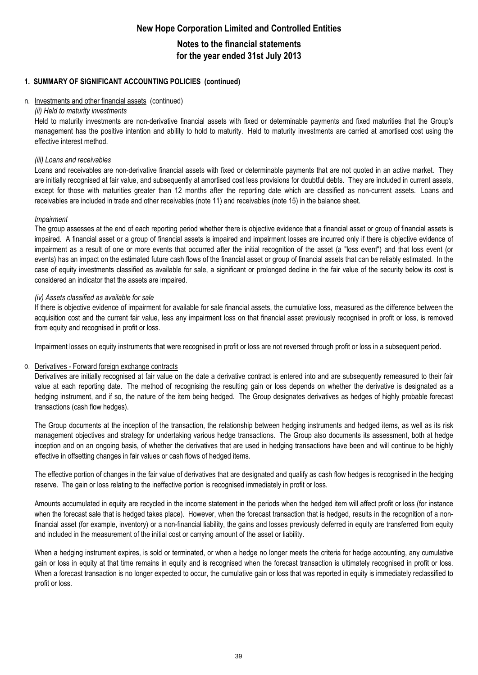### **Notes to the financial statements for the year ended 31st July 2013**

#### **1. SUMMARY OF SIGNIFICANT ACCOUNTING POLICIES (continued)**

#### n. Investments and other financial assets (continued)

### *(ii) Held to maturity investments*

Held to maturity investments are non-derivative financial assets with fixed or determinable payments and fixed maturities that the Group's management has the positive intention and ability to hold to maturity. Held to maturity investments are carried at amortised cost using the effective interest method.

#### *(iii) Loans and receivables*

Loans and receivables are non-derivative financial assets with fixed or determinable payments that are not quoted in an active market. They are initially recognised at fair value, and subsequently at amortised cost less provisions for doubtful debts. They are included in current assets, except for those with maturities greater than 12 months after the reporting date which are classified as non-current assets. Loans and receivables are included in trade and other receivables (note 11) and receivables (note 15) in the balance sheet.

#### *Impairment*

The group assesses at the end of each reporting period whether there is objective evidence that a financial asset or group of financial assets is impaired. A financial asset or a group of financial assets is impaired and impairment losses are incurred only if there is objective evidence of impairment as a result of one or more events that occurred after the initial recognition of the asset (a "loss event") and that loss event (or events) has an impact on the estimated future cash flows of the financial asset or group of financial assets that can be reliably estimated. In the case of equity investments classified as available for sale, a significant or prolonged decline in the fair value of the security below its cost is considered an indicator that the assets are impaired.

#### *(iv) Assets classified as available for sale*

If there is objective evidence of impairment for available for sale financial assets, the cumulative loss, measured as the difference between the acquisition cost and the current fair value, less any impairment loss on that financial asset previously recognised in profit or loss, is removed from equity and recognised in profit or loss.

Impairment losses on equity instruments that were recognised in profit or loss are not reversed through profit or loss in a subsequent period.

#### o. Derivatives - Forward foreign exchange contracts

Derivatives are initially recognised at fair value on the date a derivative contract is entered into and are subsequently remeasured to their fair value at each reporting date. The method of recognising the resulting gain or loss depends on whether the derivative is designated as a hedging instrument, and if so, the nature of the item being hedged. The Group designates derivatives as hedges of highly probable forecast transactions (cash flow hedges).

The Group documents at the inception of the transaction, the relationship between hedging instruments and hedged items, as well as its risk management objectives and strategy for undertaking various hedge transactions. The Group also documents its assessment, both at hedge inception and on an ongoing basis, of whether the derivatives that are used in hedging transactions have been and will continue to be highly effective in offsetting changes in fair values or cash flows of hedged items.

The effective portion of changes in the fair value of derivatives that are designated and qualify as cash flow hedges is recognised in the hedging reserve. The gain or loss relating to the ineffective portion is recognised immediately in profit or loss.

Amounts accumulated in equity are recycled in the income statement in the periods when the hedged item will affect profit or loss (for instance when the forecast sale that is hedged takes place). However, when the forecast transaction that is hedged, results in the recognition of a nonfinancial asset (for example, inventory) or a non-financial liability, the gains and losses previously deferred in equity are transferred from equity and included in the measurement of the initial cost or carrying amount of the asset or liability.

When a hedging instrument expires, is sold or terminated, or when a hedge no longer meets the criteria for hedge accounting, any cumulative gain or loss in equity at that time remains in equity and is recognised when the forecast transaction is ultimately recognised in profit or loss. When a forecast transaction is no longer expected to occur, the cumulative gain or loss that was reported in equity is immediately reclassified to profit or loss.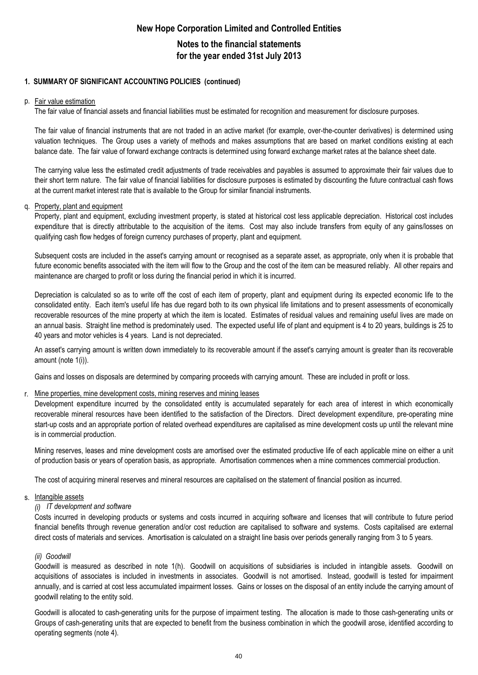### **Notes to the financial statements for the year ended 31st July 2013**

#### **1. SUMMARY OF SIGNIFICANT ACCOUNTING POLICIES (continued)**

#### p. Fair value estimation

The fair value of financial assets and financial liabilities must be estimated for recognition and measurement for disclosure purposes.

The fair value of financial instruments that are not traded in an active market (for example, over-the-counter derivatives) is determined using valuation techniques. The Group uses a variety of methods and makes assumptions that are based on market conditions existing at each balance date. The fair value of forward exchange contracts is determined using forward exchange market rates at the balance sheet date.

The carrying value less the estimated credit adjustments of trade receivables and payables is assumed to approximate their fair values due to their short term nature. The fair value of financial liabilities for disclosure purposes is estimated by discounting the future contractual cash flows at the current market interest rate that is available to the Group for similar financial instruments.

#### q. Property, plant and equipment

Property, plant and equipment, excluding investment property, is stated at historical cost less applicable depreciation. Historical cost includes expenditure that is directly attributable to the acquisition of the items. Cost may also include transfers from equity of any gains/losses on qualifying cash flow hedges of foreign currency purchases of property, plant and equipment.

Subsequent costs are included in the asset's carrying amount or recognised as a separate asset, as appropriate, only when it is probable that future economic benefits associated with the item will flow to the Group and the cost of the item can be measured reliably. All other repairs and maintenance are charged to profit or loss during the financial period in which it is incurred.

Depreciation is calculated so as to write off the cost of each item of property, plant and equipment during its expected economic life to the consolidated entity. Each item's useful life has due regard both to its own physical life limitations and to present assessments of economically recoverable resources of the mine property at which the item is located. Estimates of residual values and remaining useful lives are made on an annual basis. Straight line method is predominately used. The expected useful life of plant and equipment is 4 to 20 years, buildings is 25 to 40 years and motor vehicles is 4 years. Land is not depreciated.

An asset's carrying amount is written down immediately to its recoverable amount if the asset's carrying amount is greater than its recoverable amount (note 1(i)).

Gains and losses on disposals are determined by comparing proceeds with carrying amount. These are included in profit or loss.

#### r. Mine properties, mine development costs, mining reserves and mining leases

Development expenditure incurred by the consolidated entity is accumulated separately for each area of interest in which economically recoverable mineral resources have been identified to the satisfaction of the Directors. Direct development expenditure, pre-operating mine start-up costs and an appropriate portion of related overhead expenditures are capitalised as mine development costs up until the relevant mine is in commercial production.

Mining reserves, leases and mine development costs are amortised over the estimated productive life of each applicable mine on either a unit of production basis or years of operation basis, as appropriate. Amortisation commences when a mine commences commercial production.

The cost of acquiring mineral reserves and mineral resources are capitalised on the statement of financial position as incurred.

#### s. Intangible assets

#### *(i) IT development and software*

Costs incurred in developing products or systems and costs incurred in acquiring software and licenses that will contribute to future period financial benefits through revenue generation and/or cost reduction are capitalised to software and systems. Costs capitalised are external direct costs of materials and services. Amortisation is calculated on a straight line basis over periods generally ranging from 3 to 5 years.

#### *(ii) Goodwill*

Goodwill is measured as described in note 1(h). Goodwill on acquisitions of subsidiaries is included in intangible assets. Goodwill on acquisitions of associates is included in investments in associates. Goodwill is not amortised. Instead, goodwill is tested for impairment annually, and is carried at cost less accumulated impairment losses. Gains or losses on the disposal of an entity include the carrying amount of goodwill relating to the entity sold.

Goodwill is allocated to cash-generating units for the purpose of impairment testing. The allocation is made to those cash-generating units or Groups of cash-generating units that are expected to benefit from the business combination in which the goodwill arose, identified according to operating segments (note 4).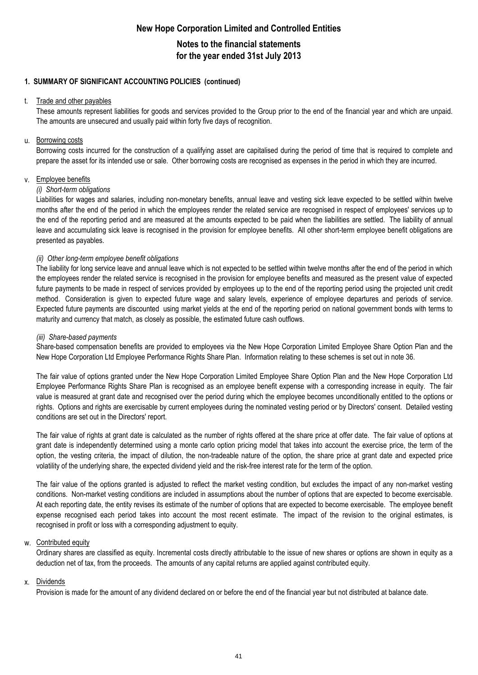### **Notes to the financial statements for the year ended 31st July 2013**

#### **1. SUMMARY OF SIGNIFICANT ACCOUNTING POLICIES (continued)**

#### t. Trade and other payables

These amounts represent liabilities for goods and services provided to the Group prior to the end of the financial year and which are unpaid. The amounts are unsecured and usually paid within forty five days of recognition.

#### u. Borrowing costs

Borrowing costs incurred for the construction of a qualifying asset are capitalised during the period of time that is required to complete and prepare the asset for its intended use or sale. Other borrowing costs are recognised as expenses in the period in which they are incurred.

#### v. Employee benefits

#### *(i) Short-term obligations*

Liabilities for wages and salaries, including non-monetary benefits, annual leave and vesting sick leave expected to be settled within twelve months after the end of the period in which the employees render the related service are recognised in respect of employees' services up to the end of the reporting period and are measured at the amounts expected to be paid when the liabilities are settled. The liability of annual leave and accumulating sick leave is recognised in the provision for employee benefits. All other short-term employee benefit obligations are presented as payables.

#### *(ii) Other long-term employee benefit obligations*

The liability for long service leave and annual leave which is not expected to be settled within twelve months after the end of the period in which the employees render the related service is recognised in the provision for employee benefits and measured as the present value of expected future payments to be made in respect of services provided by employees up to the end of the reporting period using the projected unit credit method. Consideration is given to expected future wage and salary levels, experience of employee departures and periods of service. Expected future payments are discounted using market yields at the end of the reporting period on national government bonds with terms to maturity and currency that match, as closely as possible, the estimated future cash outflows.

#### *(iii) Share-based payments*

Share-based compensation benefits are provided to employees via the New Hope Corporation Limited Employee Share Option Plan and the New Hope Corporation Ltd Employee Performance Rights Share Plan. Information relating to these schemes is set out in note 36.

The fair value of options granted under the New Hope Corporation Limited Employee Share Option Plan and the New Hope Corporation Ltd Employee Performance Rights Share Plan is recognised as an employee benefit expense with a corresponding increase in equity. The fair value is measured at grant date and recognised over the period during which the employee becomes unconditionally entitled to the options or rights. Options and rights are exercisable by current employees during the nominated vesting period or by Directors' consent. Detailed vesting conditions are set out in the Directors' report.

The fair value of rights at grant date is calculated as the number of rights offered at the share price at offer date. The fair value of options at grant date is independently determined using a monte carlo option pricing model that takes into account the exercise price, the term of the option, the vesting criteria, the impact of dilution, the non-tradeable nature of the option, the share price at grant date and expected price volatility of the underlying share, the expected dividend yield and the risk-free interest rate for the term of the option.

The fair value of the options granted is adjusted to reflect the market vesting condition, but excludes the impact of any non-market vesting conditions. Non-market vesting conditions are included in assumptions about the number of options that are expected to become exercisable. At each reporting date, the entity revises its estimate of the number of options that are expected to become exercisable. The employee benefit expense recognised each period takes into account the most recent estimate. The impact of the revision to the original estimates, is recognised in profit or loss with a corresponding adjustment to equity.

#### w. Contributed equity

Ordinary shares are classified as equity. Incremental costs directly attributable to the issue of new shares or options are shown in equity as a deduction net of tax, from the proceeds. The amounts of any capital returns are applied against contributed equity.

#### x. Dividends

Provision is made for the amount of any dividend declared on or before the end of the financial year but not distributed at balance date.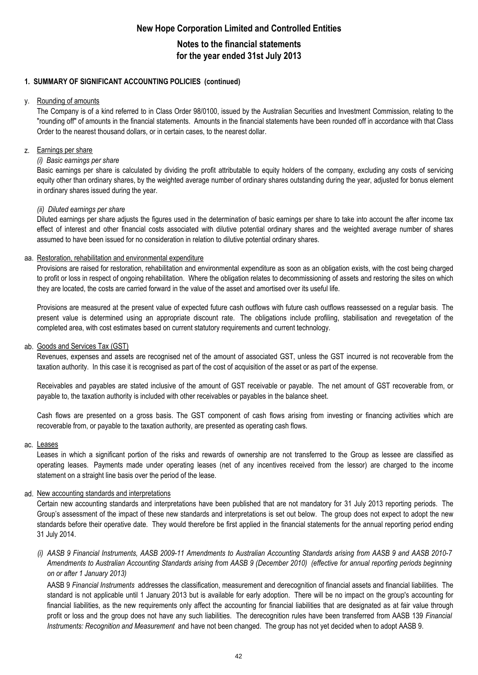### **Notes to the financial statements for the year ended 31st July 2013**

#### **1. SUMMARY OF SIGNIFICANT ACCOUNTING POLICIES (continued)**

#### y. Rounding of amounts

The Company is of a kind referred to in Class Order 98/0100, issued by the Australian Securities and Investment Commission, relating to the "rounding off" of amounts in the financial statements. Amounts in the financial statements have been rounded off in accordance with that Class Order to the nearest thousand dollars, or in certain cases, to the nearest dollar.

#### z. Earnings per share

#### *(i) Basic earnings per share*

Basic earnings per share is calculated by dividing the profit attributable to equity holders of the company, excluding any costs of servicing equity other than ordinary shares, by the weighted average number of ordinary shares outstanding during the year, adjusted for bonus element in ordinary shares issued during the year.

#### *(ii) Diluted earnings per share*

Diluted earnings per share adjusts the figures used in the determination of basic earnings per share to take into account the after income tax effect of interest and other financial costs associated with dilutive potential ordinary shares and the weighted average number of shares assumed to have been issued for no consideration in relation to dilutive potential ordinary shares.

#### aa. Restoration, rehabilitation and environmental expenditure

Provisions are raised for restoration, rehabilitation and environmental expenditure as soon as an obligation exists, with the cost being charged to profit or loss in respect of ongoing rehabilitation. Where the obligation relates to decommissioning of assets and restoring the sites on which they are located, the costs are carried forward in the value of the asset and amortised over its useful life.

Provisions are measured at the present value of expected future cash outflows with future cash outflows reassessed on a regular basis. The present value is determined using an appropriate discount rate. The obligations include profiling, stabilisation and revegetation of the completed area, with cost estimates based on current statutory requirements and current technology.

#### ab. Goods and Services Tax (GST)

Revenues, expenses and assets are recognised net of the amount of associated GST, unless the GST incurred is not recoverable from the taxation authority. In this case it is recognised as part of the cost of acquisition of the asset or as part of the expense.

Receivables and payables are stated inclusive of the amount of GST receivable or payable. The net amount of GST recoverable from, or payable to, the taxation authority is included with other receivables or payables in the balance sheet.

Cash flows are presented on a gross basis. The GST component of cash flows arising from investing or financing activities which are recoverable from, or payable to the taxation authority, are presented as operating cash flows.

#### ac. <u>Leases</u>

Leases in which a significant portion of the risks and rewards of ownership are not transferred to the Group as lessee are classified as operating leases. Payments made under operating leases (net of any incentives received from the lessor) are charged to the income statement on a straight line basis over the period of the lease.

#### ad. New accounting standards and interpretations

Certain new accounting standards and interpretations have been published that are not mandatory for 31 July 2013 reporting periods. The Group's assessment of the impact of these new standards and interpretations is set out below. The group does not expect to adopt the new standards before their operative date. They would therefore be first applied in the financial statements for the annual reporting period ending 31 July 2014.

(i) AASB 9 Financial Instruments, AASB 2009-11 Amendments to Australian Accounting Standards arising from AASB 9 and AASB 2010-7 Amendments to Australian Accounting Standards arising from AASB 9 (December 2010) (effective for annual reporting periods beginning *on or after 1 January 2013)*

AASB 9 *Financial Instruments* addresses the classification, measurement and derecognition of financial assets and financial liabilities. The standard is not applicable until 1 January 2013 but is available for early adoption. There will be no impact on the group's accounting for financial liabilities, as the new requirements only affect the accounting for financial liabilities that are designated as at fair value through profit or loss and the group does not have any such liabilities. The derecognition rules have been transferred from AASB 139 *Financial Instruments: Recognition and Measurement* and have not been changed. The group has not yet decided when to adopt AASB 9.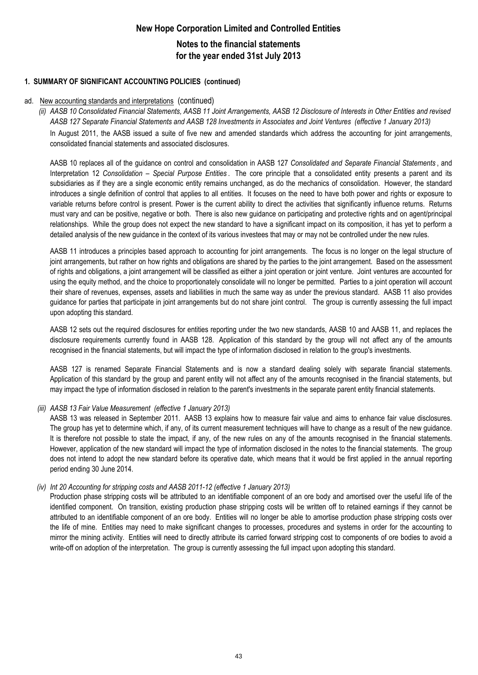# **New Hope Corporation Limited and Controlled Entities Notes to the financial statements for the year ended 31st July 2013**

#### **1. SUMMARY OF SIGNIFICANT ACCOUNTING POLICIES (continued)**

#### ad. New accounting standards and interpretations (continued)

(ii) AASB 10 Consolidated Financial Statements, AASB 11 Joint Arrangements, AASB 12 Disclosure of Interests in Other Entities and revised *AASB 127 Separate Financial Statements and AASB 128 Investments in Associates and Joint Ventures (effective 1 January 2013)*

In August 2011, the AASB issued a suite of five new and amended standards which address the accounting for joint arrangements, consolidated financial statements and associated disclosures.

AASB 10 replaces all of the guidance on control and consolidation in AASB 127 *Consolidated and Separate Financial Statements* , and Interpretation 12 *Consolidation – Special Purpose Entities* . The core principle that a consolidated entity presents a parent and its subsidiaries as if they are a single economic entity remains unchanged, as do the mechanics of consolidation. However, the standard introduces a single definition of control that applies to all entities. It focuses on the need to have both power and rights or exposure to variable returns before control is present. Power is the current ability to direct the activities that significantly influence returns. Returns must vary and can be positive, negative or both. There is also new guidance on participating and protective rights and on agent/principal relationships. While the group does not expect the new standard to have a significant impact on its composition, it has yet to perform a detailed analysis of the new guidance in the context of its various investees that may or may not be controlled under the new rules.

AASB 11 introduces a principles based approach to accounting for joint arrangements. The focus is no longer on the legal structure of joint arrangements, but rather on how rights and obligations are shared by the parties to the joint arrangement. Based on the assessment of rights and obligations, a joint arrangement will be classified as either a joint operation or joint venture. Joint ventures are accounted for using the equity method, and the choice to proportionately consolidate will no longer be permitted. Parties to a joint operation will account their share of revenues, expenses, assets and liabilities in much the same way as under the previous standard. AASB 11 also provides guidance for parties that participate in joint arrangements but do not share joint control. The group is currently assessing the full impact upon adopting this standard.

AASB 12 sets out the required disclosures for entities reporting under the two new standards, AASB 10 and AASB 11, and replaces the disclosure requirements currently found in AASB 128. Application of this standard by the group will not affect any of the amounts recognised in the financial statements, but will impact the type of information disclosed in relation to the group's investments.

AASB 127 is renamed Separate Financial Statements and is now a standard dealing solely with separate financial statements. Application of this standard by the group and parent entity will not affect any of the amounts recognised in the financial statements, but may impact the type of information disclosed in relation to the parent's investments in the separate parent entity financial statements.

#### *(iii) AASB 13 Fair Value Measurement (effective 1 January 2013)*

AASB 13 was released in September 2011. AASB 13 explains how to measure fair value and aims to enhance fair value disclosures. The group has yet to determine which, if any, of its current measurement techniques will have to change as a result of the new guidance. It is therefore not possible to state the impact, if any, of the new rules on any of the amounts recognised in the financial statements. However, application of the new standard will impact the type of information disclosed in the notes to the financial statements. The group does not intend to adopt the new standard before its operative date, which means that it would be first applied in the annual reporting period ending 30 June 2014.

#### *(iv) Int 20 Accounting for stripping costs and AASB 2011-12 (effective 1 January 2013)*

Production phase stripping costs will be attributed to an identifiable component of an ore body and amortised over the useful life of the identified component. On transition, existing production phase stripping costs will be written off to retained earnings if they cannot be attributed to an identifiable component of an ore body. Entities will no longer be able to amortise production phase stripping costs over the life of mine. Entities may need to make significant changes to processes, procedures and systems in order for the accounting to mirror the mining activity. Entities will need to directly attribute its carried forward stripping cost to components of ore bodies to avoid a write-off on adoption of the interpretation. The group is currently assessing the full impact upon adopting this standard.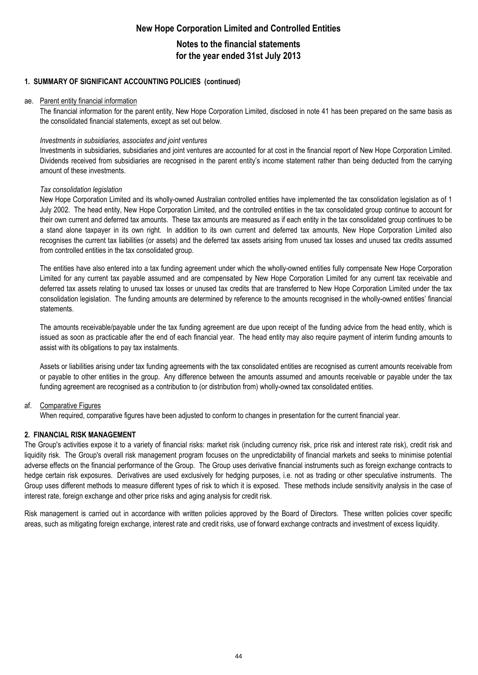### **Notes to the financial statements for the year ended 31st July 2013**

#### **1. SUMMARY OF SIGNIFICANT ACCOUNTING POLICIES (continued)**

#### ae. Parent entity financial information

The financial information for the parent entity, New Hope Corporation Limited, disclosed in note 41 has been prepared on the same basis as the consolidated financial statements, except as set out below.

#### *Investments in subsidiaries, associates and joint ventures*

Investments in subsidiaries, subsidiaries and joint ventures are accounted for at cost in the financial report of New Hope Corporation Limited. Dividends received from subsidiaries are recognised in the parent entity's income statement rather than being deducted from the carrying amount of these investments.

#### *Tax consolidation legislation*

New Hope Corporation Limited and its wholly-owned Australian controlled entities have implemented the tax consolidation legislation as of 1 July 2002. The head entity, New Hope Corporation Limited, and the controlled entities in the tax consolidated group continue to account for their own current and deferred tax amounts. These tax amounts are measured as if each entity in the tax consolidated group continues to be a stand alone taxpayer in its own right. In addition to its own current and deferred tax amounts, New Hope Corporation Limited also recognises the current tax liabilities (or assets) and the deferred tax assets arising from unused tax losses and unused tax credits assumed from controlled entities in the tax consolidated group.

The entities have also entered into a tax funding agreement under which the wholly-owned entities fully compensate New Hope Corporation Limited for any current tax payable assumed and are compensated by New Hope Corporation Limited for any current tax receivable and deferred tax assets relating to unused tax losses or unused tax credits that are transferred to New Hope Corporation Limited under the tax consolidation legislation. The funding amounts are determined by reference to the amounts recognised in the wholly-owned entities' financial statements.

The amounts receivable/payable under the tax funding agreement are due upon receipt of the funding advice from the head entity, which is issued as soon as practicable after the end of each financial year. The head entity may also require payment of interim funding amounts to assist with its obligations to pay tax instalments.

Assets or liabilities arising under tax funding agreements with the tax consolidated entities are recognised as current amounts receivable from or payable to other entities in the group. Any difference between the amounts assumed and amounts receivable or payable under the tax funding agreement are recognised as a contribution to (or distribution from) wholly-owned tax consolidated entities.

#### af. Comparative Figures

When required, comparative figures have been adjusted to conform to changes in presentation for the current financial year.

#### **2. FINANCIAL RISK MANAGEMENT**

The Group's activities expose it to a variety of financial risks: market risk (including currency risk, price risk and interest rate risk), credit risk and liquidity risk. The Group's overall risk management program focuses on the unpredictability of financial markets and seeks to minimise potential adverse effects on the financial performance of the Group. The Group uses derivative financial instruments such as foreign exchange contracts to hedge certain risk exposures. Derivatives are used exclusively for hedging purposes, i.e. not as trading or other speculative instruments. The Group uses different methods to measure different types of risk to which it is exposed. These methods include sensitivity analysis in the case of interest rate, foreign exchange and other price risks and aging analysis for credit risk.

Risk management is carried out in accordance with written policies approved by the Board of Directors. These written policies cover specific areas, such as mitigating foreign exchange, interest rate and credit risks, use of forward exchange contracts and investment of excess liquidity.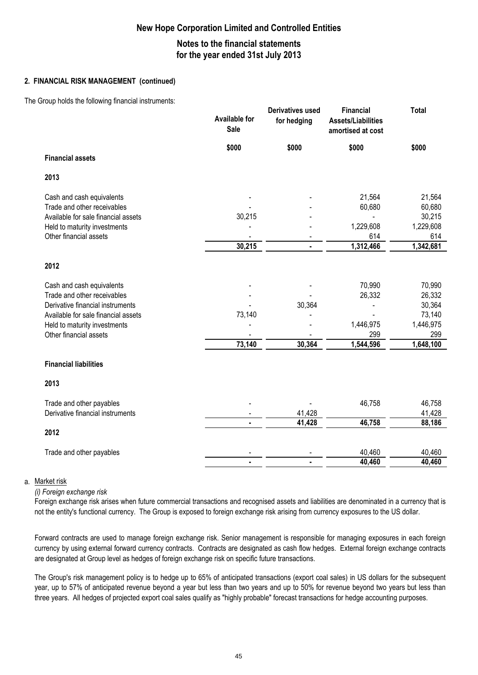### **Notes to the financial statements for the year ended 31st July 2013**

### **2. FINANCIAL RISK MANAGEMENT (continued)**

The Group holds the following financial instruments:

|                                     | <b>Available for</b><br>Sale | <b>Derivatives used</b><br>for hedging | <b>Financial</b><br>Assets/Liabilities<br>amortised at cost | <b>Total</b>     |
|-------------------------------------|------------------------------|----------------------------------------|-------------------------------------------------------------|------------------|
|                                     | \$000                        | \$000                                  | \$000                                                       | \$000            |
| <b>Financial assets</b>             |                              |                                        |                                                             |                  |
| 2013                                |                              |                                        |                                                             |                  |
| Cash and cash equivalents           |                              |                                        | 21,564                                                      | 21,564           |
| Trade and other receivables         |                              |                                        | 60,680                                                      | 60,680           |
| Available for sale financial assets | 30,215                       |                                        |                                                             | 30,215           |
| Held to maturity investments        |                              |                                        | 1,229,608                                                   | 1,229,608        |
| Other financial assets              | 30,215                       | $\blacksquare$                         | 614<br>1,312,466                                            | 614<br>1,342,681 |
|                                     |                              |                                        |                                                             |                  |
| 2012                                |                              |                                        |                                                             |                  |
| Cash and cash equivalents           |                              |                                        | 70,990                                                      | 70,990           |
| Trade and other receivables         |                              |                                        | 26,332                                                      | 26,332           |
| Derivative financial instruments    |                              | 30,364                                 |                                                             | 30,364           |
| Available for sale financial assets | 73,140                       |                                        |                                                             | 73,140           |
| Held to maturity investments        |                              |                                        | 1,446,975                                                   | 1,446,975        |
| Other financial assets              |                              |                                        | 299                                                         | 299              |
|                                     | 73,140                       | 30,364                                 | 1,544,596                                                   | 1,648,100        |
| <b>Financial liabilities</b>        |                              |                                        |                                                             |                  |
| 2013                                |                              |                                        |                                                             |                  |
| Trade and other payables            |                              |                                        | 46,758                                                      | 46,758           |
| Derivative financial instruments    |                              | 41,428                                 |                                                             | 41,428           |
|                                     | $\blacksquare$               | 41,428                                 | 46,758                                                      | 88,186           |
| 2012                                |                              |                                        |                                                             |                  |
| Trade and other payables            |                              |                                        | 40,460                                                      | 40,460           |
|                                     |                              | ۰                                      | 40,460                                                      | 40,460           |

#### a. <u>Market risk</u>

*(i) Foreign exchange risk*

Foreign exchange risk arises when future commercial transactions and recognised assets and liabilities are denominated in a currency that is not the entity's functional currency. The Group is exposed to foreign exchange risk arising from currency exposures to the US dollar.

Forward contracts are used to manage foreign exchange risk. Senior management is responsible for managing exposures in each foreign currency by using external forward currency contracts. Contracts are designated as cash flow hedges. External foreign exchange contracts are designated at Group level as hedges of foreign exchange risk on specific future transactions.

The Group's risk management policy is to hedge up to 65% of anticipated transactions (export coal sales) in US dollars for the subsequent year, up to 57% of anticipated revenue beyond a year but less than two years and up to 50% for revenue beyond two years but less than three years. All hedges of projected export coal sales qualify as "highly probable" forecast transactions for hedge accounting purposes.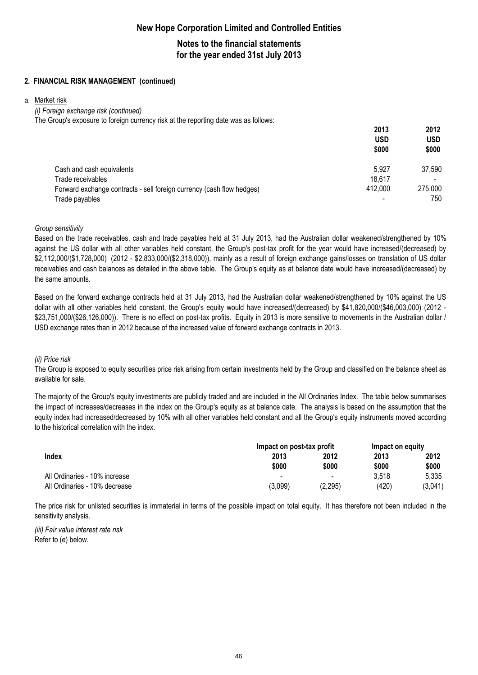### **Notes to the financial statements for the year ended 31st July 2013**

#### **2. FINANCIAL RISK MANAGEMENT (continued)**

#### a. <u>Market risk</u>

The Group's exposure to foreign currency risk at the reporting date was as follows: *(i) Foreign exchange risk (continued)*

|                                                                       | 2013       | 2012       |
|-----------------------------------------------------------------------|------------|------------|
|                                                                       | <b>USD</b> | <b>USD</b> |
|                                                                       | \$000      | \$000      |
| Cash and cash equivalents                                             | 5.927      | 37,590     |
| Trade receivables                                                     | 18,617     | -          |
| Forward exchange contracts - sell foreign currency (cash flow hedges) | 412,000    | 275,000    |
| Trade payables                                                        | $\,$       | 750        |

#### *Group sensitivity*

Based on the trade receivables, cash and trade payables held at 31 July 2013, had the Australian dollar weakened/strengthened by 10% against the US dollar with all other variables held constant, the Group's post-tax profit for the year would have increased/(decreased) by \$2,112,000/(\$1,728,000) (2012 - \$2,833,000/(\$2,318,000)), mainly as a result of foreign exchange gains/losses on translation of US dollar receivables and cash balances as detailed in the above table. The Group's equity as at balance date would have increased/(decreased) by the same amounts.

Based on the forward exchange contracts held at 31 July 2013, had the Australian dollar weakened/strengthened by 10% against the US dollar with all other variables held constant, the Group's equity would have increased/(decreased) by \$41,820,000/(\$46,003,000) (2012 - \$23,751,000/(\$26,126,000)). There is no effect on post-tax profits. Equity in 2013 is more sensitive to movements in the Australian dollar / USD exchange rates than in 2012 because of the increased value of forward exchange contracts in 2013.

#### *(ii) Price risk*

The Group is exposed to equity securities price risk arising from certain investments held by the Group and classified on the balance sheet as available for sale.

The majority of the Group's equity investments are publicly traded and are included in the All Ordinaries Index. The table below summarises the impact of increases/decreases in the index on the Group's equity as at balance date. The analysis is based on the assumption that the equity index had increased/decreased by 10% with all other variables held constant and all the Group's equity instruments moved according to the historical correlation with the index.

|                               | Impact on post-tax profit<br>Impact on equity |                |       |         |
|-------------------------------|-----------------------------------------------|----------------|-------|---------|
| Index                         | 2013                                          | 2012           | 2013  | 2012    |
|                               | \$000                                         | \$000          | \$000 | \$000   |
| All Ordinaries - 10% increase | $\overline{\phantom{a}}$                      | $\blacksquare$ | 3.518 | 5.335   |
| All Ordinaries - 10% decrease | (3,099)                                       | (2, 295)       | (420) | (3,041) |

The price risk for unlisted securities is immaterial in terms of the possible impact on total equity. It has therefore not been included in the sensitivity analysis.

*(iii) Fair value interest rate risk* Refer to (e) below.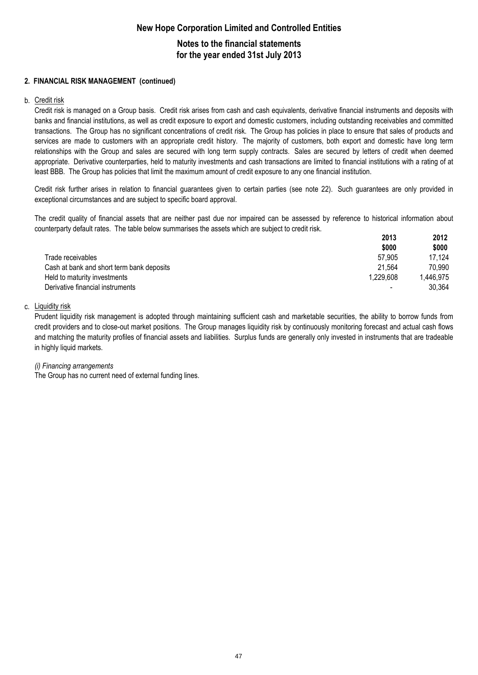### **Notes to the financial statements for the year ended 31st July 2013**

### **2. FINANCIAL RISK MANAGEMENT (continued)**

#### b. <u>Credit risk</u>

Credit risk is managed on a Group basis. Credit risk arises from cash and cash equivalents, derivative financial instruments and deposits with banks and financial institutions, as well as credit exposure to export and domestic customers, including outstanding receivables and committed transactions. The Group has no significant concentrations of credit risk. The Group has policies in place to ensure that sales of products and services are made to customers with an appropriate credit history. The majority of customers, both export and domestic have long term relationships with the Group and sales are secured with long term supply contracts. Sales are secured by letters of credit when deemed appropriate. Derivative counterparties, held to maturity investments and cash transactions are limited to financial institutions with a rating of at least BBB. The Group has policies that limit the maximum amount of credit exposure to any one financial institution.

Credit risk further arises in relation to financial guarantees given to certain parties (see note 22). Such guarantees are only provided in exceptional circumstances and are subject to specific board approval.

The credit quality of financial assets that are neither past due nor impaired can be assessed by reference to historical information about counterparty default rates. The table below summarises the assets which are subject to credit risk.

|                                           | 2013      | 2012      |
|-------------------------------------------|-----------|-----------|
|                                           | \$000     | \$000     |
| Trade receivables                         | 57.905    | 17,124    |
| Cash at bank and short term bank deposits | 21.564    | 70.990    |
| Held to maturity investments              | 1.229.608 | 1,446,975 |
| Derivative financial instruments          |           | 30,364    |

#### c. <u>Liquidity risk</u>

Prudent liquidity risk management is adopted through maintaining sufficient cash and marketable securities, the ability to borrow funds from credit providers and to close-out market positions. The Group manages liquidity risk by continuously monitoring forecast and actual cash flows and matching the maturity profiles of financial assets and liabilities. Surplus funds are generally only invested in instruments that are tradeable in highly liquid markets.

#### *(i) Financing arrangements*

The Group has no current need of external funding lines.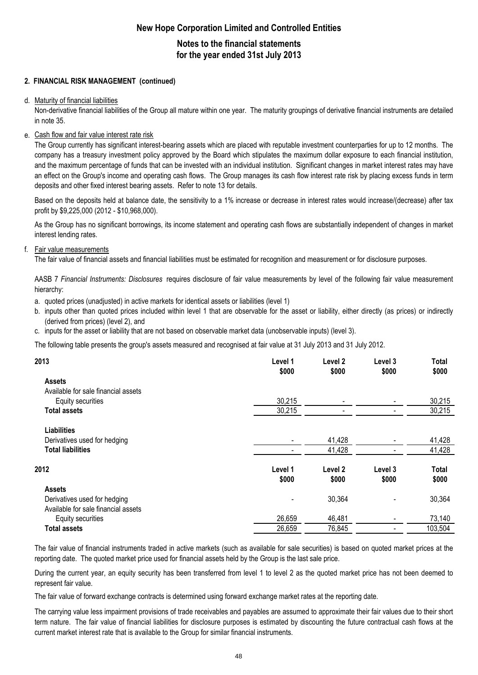### **Notes to the financial statements for the year ended 31st July 2013**

#### **2. FINANCIAL RISK MANAGEMENT (continued)**

#### d. Maturity of financial liabilities

Non-derivative financial liabilities of the Group all mature within one year. The maturity groupings of derivative financial instruments are detailed in note 35.

#### e. Cash flow and fair value interest rate risk

The Group currently has significant interest-bearing assets which are placed with reputable investment counterparties for up to 12 months. The company has a treasury investment policy approved by the Board which stipulates the maximum dollar exposure to each financial institution, and the maximum percentage of funds that can be invested with an individual institution. Significant changes in market interest rates may have an effect on the Group's income and operating cash flows. The Group manages its cash flow interest rate risk by placing excess funds in term deposits and other fixed interest bearing assets. Refer to note 13 for details.

Based on the deposits held at balance date, the sensitivity to a 1% increase or decrease in interest rates would increase/(decrease) after tax profit by \$9,225,000 (2012 - \$10,968,000).

As the Group has no significant borrowings, its income statement and operating cash flows are substantially independent of changes in market interest lending rates.

#### f. Fair value measurements

The fair value of financial assets and financial liabilities must be estimated for recognition and measurement or for disclosure purposes.

AASB 7 *Financial Instruments: Disclosures* requires disclosure of fair value measurements by level of the following fair value measurement hierarchy:

- a. quoted prices (unadjusted) in active markets for identical assets or liabilities (level 1)
- b. inputs other than quoted prices included within level 1 that are observable for the asset or liability, either directly (as prices) or indirectly (derived from prices) (level 2), and
- c. inputs for the asset or liability that are not based on observable market data (unobservable inputs) (level 3).

The following table presents the group's assets measured and recognised at fair value at 31 July 2013 and 31 July 2012.

| Level 1<br>\$000 | Level <sub>2</sub><br>\$000 | Level 3<br>\$000 | <b>Total</b><br>\$000 |
|------------------|-----------------------------|------------------|-----------------------|
|                  |                             |                  |                       |
|                  |                             |                  |                       |
| 30,215           |                             |                  | 30,215                |
| 30,215           |                             |                  | 30,215                |
|                  |                             |                  |                       |
|                  | 41,428                      |                  | 41,428                |
|                  | 41,428                      |                  | 41,428                |
| Level 1          | Level 2                     | Level 3          | Total<br>\$000        |
|                  |                             |                  |                       |
|                  | 30,364                      |                  | 30,364                |
|                  |                             |                  |                       |
| 26,659           | 46,481                      |                  | 73,140                |
| 26,659           | 76,845                      |                  | 103,504               |
|                  | \$000                       | \$000            | \$000                 |

The fair value of financial instruments traded in active markets (such as available for sale securities) is based on quoted market prices at the reporting date. The quoted market price used for financial assets held by the Group is the last sale price.

During the current year, an equity security has been transferred from level 1 to level 2 as the quoted market price has not been deemed to represent fair value.

The fair value of forward exchange contracts is determined using forward exchange market rates at the reporting date.

The carrying value less impairment provisions of trade receivables and payables are assumed to approximate their fair values due to their short term nature. The fair value of financial liabilities for disclosure purposes is estimated by discounting the future contractual cash flows at the current market interest rate that is available to the Group for similar financial instruments.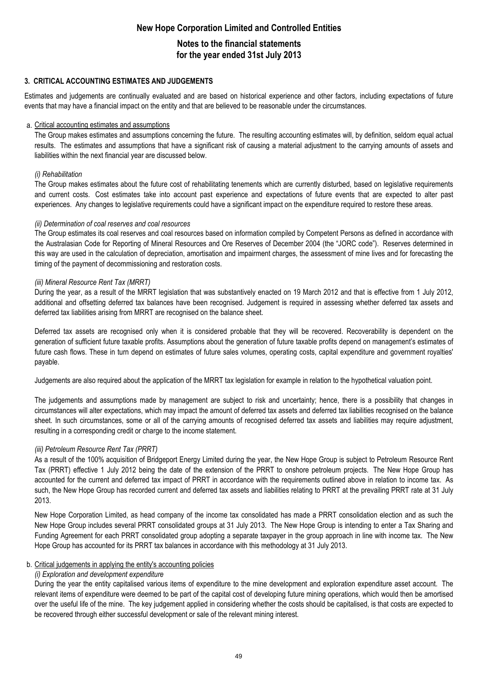### **Notes to the financial statements for the year ended 31st July 2013**

#### **3. CRITICAL ACCOUNTING ESTIMATES AND JUDGEMENTS**

Estimates and judgements are continually evaluated and are based on historical experience and other factors, including expectations of future events that may have a financial impact on the entity and that are believed to be reasonable under the circumstances.

#### a. Critical accounting estimates and assumptions

The Group makes estimates and assumptions concerning the future. The resulting accounting estimates will, by definition, seldom equal actual results. The estimates and assumptions that have a significant risk of causing a material adjustment to the carrying amounts of assets and liabilities within the next financial year are discussed below.

#### *(i) Rehabilitation*

The Group makes estimates about the future cost of rehabilitating tenements which are currently disturbed, based on legislative requirements and current costs. Cost estimates take into account past experience and expectations of future events that are expected to alter past experiences. Any changes to legislative requirements could have a significant impact on the expenditure required to restore these areas.

#### *(ii) Determination of coal reserves and coal resources*

The Group estimates its coal reserves and coal resources based on information compiled by Competent Persons as defined in accordance with the Australasian Code for Reporting of Mineral Resources and Ore Reserves of December 2004 (the "JORC code"). Reserves determined in this way are used in the calculation of depreciation, amortisation and impairment charges, the assessment of mine lives and for forecasting the timing of the payment of decommissioning and restoration costs.

#### *(iii) Mineral Resource Rent Tax (MRRT)*

During the year, as a result of the MRRT legislation that was substantively enacted on 19 March 2012 and that is effective from 1 July 2012, additional and offsetting deferred tax balances have been recognised. Judgement is required in assessing whether deferred tax assets and deferred tax liabilities arising from MRRT are recognised on the balance sheet.

Deferred tax assets are recognised only when it is considered probable that they will be recovered. Recoverability is dependent on the generation of sufficient future taxable profits. Assumptions about the generation of future taxable profits depend on management's estimates of future cash flows. These in turn depend on estimates of future sales volumes, operating costs, capital expenditure and government royalties' payable.

Judgements are also required about the application of the MRRT tax legislation for example in relation to the hypothetical valuation point.

The judgements and assumptions made by management are subject to risk and uncertainty; hence, there is a possibility that changes in circumstances will alter expectations, which may impact the amount of deferred tax assets and deferred tax liabilities recognised on the balance sheet. In such circumstances, some or all of the carrying amounts of recognised deferred tax assets and liabilities may require adjustment, resulting in a corresponding credit or charge to the income statement.

#### *(iii) Petroleum Resource Rent Tax (PRRT)*

As a result of the 100% acquisition of Bridgeport Energy Limited during the year, the New Hope Group is subject to Petroleum Resource Rent Tax (PRRT) effective 1 July 2012 being the date of the extension of the PRRT to onshore petroleum projects. The New Hope Group has accounted for the current and deferred tax impact of PRRT in accordance with the requirements outlined above in relation to income tax. As such, the New Hope Group has recorded current and deferred tax assets and liabilities relating to PRRT at the prevailing PRRT rate at 31 July 2013.

New Hope Corporation Limited, as head company of the income tax consolidated has made a PRRT consolidation election and as such the New Hope Group includes several PRRT consolidated groups at 31 July 2013. The New Hope Group is intending to enter a Tax Sharing and Funding Agreement for each PRRT consolidated group adopting a separate taxpayer in the group approach in line with income tax. The New Hope Group has accounted for its PRRT tax balances in accordance with this methodology at 31 July 2013.

#### b. Critical judgements in applying the entity's accounting policies

#### *(i) Exploration and development expenditure*

During the year the entity capitalised various items of expenditure to the mine development and exploration expenditure asset account. The relevant items of expenditure were deemed to be part of the capital cost of developing future mining operations, which would then be amortised over the useful life of the mine. The key judgement applied in considering whether the costs should be capitalised, is that costs are expected to be recovered through either successful development or sale of the relevant mining interest.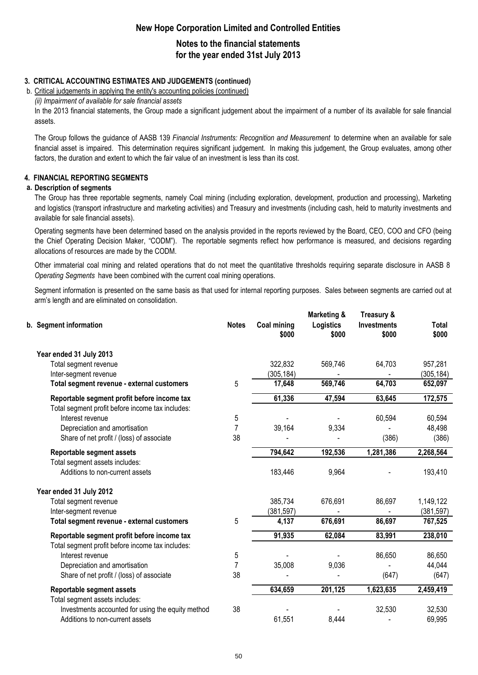### **Notes to the financial statements for the year ended 31st July 2013**

### **3. CRITICAL ACCOUNTING ESTIMATES AND JUDGEMENTS (continued)**

b. Critical judgements in applying the entity's accounting policies (continued)

*(ii) Impairment of available for sale financial assets*

In the 2013 financial statements, the Group made a significant judgement about the impairment of a number of its available for sale financial assets.

The Group follows the guidance of AASB 139 *Financial Instruments: Recognition and Measurement* to determine when an available for sale financial asset is impaired. This determination requires significant judgement. In making this judgement, the Group evaluates, among other factors, the duration and extent to which the fair value of an investment is less than its cost.

### **4. FINANCIAL REPORTING SEGMENTS**

#### **a. Description of segments**

The Group has three reportable segments, namely Coal mining (including exploration, development, production and processing), Marketing and logistics (transport infrastructure and marketing activities) and Treasury and investments (including cash, held to maturity investments and available for sale financial assets).

Operating segments have been determined based on the analysis provided in the reports reviewed by the Board, CEO, COO and CFO (being the Chief Operating Decision Maker, "CODM"). The reportable segments reflect how performance is measured, and decisions regarding allocations of resources are made by the CODM.

Other immaterial coal mining and related operations that do not meet the quantitative thresholds requiring separate disclosure in AASB 8 *Operating Segments* have been combined with the current coal mining operations.

Segment information is presented on the same basis as that used for internal reporting purposes. Sales between segments are carried out at arm's length and are eliminated on consolidation.

| b. Segment information                            | <b>Notes</b>   | <b>Coal mining</b><br>\$000 | Marketing &<br>Logistics<br>\$000 | Treasury &<br><b>Investments</b><br>\$000 | <b>Total</b><br>\$000 |
|---------------------------------------------------|----------------|-----------------------------|-----------------------------------|-------------------------------------------|-----------------------|
| Year ended 31 July 2013                           |                |                             |                                   |                                           |                       |
| Total segment revenue                             |                | 322,832                     | 569,746                           | 64,703                                    | 957,281               |
| Inter-segment revenue                             |                | (305, 184)                  |                                   |                                           | (305, 184)            |
| Total segment revenue - external customers        | 5              | 17,648                      | 569,746                           | 64,703                                    | 652,097               |
| Reportable segment profit before income tax       |                | 61,336                      | 47,594                            | 63,645                                    | 172,575               |
| Total segment profit before income tax includes:  |                |                             |                                   |                                           |                       |
| Interest revenue                                  | 5              |                             |                                   | 60,594                                    | 60,594                |
| Depreciation and amortisation                     | $\overline{7}$ | 39,164                      | 9,334                             |                                           | 48,498                |
| Share of net profit / (loss) of associate         | 38             |                             |                                   | (386)                                     | (386)                 |
| Reportable segment assets                         |                | 794,642                     | 192,536                           | 1,281,386                                 | 2,268,564             |
| Total segment assets includes:                    |                |                             |                                   |                                           |                       |
| Additions to non-current assets                   |                | 183,446                     | 9,964                             |                                           | 193,410               |
| Year ended 31 July 2012                           |                |                             |                                   |                                           |                       |
| Total segment revenue                             |                | 385,734                     | 676,691                           | 86,697                                    | 1,149,122             |
| Inter-segment revenue                             |                | (381, 597)                  |                                   |                                           | (381, 597)            |
| Total segment revenue - external customers        | 5              | 4,137                       | 676,691                           | 86,697                                    | 767,525               |
| Reportable segment profit before income tax       |                | 91,935                      | 62,084                            | 83,991                                    | 238,010               |
| Total segment profit before income tax includes:  |                |                             |                                   |                                           |                       |
| Interest revenue                                  | 5              |                             |                                   | 86,650                                    | 86,650                |
| Depreciation and amortisation                     | 7              | 35,008                      | 9,036                             |                                           | 44,044                |
| Share of net profit / (loss) of associate         | 38             |                             |                                   | (647)                                     | (647)                 |
| Reportable segment assets                         |                | 634,659                     | 201,125                           | 1,623,635                                 | 2,459,419             |
| Total segment assets includes:                    |                |                             |                                   |                                           |                       |
| Investments accounted for using the equity method | 38             |                             |                                   | 32,530                                    | 32,530                |
| Additions to non-current assets                   |                | 61,551                      | 8,444                             |                                           | 69,995                |
|                                                   |                |                             |                                   |                                           |                       |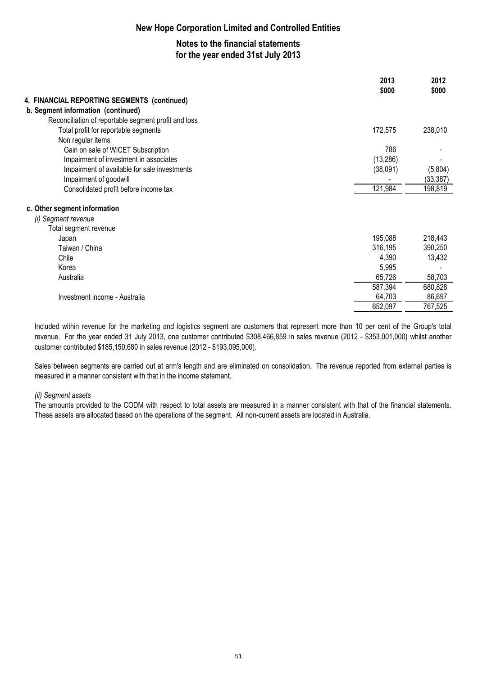### **Notes to the financial statements for the year ended 31st July 2013**

|                                                      | 2013<br>\$000 | 2012<br>\$000 |
|------------------------------------------------------|---------------|---------------|
| 4. FINANCIAL REPORTING SEGMENTS (continued)          |               |               |
| b. Segment information (continued)                   |               |               |
| Reconciliation of reportable segment profit and loss |               |               |
| Total profit for reportable segments                 | 172,575       | 238,010       |
| Non regular items                                    |               |               |
| Gain on sale of WICET Subscription                   | 786           |               |
| Impairment of investment in associates               | (13, 286)     |               |
| Impairment of available for sale investments         | (38,091)      | (5,804)       |
| Impairment of goodwill                               |               | (33, 387)     |
| Consolidated profit before income tax                | 121,984       | 198,819       |
| c. Other segment information                         |               |               |
| (i) Segment revenue                                  |               |               |
| Total segment revenue                                |               |               |
| Japan                                                | 195,088       | 218,443       |
| Taiwan / China                                       | 316,195       | 390,250       |
| Chile                                                | 4,390         | 13,432        |
| Korea                                                | 5,995         |               |
| Australia                                            | 65,726        | 58,703        |
|                                                      | 587,394       | 680,828       |
| Investment income - Australia                        | 64,703        | 86,697        |
|                                                      | 652,097       | 767,525       |

Included within revenue for the marketing and logistics segment are customers that represent more than 10 per cent of the Group's total revenue. For the year ended 31 July 2013, one customer contributed \$308,466,859 in sales revenue (2012 - \$353,001,000) whilst another customer contributed \$185,150,680 in sales revenue (2012 - \$193,095,000).

Sales between segments are carried out at arm's length and are eliminated on consolidation. The revenue reported from external parties is measured in a manner consistent with that in the income statement.

#### *(ii) Segment assets*

The amounts provided to the CODM with respect to total assets are measured in a manner consistent with that of the financial statements. These assets are allocated based on the operations of the segment. All non-current assets are located in Australia.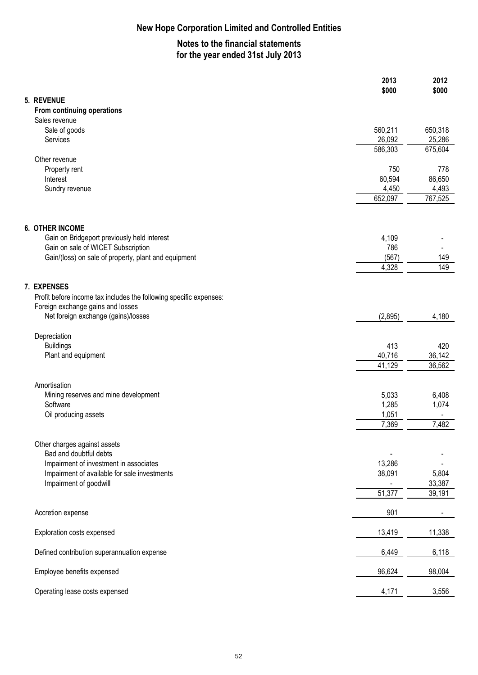## **Notes to the financial statements for the year ended 31st July 2013**

|                                                                       | 2013<br>\$000    | 2012<br>\$000    |
|-----------------------------------------------------------------------|------------------|------------------|
| 5. REVENUE                                                            |                  |                  |
| From continuing operations<br>Sales revenue                           |                  |                  |
| Sale of goods                                                         | 560,211          | 650,318          |
| Services                                                              | 26,092           | 25,286           |
|                                                                       | 586,303          | 675,604          |
| Other revenue<br>Property rent                                        | 750              | 778              |
| Interest                                                              | 60,594           | 86,650           |
| Sundry revenue                                                        | 4,450            | 4,493            |
|                                                                       | 652,097          | 767,525          |
|                                                                       |                  |                  |
| <b>6. OTHER INCOME</b><br>Gain on Bridgeport previously held interest | 4,109            |                  |
| Gain on sale of WICET Subscription                                    | 786              |                  |
| Gain/(loss) on sale of property, plant and equipment                  | (567)            | 149              |
|                                                                       | 4,328            | 149              |
| 7. EXPENSES                                                           |                  |                  |
| Profit before income tax includes the following specific expenses:    |                  |                  |
| Foreign exchange gains and losses                                     |                  |                  |
| Net foreign exchange (gains)/losses                                   | (2,895)          | 4,180            |
| Depreciation                                                          |                  |                  |
| <b>Buildings</b>                                                      | 413              | 420              |
| Plant and equipment                                                   | 40,716<br>41,129 | 36,142<br>36,562 |
|                                                                       |                  |                  |
| Amortisation                                                          |                  |                  |
| Mining reserves and mine development                                  | 5,033            | 6,408            |
| Software<br>Oil producing assets                                      | 1,285<br>1,051   | 1,074            |
|                                                                       | 7,369            | 7,482            |
|                                                                       |                  |                  |
| Other charges against assets<br>Bad and doubtful debts                |                  |                  |
| Impairment of investment in associates                                | 13,286           |                  |
| Impairment of available for sale investments                          | 38,091           | 5,804            |
| Impairment of goodwill                                                |                  | 33,387           |
|                                                                       | 51,377           | 39,191           |
| Accretion expense                                                     | 901              |                  |
| Exploration costs expensed                                            | 13,419           | 11,338           |
| Defined contribution superannuation expense                           | 6,449            | 6,118            |
| Employee benefits expensed                                            | 96,624           | 98,004           |
| Operating lease costs expensed                                        | 4,171            | 3,556            |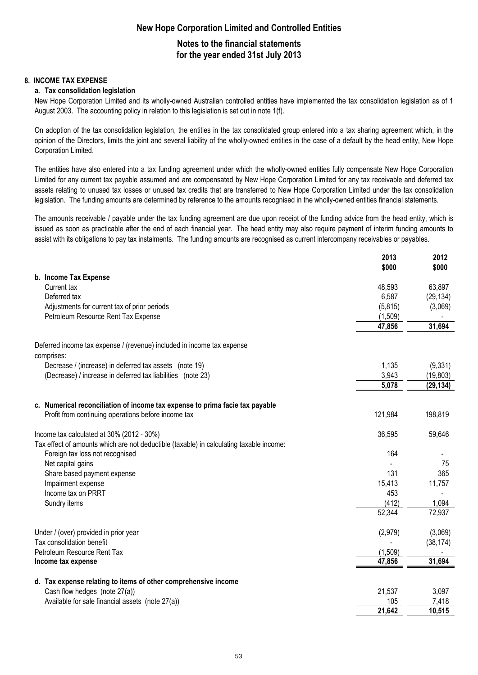### **Notes to the financial statements for the year ended 31st July 2013**

#### **8. INCOME TAX EXPENSE**

#### **a. Tax consolidation legislation**

New Hope Corporation Limited and its wholly-owned Australian controlled entities have implemented the tax consolidation legislation as of 1 August 2003. The accounting policy in relation to this legislation is set out in note 1(f).

On adoption of the tax consolidation legislation, the entities in the tax consolidated group entered into a tax sharing agreement which, in the opinion of the Directors, limits the joint and several liability of the wholly-owned entities in the case of a default by the head entity, New Hope Corporation Limited.

The entities have also entered into a tax funding agreement under which the wholly-owned entities fully compensate New Hope Corporation Limited for any current tax payable assumed and are compensated by New Hope Corporation Limited for any tax receivable and deferred tax assets relating to unused tax losses or unused tax credits that are transferred to New Hope Corporation Limited under the tax consolidation legislation. The funding amounts are determined by reference to the amounts recognised in the wholly-owned entities financial statements.

The amounts receivable / payable under the tax funding agreement are due upon receipt of the funding advice from the head entity, which is issued as soon as practicable after the end of each financial year. The head entity may also require payment of interim funding amounts to assist with its obligations to pay tax instalments. The funding amounts are recognised as current intercompany receivables or payables.

|                                                                                         | 2013<br>\$000 | 2012<br>\$000 |
|-----------------------------------------------------------------------------------------|---------------|---------------|
| b. Income Tax Expense                                                                   |               |               |
| Current tax                                                                             | 48,593        | 63,897        |
| Deferred tax                                                                            | 6,587         | (29, 134)     |
| Adjustments for current tax of prior periods                                            | (5,815)       | (3,069)       |
| Petroleum Resource Rent Tax Expense                                                     | (1,509)       |               |
|                                                                                         | 47,856        | 31,694        |
| Deferred income tax expense / (revenue) included in income tax expense                  |               |               |
| comprises:                                                                              |               |               |
| Decrease / (increase) in deferred tax assets (note 19)                                  | 1,135         | (9, 331)      |
| (Decrease) / increase in deferred tax liabilities (note 23)                             | 3,943         | (19, 803)     |
|                                                                                         | 5,078         | (29, 134)     |
| c. Numerical reconciliation of income tax expense to prima facie tax payable            |               |               |
| Profit from continuing operations before income tax                                     | 121,984       | 198,819       |
| Income tax calculated at 30% (2012 - 30%)                                               | 36,595        | 59,646        |
| Tax effect of amounts which are not deductible (taxable) in calculating taxable income: |               |               |
| Foreign tax loss not recognised                                                         | 164           |               |
| Net capital gains                                                                       |               | 75            |
| Share based payment expense                                                             | 131           | 365           |
| Impairment expense                                                                      | 15,413        | 11,757        |
| Income tax on PRRT                                                                      | 453           |               |
| Sundry items                                                                            | (412)         | 1,094         |
|                                                                                         | 52,344        | 72,937        |
| Under / (over) provided in prior year                                                   | (2,979)       | (3,069)       |
| Tax consolidation benefit                                                               |               | (38, 174)     |
| Petroleum Resource Rent Tax                                                             | (1,509)       |               |
| Income tax expense                                                                      | 47,856        | 31,694        |
| d. Tax expense relating to items of other comprehensive income                          |               |               |
| Cash flow hedges (note 27(a))                                                           | 21,537        | 3,097         |
| Available for sale financial assets (note 27(a))                                        | 105           | 7,418         |
|                                                                                         | 21,642        | 10,515        |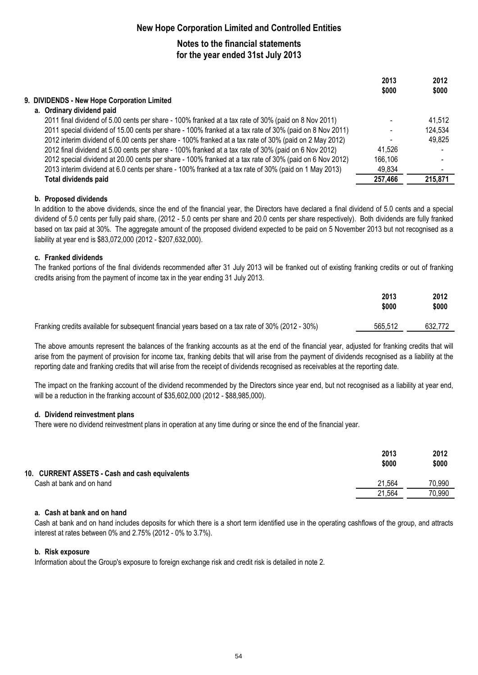### **Notes to the financial statements for the year ended 31st July 2013**

|                                                                                                         | 2013<br>\$000 | 2012<br>\$000 |
|---------------------------------------------------------------------------------------------------------|---------------|---------------|
| 9. DIVIDENDS - New Hope Corporation Limited                                                             |               |               |
| a. Ordinary dividend paid                                                                               |               |               |
| 2011 final dividend of 5.00 cents per share - 100% franked at a tax rate of 30% (paid on 8 Nov 2011)    |               | 41,512        |
| 2011 special dividend of 15.00 cents per share - 100% franked at a tax rate of 30% (paid on 8 Nov 2011) |               | 124,534       |
| 2012 interim dividend of 6.00 cents per share - 100% franked at a tax rate of 30% (paid on 2 May 2012)  |               | 49,825        |
| 2012 final dividend at 5.00 cents per share - 100% franked at a tax rate of 30% (paid on 6 Nov 2012)    | 41.526        |               |
| 2012 special dividend at 20.00 cents per share - 100% franked at a tax rate of 30% (paid on 6 Nov 2012) | 166,106       |               |
| 2013 interim dividend at 6.0 cents per share - 100% franked at a tax rate of 30% (paid on 1 May 2013)   | 49,834        |               |
| <b>Total dividends paid</b>                                                                             | 257,466       | 215,871       |
|                                                                                                         |               |               |

#### **b. Proposed dividends**

In addition to the above dividends, since the end of the financial year, the Directors have declared a final dividend of 5.0 cents and a special dividend of 5.0 cents per fully paid share, (2012 - 5.0 cents per share and 20.0 cents per share respectively). Both dividends are fully franked based on tax paid at 30%. The aggregate amount of the proposed dividend expected to be paid on 5 November 2013 but not recognised as a liability at year end is \$83,072,000 (2012 - \$207,632,000).

#### **c. Franked dividends**

The franked portions of the final dividends recommended after 31 July 2013 will be franked out of existing franking credits or out of franking credits arising from the payment of income tax in the year ending 31 July 2013.

|                                                                                                   | 2013<br>\$000 | 2012<br>\$000 |
|---------------------------------------------------------------------------------------------------|---------------|---------------|
| Franking credits available for subsequent financial years based on a tax rate of 30% (2012 - 30%) | 565.512       | 632.772       |

The above amounts represent the balances of the franking accounts as at the end of the financial year, adjusted for franking credits that will arise from the payment of provision for income tax, franking debits that will arise from the payment of dividends recognised as a liability at the reporting date and franking credits that will arise from the receipt of dividends recognised as receivables at the reporting date.

The impact on the franking account of the dividend recommended by the Directors since year end, but not recognised as a liability at year end, will be a reduction in the franking account of \$35,602,000 (2012 - \$88,985,000).

#### **d. Dividend reinvestment plans**

There were no dividend reinvestment plans in operation at any time during or since the end of the financial year.

|                                                | 2013<br>\$000 | 2012<br>\$000 |
|------------------------------------------------|---------------|---------------|
| 10. CURRENT ASSETS - Cash and cash equivalents |               |               |
| Cash at bank and on hand                       | 21.564        | 70.990        |
|                                                | 21.564        | 70.990        |

#### **a. Cash at bank and on hand**

Cash at bank and on hand includes deposits for which there is a short term identified use in the operating cashflows of the group, and attracts interest at rates between 0% and 2.75% (2012 - 0% to 3.7%).

#### **b. Risk exposure**

Information about the Group's exposure to foreign exchange risk and credit risk is detailed in note 2.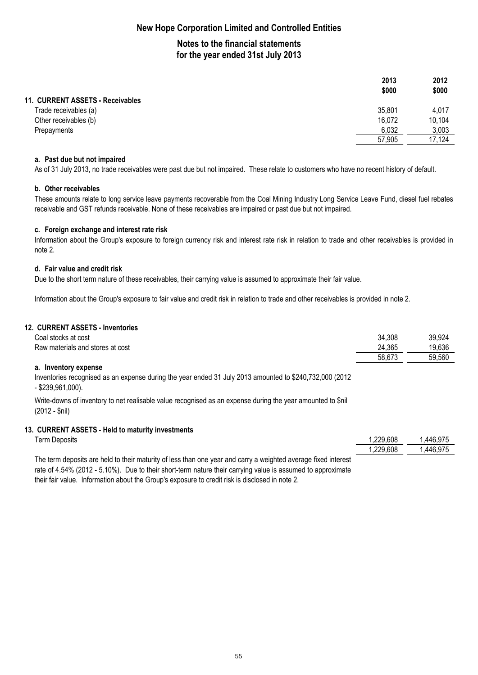### **Notes to the financial statements for the year ended 31st July 2013**

|                                  | 2013   | 2012   |
|----------------------------------|--------|--------|
|                                  | \$000  | \$000  |
| 11. CURRENT ASSETS - Receivables |        |        |
| Trade receivables (a)            | 35,801 | 4.017  |
| Other receivables (b)            | 16,072 | 10,104 |
| Prepayments                      | 6,032  | 3,003  |
|                                  | 57,905 | 17,124 |

#### **a. Past due but not impaired**

As of 31 July 2013, no trade receivables were past due but not impaired. These relate to customers who have no recent history of default.

#### **b. Other receivables**

These amounts relate to long service leave payments recoverable from the Coal Mining Industry Long Service Leave Fund, diesel fuel rebates receivable and GST refunds receivable. None of these receivables are impaired or past due but not impaired.

#### **c. Foreign exchange and interest rate risk**

Information about the Group's exposure to foreign currency risk and interest rate risk in relation to trade and other receivables is provided in note 2.

#### **d. Fair value and credit risk**

Due to the short term nature of these receivables, their carrying value is assumed to approximate their fair value.

Information about the Group's exposure to fair value and credit risk in relation to trade and other receivables is provided in note 2.

#### **12. CURRENT ASSETS - Inventories**

| Coal stocks at cost              | 34,308 | 39,924 |
|----------------------------------|--------|--------|
| Raw materials and stores at cost | 24,365 | 19,636 |
|                                  | 58,673 | 59,560 |

#### **a. Inventory expense**

Inventories recognised as an expense during the year ended 31 July 2013 amounted to \$240,732,000 (2012 - \$239,961,000).

Write-downs of inventory to net realisable value recognised as an expense during the year amounted to \$nil (2012 - \$nil)

#### **13. CURRENT ASSETS - Held to maturity investments**

| Term Deposits                                                                                                  | 1,229,608 | 1,446,975 |
|----------------------------------------------------------------------------------------------------------------|-----------|-----------|
|                                                                                                                | 1,229,608 | 1,446,975 |
| The term deposits are held to their maturity of less than one year and carry a weighted average fixed interest |           |           |

The term deposits are held to their maturity of le rate of 4.54% (2012 - 5.10%). Due to their short-term nature their carrying value is assumed to approximate their fair value. Information about the Group's exposure to credit risk is disclosed in note 2.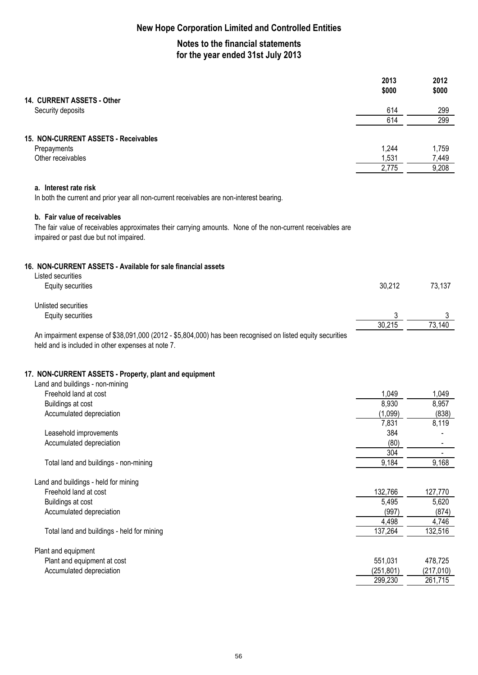### **Notes to the financial statements for the year ended 31st July 2013**

|                                      | 2013<br>\$000 | 2012<br>\$000 |
|--------------------------------------|---------------|---------------|
| 14. CURRENT ASSETS - Other           |               |               |
| Security deposits                    | 614           | 299           |
|                                      | 614           | 299           |
| 15. NON-CURRENT ASSETS - Receivables |               |               |
| Prepayments                          | 1,244         | 1,759         |
| Other receivables                    | 1,531         | 7,449         |
|                                      | 2,775         | 9,208         |

### **a. Interest rate risk**

In both the current and prior year all non-current receivables are non-interest bearing.

#### **b. Fair value of receivables**

The fair value of receivables approximates their carrying amounts. None of the non-current receivables are impaired or past due but not impaired.

#### **16. NON-CURRENT ASSETS - Available for sale financial assets**

| Listed securities<br>Equity securities                                                                      | 30,212 | 73.137 |
|-------------------------------------------------------------------------------------------------------------|--------|--------|
| Unlisted securities                                                                                         |        |        |
| Equity securities                                                                                           |        |        |
|                                                                                                             | 30.215 | 73.140 |
| An impairment expense of \$38,091,000 (2012 - \$5,804,000) has been recognised on listed equity securities. |        |        |

An impairment expense of \$38,091,000 (2012 - \$5,804,000) has been recognised on listed equity securities held and is included in other expenses at note 7.

#### **17. NON-CURRENT ASSETS - Property, plant and equipment**

| Land and buildings - non-mining            |            |            |
|--------------------------------------------|------------|------------|
| Freehold land at cost                      | 1,049      | 1,049      |
| Buildings at cost                          | 8,930      | 8,957      |
| Accumulated depreciation                   | (1,099)    | (838)      |
|                                            | 7,831      | 8,119      |
| Leasehold improvements                     | 384        |            |
| Accumulated depreciation                   | (80)       |            |
|                                            | 304        |            |
| Total land and buildings - non-mining      | 9,184      | 9,168      |
|                                            |            |            |
| Land and buildings - held for mining       |            |            |
| Freehold land at cost                      | 132,766    | 127,770    |
| Buildings at cost                          | 5,495      | 5,620      |
| Accumulated depreciation                   | (997)      | (874)      |
|                                            | 4,498      | 4,746      |
| Total land and buildings - held for mining | 137,264    | 132,516    |
|                                            |            |            |
| Plant and equipment                        |            |            |
| Plant and equipment at cost                | 551,031    | 478,725    |
| Accumulated depreciation                   | (251, 801) | (217, 010) |
|                                            | 299,230    | 261,715    |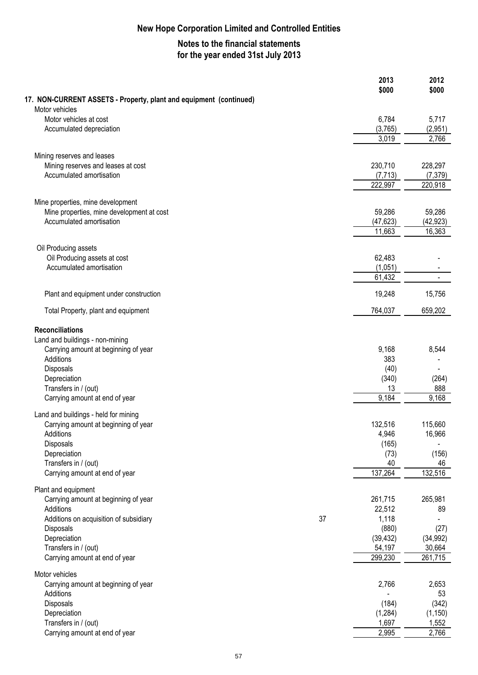# **Notes to the financial statements for the year ended 31st July 2013**

|                                                                    |    | 2013<br>\$000     | 2012<br>\$000     |
|--------------------------------------------------------------------|----|-------------------|-------------------|
| 17. NON-CURRENT ASSETS - Property, plant and equipment (continued) |    |                   |                   |
| Motor vehicles<br>Motor vehicles at cost                           |    | 6,784             | 5,717             |
| Accumulated depreciation                                           |    | (3,765)           | (2,951)           |
|                                                                    |    | 3,019             | 2,766             |
|                                                                    |    |                   |                   |
| Mining reserves and leases                                         |    |                   |                   |
| Mining reserves and leases at cost                                 |    | 230,710           | 228,297           |
| Accumulated amortisation                                           |    | (7, 713)          | (7, 379)          |
|                                                                    |    | 222,997           | 220,918           |
| Mine properties, mine development                                  |    |                   |                   |
| Mine properties, mine development at cost                          |    | 59,286            | 59,286            |
| Accumulated amortisation                                           |    | (47, 623)         | (42, 923)         |
|                                                                    |    | 11,663            | 16,363            |
| Oil Producing assets                                               |    |                   |                   |
| Oil Producing assets at cost                                       |    | 62,483            |                   |
| Accumulated amortisation                                           |    | (1,051)           |                   |
|                                                                    |    | 61,432            |                   |
| Plant and equipment under construction                             |    | 19,248            | 15,756            |
| Total Property, plant and equipment                                |    | 764,037           | 659,202           |
|                                                                    |    |                   |                   |
| <b>Reconciliations</b><br>Land and buildings - non-mining          |    |                   |                   |
| Carrying amount at beginning of year                               |    | 9,168             | 8,544             |
| Additions                                                          |    | 383               |                   |
| Disposals                                                          |    | (40)              |                   |
| Depreciation                                                       |    | (340)             | (264)             |
| Transfers in / (out)                                               |    | 13                | 888               |
| Carrying amount at end of year                                     |    | 9,184             | 9,168             |
| Land and buildings - held for mining                               |    |                   |                   |
| Carrying amount at beginning of year                               |    | 132,516           | 115,660           |
| Additions                                                          |    | 4,946             | 16,966            |
| Disposals                                                          |    | (165)             |                   |
| Depreciation                                                       |    | (73)              | (156)             |
| Transfers in / (out)                                               |    | 40                | 46                |
| Carrying amount at end of year                                     |    | 137,264           | 132,516           |
| Plant and equipment                                                |    |                   |                   |
| Carrying amount at beginning of year                               |    | 261,715           | 265,981           |
| Additions                                                          |    | 22,512            | 89                |
| Additions on acquisition of subsidiary                             | 37 | 1,118             |                   |
| Disposals                                                          |    | (880)             | (27)              |
| Depreciation                                                       |    | (39, 432)         | (34, 992)         |
| Transfers in / (out)<br>Carrying amount at end of year             |    | 54,197<br>299,230 | 30,664<br>261,715 |
|                                                                    |    |                   |                   |
| Motor vehicles                                                     |    |                   |                   |
| Carrying amount at beginning of year                               |    | 2,766             | 2,653             |
| Additions                                                          |    |                   | 53                |
| Disposals<br>Depreciation                                          |    | (184)<br>(1, 284) | (342)<br>(1, 150) |
| Transfers in / (out)                                               |    | 1,697             | 1,552             |
| Carrying amount at end of year                                     |    | 2,995             | 2,766             |
|                                                                    |    |                   |                   |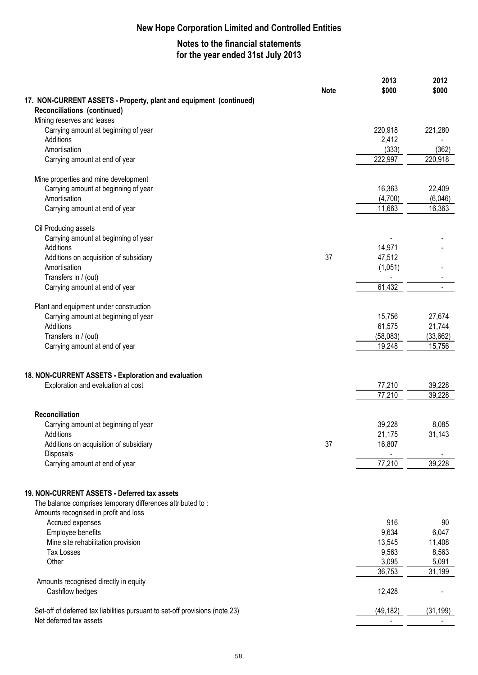# **Notes to the financial statements for the year ended 31st July 2013**

|                                                                                                            | <b>Note</b> | 2013<br>\$000 | 2012<br>\$000 |
|------------------------------------------------------------------------------------------------------------|-------------|---------------|---------------|
| 17. NON-CURRENT ASSETS - Property, plant and equipment (continued)<br>Reconciliations (continued)          |             |               |               |
| Mining reserves and leases                                                                                 |             |               |               |
| Carrying amount at beginning of year                                                                       |             | 220,918       | 221,280       |
| Additions                                                                                                  |             | 2,412         |               |
| Amortisation                                                                                               |             | (333)         | (362)         |
| Carrying amount at end of year                                                                             |             | 222,997       | 220,918       |
| Mine properties and mine development                                                                       |             |               |               |
| Carrying amount at beginning of year                                                                       |             | 16,363        | 22,409        |
| Amortisation                                                                                               |             | (4,700)       | (6,046)       |
| Carrying amount at end of year                                                                             |             | 11,663        | 16,363        |
| Oil Producing assets                                                                                       |             |               |               |
| Carrying amount at beginning of year                                                                       |             |               |               |
| Additions                                                                                                  |             | 14,971        |               |
| Additions on acquisition of subsidiary                                                                     | 37          | 47,512        |               |
| Amortisation                                                                                               |             | (1,051)       |               |
| Transfers in / (out)                                                                                       |             |               |               |
| Carrying amount at end of year                                                                             |             | 61,432        |               |
| Plant and equipment under construction                                                                     |             |               |               |
| Carrying amount at beginning of year                                                                       |             | 15,756        | 27,674        |
| Additions                                                                                                  |             | 61,575        | 21,744        |
| Transfers in / (out)                                                                                       |             | (58,083)      | (33, 662)     |
| Carrying amount at end of year                                                                             |             | 19,248        | 15,756        |
| 18. NON-CURRENT ASSETS - Exploration and evaluation                                                        |             |               |               |
| Exploration and evaluation at cost                                                                         |             | 77,210        | 39,228        |
|                                                                                                            |             | 77,210        | 39,228        |
| Reconciliation                                                                                             |             |               |               |
| Carrying amount at beginning of year                                                                       |             | 39,228        | 8,085         |
| Additions                                                                                                  |             | 21,175        | 31,143        |
| Additions on acquisition of subsidiary                                                                     | 37          | 16,807        |               |
| Disposals                                                                                                  |             |               |               |
| Carrying amount at end of year                                                                             |             | 77,210        | 39,228        |
|                                                                                                            |             |               |               |
| 19. NON-CURRENT ASSETS - Deferred tax assets<br>The balance comprises temporary differences attributed to: |             |               |               |
| Amounts recognised in profit and loss                                                                      |             |               |               |
| Accrued expenses                                                                                           |             | 916           | 90            |
| Employee benefits                                                                                          |             | 9,634         | 6,047         |
| Mine site rehabilitation provision                                                                         |             | 13,545        | 11,408        |
| <b>Tax Losses</b>                                                                                          |             | 9,563         | 8,563         |
| Other                                                                                                      |             | 3,095         | 5,091         |
| Amounts recognised directly in equity                                                                      |             | 36,753        | 31,199        |
| Cashflow hedges                                                                                            |             | 12,428        |               |
| Set-off of deferred tax liabilities pursuant to set-off provisions (note 23)                               |             | (49, 182)     | (31, 199)     |
| Net deferred tax assets                                                                                    |             |               |               |
|                                                                                                            |             |               |               |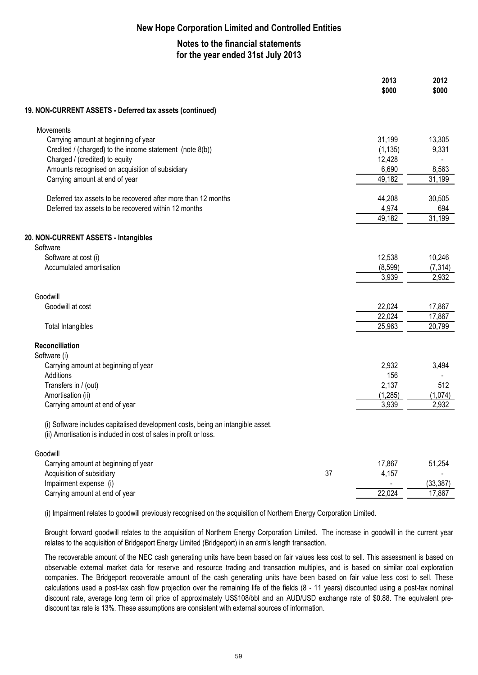### **Notes to the financial statements for the year ended 31st July 2013**

|                                                                                 |    | 2013<br>\$000 | 2012<br>\$000 |
|---------------------------------------------------------------------------------|----|---------------|---------------|
| 19. NON-CURRENT ASSETS - Deferred tax assets (continued)                        |    |               |               |
| Movements                                                                       |    |               |               |
| Carrying amount at beginning of year                                            |    | 31,199        | 13,305        |
| Credited / (charged) to the income statement (note 8(b))                        |    | (1, 135)      | 9,331         |
| Charged / (credited) to equity                                                  |    | 12,428        |               |
| Amounts recognised on acquisition of subsidiary                                 |    | 6,690         | 8,563         |
| Carrying amount at end of year                                                  |    | 49,182        | 31,199        |
| Deferred tax assets to be recovered after more than 12 months                   |    | 44,208        | 30,505        |
| Deferred tax assets to be recovered within 12 months                            |    | 4,974         | 694           |
|                                                                                 |    | 49,182        | 31,199        |
|                                                                                 |    |               |               |
| 20. NON-CURRENT ASSETS - Intangibles<br>Software                                |    |               |               |
| Software at cost (i)                                                            |    | 12,538        | 10,246        |
| Accumulated amortisation                                                        |    | (8,599)       | (7, 314)      |
|                                                                                 |    | 3,939         | 2,932         |
|                                                                                 |    |               |               |
| Goodwill<br>Goodwill at cost                                                    |    | 22,024        | 17,867        |
|                                                                                 |    | 22,024        | 17,867        |
| <b>Total Intangibles</b>                                                        |    | 25,963        | 20,799        |
|                                                                                 |    |               |               |
| Reconciliation                                                                  |    |               |               |
| Software (i)                                                                    |    |               |               |
| Carrying amount at beginning of year<br>Additions                               |    | 2,932<br>156  | 3,494         |
| Transfers in / (out)                                                            |    | 2,137         | 512           |
| Amortisation (ii)                                                               |    | (1, 285)      | (1,074)       |
| Carrying amount at end of year                                                  |    | 3,939         | 2,932         |
|                                                                                 |    |               |               |
| (i) Software includes capitalised development costs, being an intangible asset. |    |               |               |
| (ii) Amortisation is included in cost of sales in profit or loss.               |    |               |               |
| Goodwill                                                                        |    |               |               |
| Carrying amount at beginning of year                                            |    | 17,867        | 51,254        |
| Acquisition of subsidiary                                                       | 37 | 4,157         |               |
| Impairment expense (i)                                                          |    |               | (33, 387)     |
| Carrying amount at end of year                                                  |    | 22,024        | 17,867        |
|                                                                                 |    |               |               |

(i) Impairment relates to goodwill previously recognised on the acquisition of Northern Energy Corporation Limited.

Brought forward goodwill relates to the acquisition of Northern Energy Corporation Limited. The increase in goodwill in the current year relates to the acquisition of Bridgeport Energy Limited (Bridgeport) in an arm's length transaction.

The recoverable amount of the NEC cash generating units have been based on fair values less cost to sell. This assessment is based on observable external market data for reserve and resource trading and transaction multiples, and is based on similar coal exploration companies. The Bridgeport recoverable amount of the cash generating units have been based on fair value less cost to sell. These calculations used a post-tax cash flow projection over the remaining life of the fields (8 - 11 years) discounted using a post-tax nominal discount rate, average long term oil price of approximately US\$108/bbl and an AUD/USD exchange rate of \$0.88. The equivalent prediscount tax rate is 13%. These assumptions are consistent with external sources of information.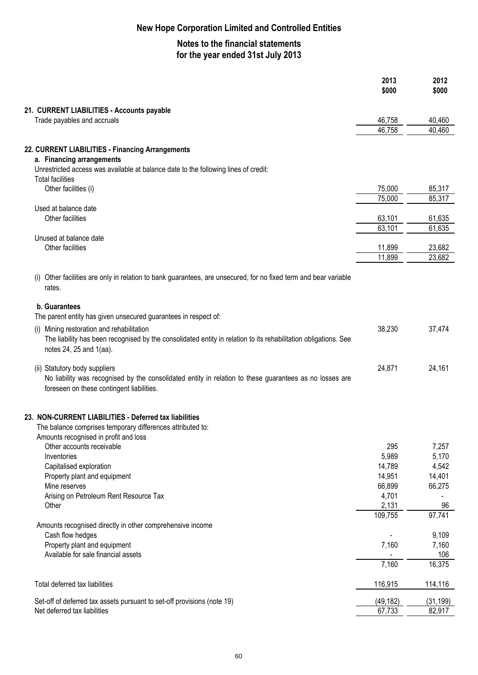# **Notes to the financial statements for the year ended 31st July 2013**

|                                                                                                                 | 2013<br>\$000       | 2012<br>\$000       |
|-----------------------------------------------------------------------------------------------------------------|---------------------|---------------------|
| 21. CURRENT LIABILITIES - Accounts payable                                                                      |                     |                     |
| Trade payables and accruals                                                                                     | 46,758              | 40,460              |
|                                                                                                                 | 46,758              | 40,460              |
|                                                                                                                 |                     |                     |
| 22. CURRENT LIABILITIES - Financing Arrangements                                                                |                     |                     |
| a. Financing arrangements                                                                                       |                     |                     |
| Unrestricted access was available at balance date to the following lines of credit:                             |                     |                     |
| <b>Total facilities</b><br>Other facilities (i)                                                                 | 75,000              | 85,317              |
|                                                                                                                 | 75,000              | 85,317              |
| Used at balance date                                                                                            |                     |                     |
| Other facilities                                                                                                | 63,101              | 61,635              |
|                                                                                                                 | 63,101              | 61,635              |
| Unused at balance date                                                                                          |                     |                     |
| Other facilities                                                                                                | 11,899              | 23,682              |
|                                                                                                                 | 11,899              | 23,682              |
| Other facilities are only in relation to bank guarantees, are unsecured, for no fixed term and bear variable    |                     |                     |
| (1)<br>rates.                                                                                                   |                     |                     |
|                                                                                                                 |                     |                     |
| b. Guarantees                                                                                                   |                     |                     |
| The parent entity has given unsecured guarantees in respect of:                                                 |                     |                     |
| (i) Mining restoration and rehabilitation                                                                       | 38,230              | 37,474              |
| The liability has been recognised by the consolidated entity in relation to its rehabilitation obligations. See |                     |                     |
| notes 24, 25 and 1(aa).                                                                                         |                     |                     |
|                                                                                                                 |                     |                     |
| (ii) Statutory body suppliers                                                                                   | 24,871              | 24,161              |
| No liability was recognised by the consolidated entity in relation to these guarantees as no losses are         |                     |                     |
| foreseen on these contingent liabilities.                                                                       |                     |                     |
|                                                                                                                 |                     |                     |
| 23. NON-CURRENT LIABILITIES - Deferred tax liabilities                                                          |                     |                     |
| The balance comprises temporary differences attributed to:                                                      |                     |                     |
| Amounts recognised in profit and loss<br>Other accounts receivable                                              | 295                 | 7,257               |
| Inventories                                                                                                     | 5,989               | 5,170               |
| Capitalised exploration                                                                                         | 14,789              | 4,542               |
| Property plant and equipment                                                                                    | 14,951              | 14,401              |
| Mine reserves                                                                                                   | 66,899              | 66,275              |
| Arising on Petroleum Rent Resource Tax                                                                          | 4,701               |                     |
| Other                                                                                                           | 2,131               | 96                  |
|                                                                                                                 | 109,755             | 97,741              |
| Amounts recognised directly in other comprehensive income<br>Cash flow hedges                                   |                     | 9,109               |
| Property plant and equipment                                                                                    | 7,160               | 7,160               |
| Available for sale financial assets                                                                             |                     | 106                 |
|                                                                                                                 | 7,160               | 16,375              |
|                                                                                                                 |                     |                     |
| Total deferred tax liabilities                                                                                  | 116,915             | 114,116             |
|                                                                                                                 |                     |                     |
| Set-off of deferred tax assets pursuant to set-off provisions (note 19)<br>Net deferred tax liabilities         | (49, 182)<br>67,733 | (31, 199)<br>82,917 |
|                                                                                                                 |                     |                     |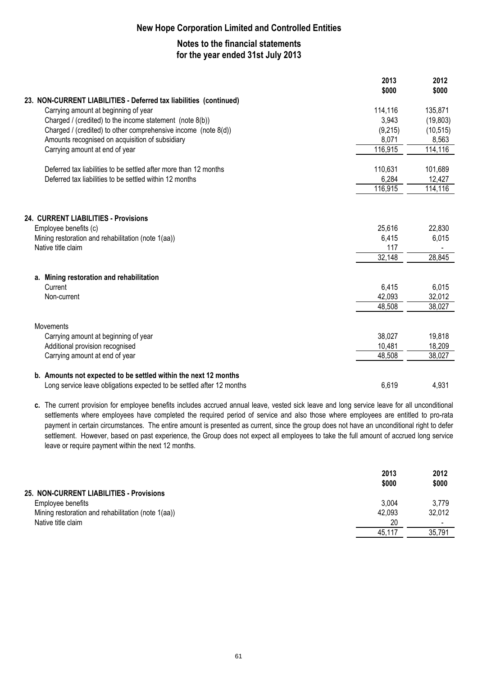### **Notes to the financial statements for the year ended 31st July 2013**

|                                                                       | 2013     | 2012      |
|-----------------------------------------------------------------------|----------|-----------|
|                                                                       | \$000    | \$000     |
| 23. NON-CURRENT LIABILITIES - Deferred tax liabilities (continued)    |          |           |
| Carrying amount at beginning of year                                  | 114,116  | 135,871   |
| Charged / (credited) to the income statement (note 8(b))              | 3,943    | (19, 803) |
| Charged / (credited) to other comprehensive income (note $8(d)$ )     | (9, 215) | (10, 515) |
| Amounts recognised on acquisition of subsidiary                       | 8,071    | 8,563     |
| Carrying amount at end of year                                        | 116,915  | 114,116   |
| Deferred tax liabilities to be settled after more than 12 months      | 110,631  | 101,689   |
| Deferred tax liabilities to be settled within 12 months               | 6,284    | 12,427    |
|                                                                       | 116,915  | 114,116   |
|                                                                       |          |           |
| 24. CURRENT LIABILITIES - Provisions                                  |          |           |
| Employee benefits (c)                                                 | 25,616   | 22,830    |
| Mining restoration and rehabilitation (note 1(aa))                    | 6,415    | 6,015     |
| Native title claim                                                    | 117      |           |
|                                                                       | 32,148   | 28,845    |
| a. Mining restoration and rehabilitation                              |          |           |
| Current                                                               | 6,415    | 6,015     |
| Non-current                                                           | 42,093   | 32,012    |
|                                                                       | 48,508   | 38,027    |
| Movements                                                             |          |           |
| Carrying amount at beginning of year                                  | 38,027   | 19,818    |
| Additional provision recognised                                       | 10,481   | 18,209    |
| Carrying amount at end of year                                        | 48,508   | 38,027    |
| b. Amounts not expected to be settled within the next 12 months       |          |           |
| Long service leave obligations expected to be settled after 12 months | 6,619    | 4,931     |

**c.** The current provision for employee benefits includes accrued annual leave, vested sick leave and long service leave for all unconditional settlements where employees have completed the required period of service and also those where employees are entitled to pro-rata payment in certain circumstances. The entire amount is presented as current, since the group does not have an unconditional right to defer settlement. However, based on past experience, the Group does not expect all employees to take the full amount of accrued long service leave or require payment within the next 12 months.

|                                                    | 2013   | 2012                     |
|----------------------------------------------------|--------|--------------------------|
|                                                    | \$000  | \$000                    |
| 25. NON-CURRENT LIABILITIES - Provisions           |        |                          |
| Employee benefits                                  | 3,004  | 3.779                    |
| Mining restoration and rehabilitation (note 1(aa)) | 42,093 | 32,012                   |
| Native title claim                                 | 20     | $\overline{\phantom{0}}$ |
|                                                    | 45.117 | 35,791                   |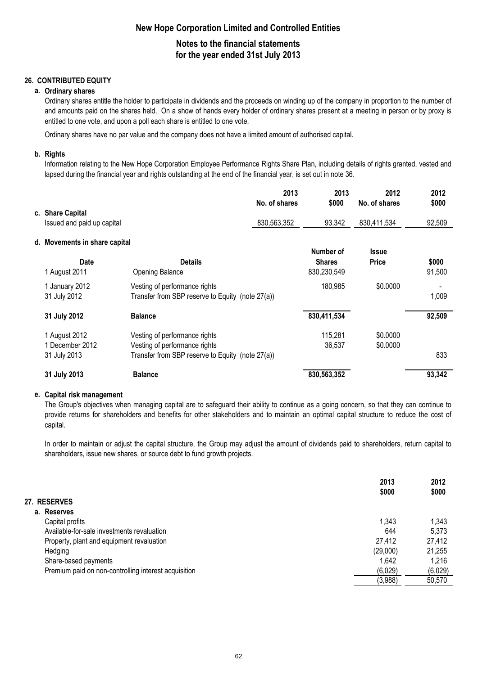### **Notes to the financial statements for the year ended 31st July 2013**

#### **26. CONTRIBUTED EQUITY**

#### **a. Ordinary shares**

Ordinary shares entitle the holder to participate in dividends and the proceeds on winding up of the company in proportion to the number of and amounts paid on the shares held. On a show of hands every holder of ordinary shares present at a meeting in person or by proxy is entitled to one vote, and upon a poll each share is entitled to one vote.

Ordinary shares have no par value and the company does not have a limited amount of authorised capital.

#### **b. Rights**

Information relating to the New Hope Corporation Employee Performance Rights Share Plan, including details of rights granted, vested and lapsed during the financial year and rights outstanding at the end of the financial year, is set out in note 36.

|                                                | 2013          | 2013   | 2012          | 2012   |
|------------------------------------------------|---------------|--------|---------------|--------|
|                                                | No. of shares | \$000  | No. of shares | \$000  |
| c. Share Capital<br>Issued and paid up capital | 830,563,352   | 93.342 | 830,411,534   | 92,509 |

#### **d. Movements in share capital**

| Date<br>1 August 2011                            | <b>Details</b><br><b>Opening Balance</b>                                                                           | Number of<br><b>Shares</b><br>830,230,549 | <b>Issue</b><br><b>Price</b> | \$000<br>91,500 |
|--------------------------------------------------|--------------------------------------------------------------------------------------------------------------------|-------------------------------------------|------------------------------|-----------------|
| 1 January 2012<br>31 July 2012                   | Vesting of performance rights<br>Transfer from SBP reserve to Equity (note 27(a))                                  | 180,985                                   | \$0.0000                     | 1,009           |
| 31 July 2012                                     | <b>Balance</b>                                                                                                     | 830,411,534                               |                              | 92,509          |
| 1 August 2012<br>1 December 2012<br>31 July 2013 | Vesting of performance rights<br>Vesting of performance rights<br>Transfer from SBP reserve to Equity (note 27(a)) | 115,281<br>36,537                         | \$0.0000<br>\$0.0000         | 833             |
| 31 July 2013                                     | <b>Balance</b>                                                                                                     | 830,563,352                               |                              | 93,342          |

#### **e. Capital risk management**

The Group's objectives when managing capital are to safeguard their ability to continue as a going concern, so that they can continue to provide returns for shareholders and benefits for other stakeholders and to maintain an optimal capital structure to reduce the cost of capital.

In order to maintain or adjust the capital structure, the Group may adjust the amount of dividends paid to shareholders, return capital to shareholders, issue new shares, or source debt to fund growth projects.

|                                                      | 2013     | 2012    |
|------------------------------------------------------|----------|---------|
|                                                      | \$000    | \$000   |
| 27. RESERVES                                         |          |         |
| a. Reserves                                          |          |         |
| Capital profits                                      | 1,343    | 1,343   |
| Available-for-sale investments revaluation           | 644      | 5,373   |
| Property, plant and equipment revaluation            | 27,412   | 27,412  |
| Hedging                                              | (29,000) | 21,255  |
| Share-based payments                                 | 1,642    | 1,216   |
| Premium paid on non-controlling interest acquisition | (6,029)  | (6,029) |
|                                                      | (3,988)  | 50,570  |
|                                                      |          |         |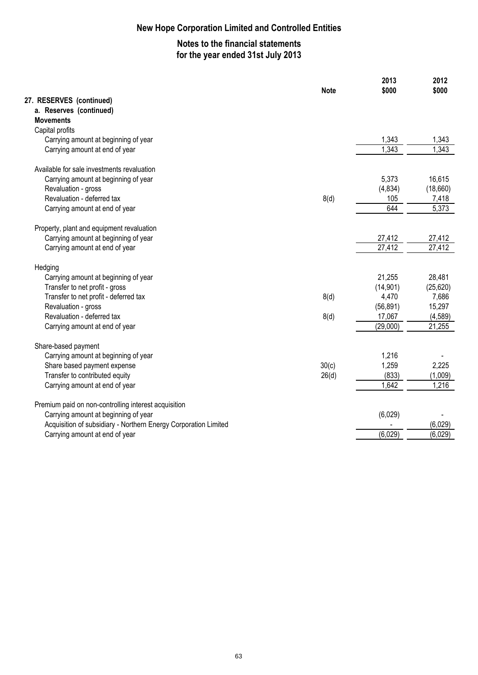# **Notes to the financial statements for the year ended 31st July 2013**

|                                                                 | <b>Note</b> | 2013<br>\$000 | 2012<br>\$000 |
|-----------------------------------------------------------------|-------------|---------------|---------------|
| 27. RESERVES (continued)                                        |             |               |               |
| a. Reserves (continued)                                         |             |               |               |
| <b>Movements</b>                                                |             |               |               |
| Capital profits                                                 |             |               |               |
| Carrying amount at beginning of year                            |             | 1,343         | 1,343         |
| Carrying amount at end of year                                  |             | 1,343         | 1,343         |
| Available for sale investments revaluation                      |             |               |               |
| Carrying amount at beginning of year                            |             | 5,373         | 16,615        |
| Revaluation - gross                                             |             | (4,834)       | (18,660)      |
| Revaluation - deferred tax                                      | 8(d)        | 105           | 7,418         |
| Carrying amount at end of year                                  |             | 644           | 5,373         |
| Property, plant and equipment revaluation                       |             |               |               |
| Carrying amount at beginning of year                            |             | 27,412        | 27,412        |
| Carrying amount at end of year                                  |             | 27,412        | 27,412        |
| Hedging                                                         |             |               |               |
| Carrying amount at beginning of year                            |             | 21,255        | 28,481        |
| Transfer to net profit - gross                                  |             | (14, 901)     | (25, 620)     |
| Transfer to net profit - deferred tax                           | 8(d)        | 4,470         | 7,686         |
| Revaluation - gross                                             |             | (56, 891)     | 15,297        |
| Revaluation - deferred tax                                      | 8(d)        | 17,067        | (4, 589)      |
| Carrying amount at end of year                                  |             | (29,000)      | 21,255        |
| Share-based payment                                             |             |               |               |
| Carrying amount at beginning of year                            |             | 1,216         |               |
| Share based payment expense                                     | 30(c)       | 1,259         | 2,225         |
| Transfer to contributed equity                                  | 26(d)       | (833)         | (1,009)       |
| Carrying amount at end of year                                  |             | 1,642         | 1,216         |
| Premium paid on non-controlling interest acquisition            |             |               |               |
| Carrying amount at beginning of year                            |             | (6,029)       |               |
| Acquisition of subsidiary - Northern Energy Corporation Limited |             |               | (6,029)       |
| Carrying amount at end of year                                  |             | (6,029)       | (6,029)       |
|                                                                 |             |               |               |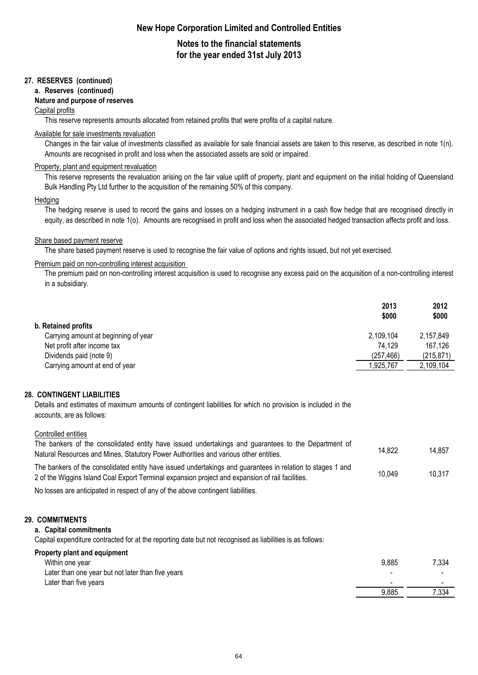### **Notes to the financial statements for the year ended 31st July 2013**

#### **27. RESERVES (continued)**

#### **a. Reserves (continued)**

### **Nature and purpose of reserves**

#### Capital profits

This reserve represents amounts allocated from retained profits that were profits of a capital nature.

#### Available for sale investments revaluation

Changes in the fair value of investments classified as available for sale financial assets are taken to this reserve, as described in note 1(n). Amounts are recognised in profit and loss when the associated assets are sold or impaired.

#### Property, plant and equipment revaluation

This reserve represents the revaluation arising on the fair value uplift of property, plant and equipment on the initial holding of Queensland Bulk Handling Pty Ltd further to the acquisition of the remaining 50% of this company.

#### **Hedging**

The hedging reserve is used to record the gains and losses on a hedging instrument in a cash flow hedge that are recognised directly in equity, as described in note 1(o). Amounts are recognised in profit and loss when the associated hedged transaction affects profit and loss.

#### Share based payment reserve

The share based payment reserve is used to recognise the fair value of options and rights issued, but not yet exercised.

#### Premium paid on non-controlling interest acquisition

The premium paid on non-controlling interest acquisition is used to recognise any excess paid on the acquisition of a non-controlling interest in a subsidiary.

|                                      | 2013<br>\$000 | 2012<br>\$000 |
|--------------------------------------|---------------|---------------|
| b. Retained profits                  |               |               |
| Carrying amount at beginning of year | 2,109,104     | 2,157,849     |
| Net profit after income tax          | 74,129        | 167.126       |
| Dividends paid (note 9)              | (257,466)     | (215, 871)    |
| Carrying amount at end of year       | 1.925.767     | 2,109,104     |

#### **28. CONTINGENT LIABILITIES**

Later than five years

Details and estimates of maximum amounts of contingent liabilities for which no provision is included in the accounts, are as follows:

### Controlled entities 14,822 14,857 10,049 10,317 **29. COMMITMENTS a. Capital commitments Property plant and equipment** Within one year 7,334 Later than one year but not later than five years Capital expenditure contracted for at the reporting date but not recognised as liabilities is as follows: The bankers of the consolidated entity have issued undertakings and guarantees to the Department of Natural Resources and Mines, Statutory Power Authorities and various other entities. No losses are anticipated in respect of any of the above contingent liabilities. The bankers of the consolidated entity have issued undertakings and guarantees in relation to stages 1 and 2 of the Wiggins Island Coal Export Terminal expansion project and expansion of rail facilities.

9,885 7,334

64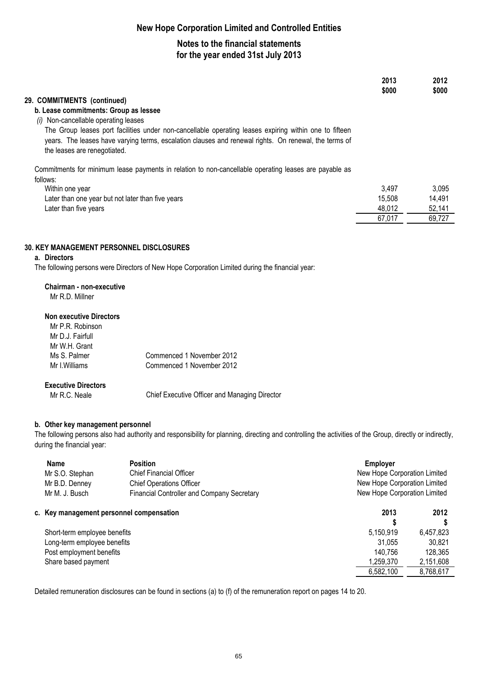### **Notes to the financial statements for the year ended 31st July 2013**

|                                                                                                                                                                                                                                                 | 2013<br>\$000 | 2012<br>\$000 |
|-------------------------------------------------------------------------------------------------------------------------------------------------------------------------------------------------------------------------------------------------|---------------|---------------|
| 29. COMMITMENTS (continued)                                                                                                                                                                                                                     |               |               |
| b. Lease commitments: Group as lessee                                                                                                                                                                                                           |               |               |
| Non-cancellable operating leases<br>(i)                                                                                                                                                                                                         |               |               |
| The Group leases port facilities under non-cancellable operating leases expiring within one to fifteen<br>years. The leases have varying terms, escalation clauses and renewal rights. On renewal, the terms of<br>the leases are renegotiated. |               |               |
| Commitments for minimum lease payments in relation to non-cancellable operating leases are payable as                                                                                                                                           |               |               |
| follows:                                                                                                                                                                                                                                        |               |               |
| Within one year                                                                                                                                                                                                                                 | 3.497         | 3,095         |
| Later than one year but not later than five years                                                                                                                                                                                               | 15,508        | 14,491        |
| Later than five years                                                                                                                                                                                                                           | 48,012        | 52,141        |
|                                                                                                                                                                                                                                                 | 67,017        | 69,727        |

#### **30. KEY MANAGEMENT PERSONNEL DISCLOSURES**

#### **a. Directors**

The following persons were Directors of New Hope Corporation Limited during the financial year:

#### **Chairman - non-executive**

Mr R.D. Millner

#### **Non executive Directors**

| Mr P.R. Robinson |                           |
|------------------|---------------------------|
| Mr D.J. Fairfull |                           |
| Mr W.H. Grant    |                           |
| Ms S. Palmer     | Commenced 1 November 2012 |
| Mr I. Williams   | Commenced 1 November 2012 |
|                  |                           |
|                  |                           |

#### **Executive Directors**

Mr R.C. Neale

Chief Executive Officer and Managing Director

#### **b. Other key management personnel**

The following persons also had authority and responsibility for planning, directing and controlling the activities of the Group, directly or indirectly, during the financial year:

| <b>Name</b>                              | <b>Position</b>                                   | <b>Employer</b>              |           |
|------------------------------------------|---------------------------------------------------|------------------------------|-----------|
| Mr S.O. Stephan                          | <b>Chief Financial Officer</b>                    | New Hope Corporation Limited |           |
| Mr B.D. Denney                           | <b>Chief Operations Officer</b>                   | New Hope Corporation Limited |           |
| Mr M. J. Busch                           | <b>Financial Controller and Company Secretary</b> | New Hope Corporation Limited |           |
| c. Key management personnel compensation |                                                   | 2013                         | 2012      |
|                                          |                                                   |                              |           |
| Short-term employee benefits             |                                                   | 5,150,919                    | 6,457,823 |
| Long-term employee benefits              |                                                   | 31,055                       | 30,821    |
| Post employment benefits                 |                                                   | 140,756                      | 128,365   |
| Share based payment                      |                                                   | 1,259,370                    | 2,151,608 |
|                                          |                                                   | 6,582,100                    | 8,768,617 |

Detailed remuneration disclosures can be found in sections (a) to (f) of the remuneration report on pages 14 to 20.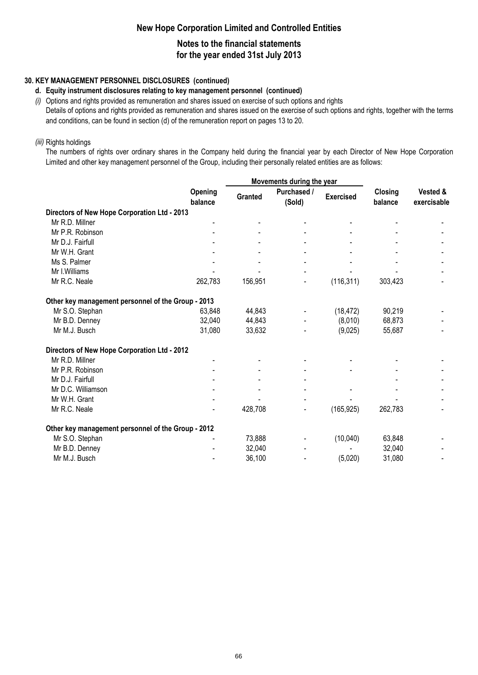### **Notes to the financial statements for the year ended 31st July 2013**

### **30. KEY MANAGEMENT PERSONNEL DISCLOSURES (continued)**

- **d. Equity instrument disclosures relating to key management personnel (continued)**
- *(i)* Options and rights provided as remuneration and shares issued on exercise of such options and rights Details of options and rights provided as remuneration and shares issued on the exercise of such options and rights, together with the terms and conditions, can be found in section (d) of the remuneration report on pages 13 to 20.

#### *(iii)* Rights holdings

The numbers of rights over ordinary shares in the Company held during the financial year by each Director of New Hope Corporation Limited and other key management personnel of the Group, including their personally related entities are as follows:

|                                                    |                    | Movements during the year |                          |                  |                    |                         |
|----------------------------------------------------|--------------------|---------------------------|--------------------------|------------------|--------------------|-------------------------|
|                                                    | Opening<br>balance | Granted                   | Purchased /<br>(Sold)    | <b>Exercised</b> | Closing<br>balance | Vested &<br>exercisable |
| Directors of New Hope Corporation Ltd - 2013       |                    |                           |                          |                  |                    |                         |
| Mr R.D. Millner                                    |                    |                           |                          |                  |                    |                         |
| Mr P.R. Robinson                                   |                    |                           |                          |                  |                    |                         |
| Mr D.J. Fairfull                                   |                    |                           |                          |                  |                    |                         |
| Mr W.H. Grant                                      |                    |                           |                          |                  |                    |                         |
| Ms S. Palmer                                       |                    |                           |                          |                  |                    |                         |
| Mr I.Williams                                      |                    |                           |                          |                  |                    |                         |
| Mr R.C. Neale                                      | 262,783            | 156,951                   |                          | (116, 311)       | 303,423            |                         |
| Other key management personnel of the Group - 2013 |                    |                           |                          |                  |                    |                         |
| Mr S.O. Stephan                                    | 63,848             | 44,843                    |                          | (18, 472)        | 90,219             |                         |
| Mr B.D. Denney                                     | 32,040             | 44,843                    |                          | (8,010)          | 68,873             |                         |
| Mr M.J. Busch                                      | 31,080             | 33,632                    |                          | (9,025)          | 55,687             |                         |
| Directors of New Hope Corporation Ltd - 2012       |                    |                           |                          |                  |                    |                         |
| Mr R.D. Millner                                    |                    |                           |                          |                  |                    |                         |
| Mr P.R. Robinson                                   |                    |                           |                          |                  |                    |                         |
| Mr D.J. Fairfull                                   |                    |                           |                          |                  |                    |                         |
| Mr D.C. Williamson                                 |                    |                           |                          |                  |                    |                         |
| Mr W.H. Grant                                      |                    |                           |                          |                  |                    |                         |
| Mr R.C. Neale                                      |                    | 428,708                   | $\overline{\phantom{0}}$ | (165, 925)       | 262,783            |                         |
| Other key management personnel of the Group - 2012 |                    |                           |                          |                  |                    |                         |
| Mr S.O. Stephan                                    |                    | 73,888                    |                          | (10,040)         | 63,848             |                         |
| Mr B.D. Denney                                     |                    | 32,040                    |                          |                  | 32,040             |                         |
| Mr M.J. Busch                                      |                    | 36,100                    |                          | (5,020)          | 31,080             |                         |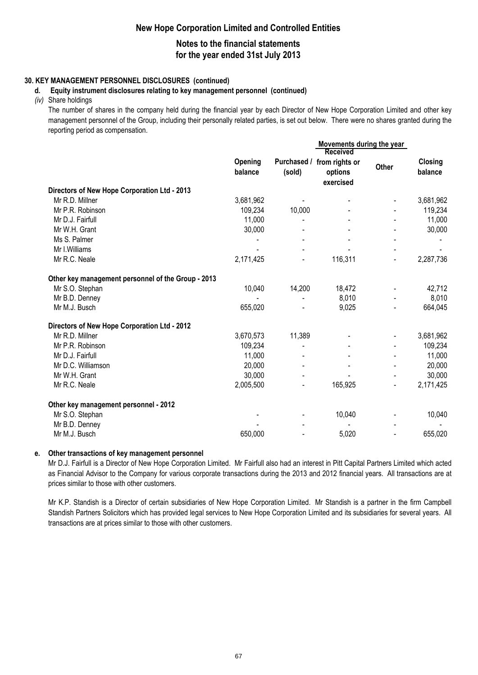### **Notes to the financial statements for the year ended 31st July 2013**

#### **30. KEY MANAGEMENT PERSONNEL DISCLOSURES (continued)**

#### **d. Equity instrument disclosures relating to key management personnel (continued)**

*(iv)* Share holdings

The number of shares in the company held during the financial year by each Director of New Hope Corporation Limited and other key management personnel of the Group, including their personally related parties, is set out below. There were no shares granted during the reporting period as compensation.

|                                                    |                    |        | Movements during the year<br><b>Received</b>       |              |                    |
|----------------------------------------------------|--------------------|--------|----------------------------------------------------|--------------|--------------------|
|                                                    | Opening<br>balance | (sold) | Purchased / from rights or<br>options<br>exercised | <b>Other</b> | Closing<br>balance |
| Directors of New Hope Corporation Ltd - 2013       |                    |        |                                                    |              |                    |
| Mr R.D. Millner                                    | 3,681,962          |        |                                                    |              | 3,681,962          |
| Mr P.R. Robinson                                   | 109,234            | 10,000 |                                                    |              | 119,234            |
| Mr D.J. Fairfull                                   | 11,000             |        |                                                    |              | 11,000             |
| Mr W.H. Grant                                      | 30,000             |        |                                                    |              | 30,000             |
| Ms S. Palmer                                       |                    |        |                                                    |              |                    |
| Mr I.Williams                                      |                    |        |                                                    |              |                    |
| Mr R.C. Neale                                      | 2,171,425          |        | 116,311                                            |              | 2,287,736          |
| Other key management personnel of the Group - 2013 |                    |        |                                                    |              |                    |
| Mr S.O. Stephan                                    | 10,040             | 14,200 | 18,472                                             |              | 42,712             |
| Mr B.D. Denney                                     |                    |        | 8,010                                              |              | 8,010              |
| Mr M.J. Busch                                      | 655,020            |        | 9,025                                              |              | 664,045            |
| Directors of New Hope Corporation Ltd - 2012       |                    |        |                                                    |              |                    |
| Mr R.D. Millner                                    | 3,670,573          | 11,389 |                                                    |              | 3,681,962          |
| Mr P.R. Robinson                                   | 109,234            |        |                                                    |              | 109,234            |
| Mr D.J. Fairfull                                   | 11,000             |        |                                                    |              | 11,000             |
| Mr D.C. Williamson                                 | 20,000             |        |                                                    |              | 20,000             |
| Mr W.H. Grant                                      | 30,000             |        |                                                    |              | 30,000             |
| Mr R.C. Neale                                      | 2,005,500          |        | 165,925                                            |              | 2,171,425          |
| Other key management personnel - 2012              |                    |        |                                                    |              |                    |
| Mr S.O. Stephan                                    |                    |        | 10,040                                             |              | 10,040             |
| Mr B.D. Denney                                     |                    |        |                                                    |              |                    |
| Mr M.J. Busch                                      | 650,000            |        | 5,020                                              |              | 655,020            |

#### **e. Other transactions of key management personnel**

Mr D.J. Fairfull is a Director of New Hope Corporation Limited. Mr Fairfull also had an interest in Pitt Capital Partners Limited which acted as Financial Advisor to the Company for various corporate transactions during the 2013 and 2012 financial years. All transactions are at prices similar to those with other customers.

Mr K.P. Standish is a Director of certain subsidiaries of New Hope Corporation Limited. Mr Standish is a partner in the firm Campbell Standish Partners Solicitors which has provided legal services to New Hope Corporation Limited and its subsidiaries for several years. All transactions are at prices similar to those with other customers.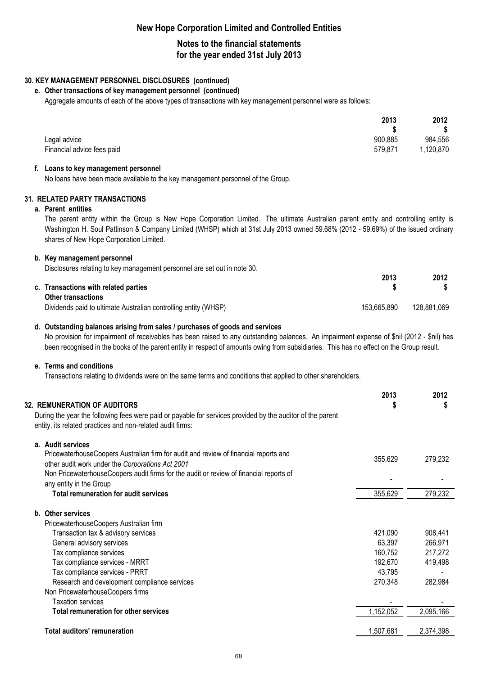### **Notes to the financial statements for the year ended 31st July 2013**

### **30. KEY MANAGEMENT PERSONNEL DISCLOSURES (continued)**

#### **e. Other transactions of key management personnel (continued)**

Aggregate amounts of each of the above types of transactions with key management personnel were as follows:

|                            | 2013    | 2012<br>\$ |
|----------------------------|---------|------------|
| Legal advice               | 900,885 | 984,556    |
| Financial advice fees paid | 579,871 | 1,120,870  |

#### **f. Loans to key management personnel**

No loans have been made available to the key management personnel of the Group.

#### **31. RELATED PARTY TRANSACTIONS**

#### **a. Parent entities**

The parent entity within the Group is New Hope Corporation Limited. The ultimate Australian parent entity and controlling entity is Washington H. Soul Pattinson & Company Limited (WHSP) which at 31st July 2013 owned 59.68% (2012 - 59.69%) of the issued ordinary shares of New Hope Corporation Limited.

#### **b. Key management personnel**

| Disclosures relating to key management personnel are set out in note 30. |
|--------------------------------------------------------------------------|
|--------------------------------------------------------------------------|

|                                                                 | 2013        | 2012        |
|-----------------------------------------------------------------|-------------|-------------|
| c. Transactions with related parties                            |             |             |
| <b>Other transactions</b>                                       |             |             |
| Dividends paid to ultimate Australian controlling entity (WHSP) | 153,665,890 | 128,881,069 |

#### **d. Outstanding balances arising from sales / purchases of goods and services**

No provision for impairment of receivables has been raised to any outstanding balances. An impairment expense of \$nil (2012 - \$nil) has been recognised in the books of the parent entity in respect of amounts owing from subsidiaries. This has no effect on the Group result.

#### **e. Terms and conditions**

Transactions relating to dividends were on the same terms and conditions that applied to other shareholders.

| <b>32. REMUNERATION OF AUDITORS</b><br>During the year the following fees were paid or payable for services provided by the auditor of the parent<br>entity, its related practices and non-related audit firms:                                                                    | 2013<br>5                    | 2012<br>S          |
|------------------------------------------------------------------------------------------------------------------------------------------------------------------------------------------------------------------------------------------------------------------------------------|------------------------------|--------------------|
| a. Audit services<br>PricewaterhouseCoopers Australian firm for audit and review of financial reports and<br>other audit work under the Corporations Act 2001<br>Non PricewaterhouseCoopers audit firms for the audit or review of financial reports of<br>any entity in the Group | 355,629                      | 279,232            |
| <b>Total remuneration for audit services</b>                                                                                                                                                                                                                                       | 355,629                      | 279,232            |
| b. Other services<br>PricewaterhouseCoopers Australian firm                                                                                                                                                                                                                        |                              |                    |
| Transaction tax & advisory services<br>General advisory services                                                                                                                                                                                                                   | 421,090<br>63,397            | 908,441<br>266,971 |
| Tax compliance services<br>Tax compliance services - MRRT<br>Tax compliance services - PRRT                                                                                                                                                                                        | 160,752<br>192,670<br>43,795 | 217,272<br>419,498 |
| Research and development compliance services<br>Non PricewaterhouseCoopers firms                                                                                                                                                                                                   | 270,348                      | 282,984            |
| <b>Taxation services</b><br><b>Total remuneration for other services</b>                                                                                                                                                                                                           | 1,152,052                    | 2,095,166          |
| <b>Total auditors' remuneration</b>                                                                                                                                                                                                                                                | 1,507,681                    | 2,374,398          |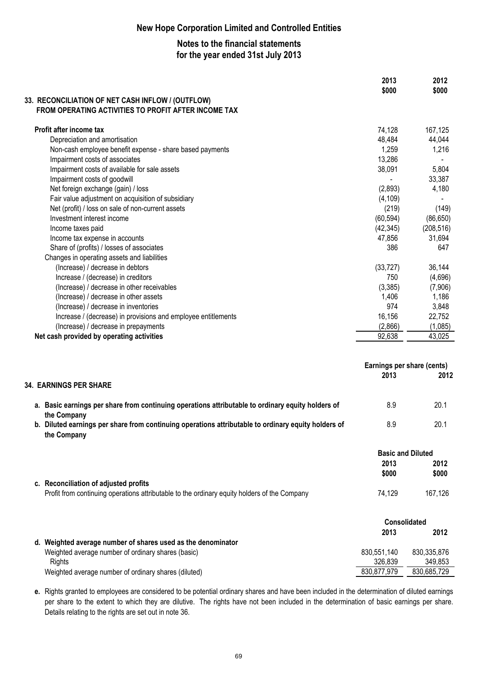### **Notes to the financial statements for the year ended 31st July 2013**

|                                                               | 2013<br>\$000              | 2012<br>\$000 |
|---------------------------------------------------------------|----------------------------|---------------|
| 33. RECONCILIATION OF NET CASH INFLOW / (OUTFLOW)             |                            |               |
| FROM OPERATING ACTIVITIES TO PROFIT AFTER INCOME TAX          |                            |               |
| Profit after income tax                                       | 74,128                     | 167,125       |
| Depreciation and amortisation                                 | 48,484                     | 44,044        |
| Non-cash employee benefit expense - share based payments      | 1,259                      | 1,216         |
| Impairment costs of associates                                | 13,286                     |               |
| Impairment costs of available for sale assets                 | 38,091                     | 5,804         |
| Impairment costs of goodwill                                  |                            | 33,387        |
| Net foreign exchange (gain) / loss                            | (2,893)                    | 4,180         |
| Fair value adjustment on acquisition of subsidiary            | (4, 109)                   |               |
| Net (profit) / loss on sale of non-current assets             | (219)                      | (149)         |
| Investment interest income                                    | (60, 594)                  | (86, 650)     |
| Income taxes paid                                             | (42, 345)                  | (208, 516)    |
| Income tax expense in accounts                                | 47,856                     | 31,694        |
| Share of (profits) / losses of associates                     | 386                        | 647           |
| Changes in operating assets and liabilities                   |                            |               |
| (Increase) / decrease in debtors                              | (33, 727)                  | 36,144        |
| Increase / (decrease) in creditors                            | 750                        | (4,696)       |
| (Increase) / decrease in other receivables                    | (3,385)                    | (7,906)       |
| (Increase) / decrease in other assets                         | 1,406                      | 1,186         |
| (Increase) / decrease in inventories                          | 974                        | 3,848         |
| Increase / (decrease) in provisions and employee entitlements | 16,156                     | 22,752        |
| (Increase) / decrease in prepayments                          | (2,866)                    | (1,085)       |
| Net cash provided by operating activities                     | 92,638                     | 43,025        |
|                                                               | Earnings per share (cents) |               |

|                                                                                                                    | Editional per strate (cents) |             |
|--------------------------------------------------------------------------------------------------------------------|------------------------------|-------------|
|                                                                                                                    | 2013                         | 2012        |
| <b>34. EARNINGS PER SHARE</b>                                                                                      |                              |             |
| a. Basic earnings per share from continuing operations attributable to ordinary equity holders of<br>the Company   | 8.9                          | 20.1        |
| b. Diluted earnings per share from continuing operations attributable to ordinary equity holders of<br>the Company | 8.9                          | 20.1        |
|                                                                                                                    | <b>Basic and Diluted</b>     |             |
|                                                                                                                    | 2013                         | 2012        |
|                                                                                                                    | \$000                        | \$000       |
| c. Reconciliation of adjusted profits                                                                              |                              |             |
| Profit from continuing operations attributable to the ordinary equity holders of the Company                       | 74,129                       | 167,126     |
|                                                                                                                    | <b>Consolidated</b>          |             |
|                                                                                                                    | 2013                         | 2012        |
| d. Weighted average number of shares used as the denominator                                                       |                              |             |
| Weighted average number of ordinary shares (basic)                                                                 | 830,551,140                  | 830,335,876 |
| Rights                                                                                                             | 326,839                      | 349,853     |
| Weighted average number of ordinary shares (diluted)                                                               | 830,877,979                  | 830,685,729 |
|                                                                                                                    |                              |             |

**e.** Rights granted to employees are considered to be potential ordinary shares and have been included in the determination of diluted earnings per share to the extent to which they are dilutive. The rights have not been included in the determination of basic earnings per share. Details relating to the rights are set out in note 36.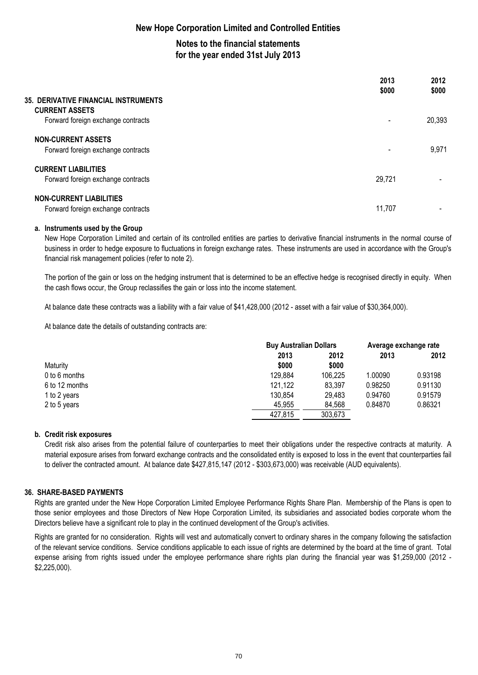### **Notes to the financial statements for the year ended 31st July 2013**

|                                                                      | 2013<br>\$000            | 2012<br>\$000            |
|----------------------------------------------------------------------|--------------------------|--------------------------|
| <b>35. DERIVATIVE FINANCIAL INSTRUMENTS</b><br><b>CURRENT ASSETS</b> |                          |                          |
| Forward foreign exchange contracts                                   | $\overline{\phantom{a}}$ | 20,393                   |
| <b>NON-CURRENT ASSETS</b><br>Forward foreign exchange contracts      | $\overline{\phantom{0}}$ | 9,971                    |
| <b>CURRENT LIABILITIES</b><br>Forward foreign exchange contracts     | 29,721                   | $\overline{\phantom{a}}$ |
| <b>NON-CURRENT LIABILITIES</b><br>Forward foreign exchange contracts | 11.707                   |                          |

#### **a. Instruments used by the Group**

New Hope Corporation Limited and certain of its controlled entities are parties to derivative financial instruments in the normal course of business in order to hedge exposure to fluctuations in foreign exchange rates. These instruments are used in accordance with the Group's financial risk management policies (refer to note 2).

The portion of the gain or loss on the hedging instrument that is determined to be an effective hedge is recognised directly in equity. When the cash flows occur, the Group reclassifies the gain or loss into the income statement.

At balance date these contracts was a liability with a fair value of \$41,428,000 (2012 - asset with a fair value of \$30,364,000).

At balance date the details of outstanding contracts are:

|                 |         | <b>Buy Australian Dollars</b> |         | Average exchange rate |  |
|-----------------|---------|-------------------------------|---------|-----------------------|--|
|                 | 2013    | 2012                          | 2013    | 2012                  |  |
| Maturity        | \$000   | \$000                         |         |                       |  |
| $0$ to 6 months | 129,884 | 106,225                       | 1.00090 | 0.93198               |  |
| 6 to 12 months  | 121,122 | 83.397                        | 0.98250 | 0.91130               |  |
| 1 to 2 years    | 130,854 | 29.483                        | 0.94760 | 0.91579               |  |
| 2 to 5 years    | 45.955  | 84,568                        | 0.84870 | 0.86321               |  |
|                 | 427.815 | 303,673                       |         |                       |  |

#### **b. Credit risk exposures**

Credit risk also arises from the potential failure of counterparties to meet their obligations under the respective contracts at maturity. A material exposure arises from forward exchange contracts and the consolidated entity is exposed to loss in the event that counterparties fail to deliver the contracted amount. At balance date \$427,815,147 (2012 - \$303,673,000) was receivable (AUD equivalents).

#### **36. SHARE-BASED PAYMENTS**

Rights are granted under the New Hope Corporation Limited Employee Performance Rights Share Plan. Membership of the Plans is open to those senior employees and those Directors of New Hope Corporation Limited, its subsidiaries and associated bodies corporate whom the Directors believe have a significant role to play in the continued development of the Group's activities.

Rights are granted for no consideration. Rights will vest and automatically convert to ordinary shares in the company following the satisfaction of the relevant service conditions. Service conditions applicable to each issue of rights are determined by the board at the time of grant. Total expense arising from rights issued under the employee performance share rights plan during the financial year was \$1,259,000 (2012 -\$2,225,000).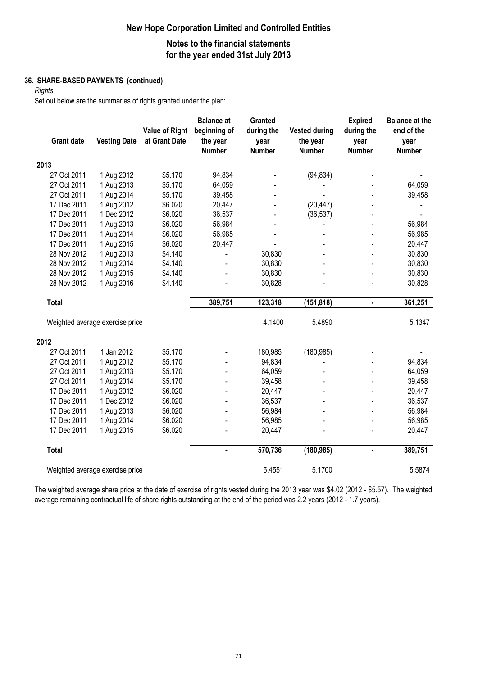# **New Hope Corporation Limited and Controlled Entities Notes to the financial statements for the year ended 31st July 2013**

#### **36. SHARE-BASED PAYMENTS (continued)**

*Rights*

Set out below are the summaries of rights granted under the plan:

| <b>Grant date</b> | <b>Vesting Date</b>             | <b>Value of Right</b><br>at Grant Date | <b>Balance at</b><br>beginning of<br>the year<br><b>Number</b> | Granted<br>during the<br>year<br><b>Number</b> | <b>Vested during</b><br>the year<br><b>Number</b> | <b>Expired</b><br>during the<br>year<br><b>Number</b> | <b>Balance at the</b><br>end of the<br>year<br><b>Number</b> |
|-------------------|---------------------------------|----------------------------------------|----------------------------------------------------------------|------------------------------------------------|---------------------------------------------------|-------------------------------------------------------|--------------------------------------------------------------|
| 2013              |                                 |                                        |                                                                |                                                |                                                   |                                                       |                                                              |
| 27 Oct 2011       | 1 Aug 2012                      | \$5.170                                | 94,834                                                         |                                                | (94, 834)                                         |                                                       |                                                              |
| 27 Oct 2011       | 1 Aug 2013                      | \$5.170                                | 64,059                                                         |                                                |                                                   |                                                       | 64,059                                                       |
| 27 Oct 2011       | 1 Aug 2014                      | \$5.170                                | 39,458                                                         |                                                |                                                   |                                                       | 39,458                                                       |
| 17 Dec 2011       | 1 Aug 2012                      | \$6.020                                | 20,447                                                         |                                                | (20, 447)                                         |                                                       |                                                              |
| 17 Dec 2011       | 1 Dec 2012                      | \$6.020                                | 36,537                                                         |                                                | (36, 537)                                         |                                                       |                                                              |
| 17 Dec 2011       | 1 Aug 2013                      | \$6.020                                | 56,984                                                         |                                                |                                                   |                                                       | 56,984                                                       |
| 17 Dec 2011       | 1 Aug 2014                      | \$6.020                                | 56,985                                                         |                                                |                                                   |                                                       | 56,985                                                       |
| 17 Dec 2011       | 1 Aug 2015                      | \$6.020                                | 20,447                                                         |                                                |                                                   |                                                       | 20,447                                                       |
| 28 Nov 2012       | 1 Aug 2013                      | \$4.140                                |                                                                | 30,830                                         |                                                   |                                                       | 30,830                                                       |
| 28 Nov 2012       | 1 Aug 2014                      | \$4.140                                |                                                                | 30,830                                         |                                                   |                                                       | 30,830                                                       |
| 28 Nov 2012       | 1 Aug 2015                      | \$4.140                                |                                                                | 30,830                                         |                                                   |                                                       | 30,830                                                       |
| 28 Nov 2012       | 1 Aug 2016                      | \$4.140                                |                                                                | 30,828                                         |                                                   |                                                       | 30,828                                                       |
| <b>Total</b>      |                                 |                                        | 389,751                                                        | 123,318                                        | (151, 818)                                        | ۰                                                     | 361,251                                                      |
|                   | Weighted average exercise price |                                        |                                                                | 4.1400                                         | 5.4890                                            |                                                       | 5.1347                                                       |
| 2012              |                                 |                                        |                                                                |                                                |                                                   |                                                       |                                                              |
| 27 Oct 2011       | 1 Jan 2012                      | \$5.170                                |                                                                | 180,985                                        | (180, 985)                                        |                                                       |                                                              |
| 27 Oct 2011       | 1 Aug 2012                      | \$5.170                                |                                                                | 94,834                                         |                                                   |                                                       | 94,834                                                       |
| 27 Oct 2011       | 1 Aug 2013                      | \$5.170                                |                                                                | 64,059                                         |                                                   |                                                       | 64,059                                                       |
| 27 Oct 2011       | 1 Aug 2014                      | \$5.170                                |                                                                | 39,458                                         |                                                   |                                                       | 39,458                                                       |
| 17 Dec 2011       | 1 Aug 2012                      | \$6.020                                |                                                                | 20,447                                         |                                                   | $\overline{\phantom{a}}$                              | 20,447                                                       |
| 17 Dec 2011       | 1 Dec 2012                      | \$6.020                                |                                                                | 36,537                                         |                                                   |                                                       | 36,537                                                       |
| 17 Dec 2011       | 1 Aug 2013                      | \$6.020                                |                                                                | 56,984                                         |                                                   |                                                       | 56,984                                                       |
| 17 Dec 2011       | 1 Aug 2014                      | \$6.020                                |                                                                | 56,985                                         |                                                   |                                                       | 56,985                                                       |
| 17 Dec 2011       | 1 Aug 2015                      | \$6.020                                |                                                                | 20,447                                         |                                                   |                                                       | 20,447                                                       |
| <b>Total</b>      |                                 |                                        | $\blacksquare$                                                 | 570,736                                        | (180, 985)                                        | $\blacksquare$                                        | 389,751                                                      |
|                   | Weighted average exercise price |                                        |                                                                | 5.4551                                         | 5.1700                                            |                                                       | 5.5874                                                       |

The weighted average share price at the date of exercise of rights vested during the 2013 year was \$4.02 (2012 - \$5.57). The weighted average remaining contractual life of share rights outstanding at the end of the period was 2.2 years (2012 - 1.7 years).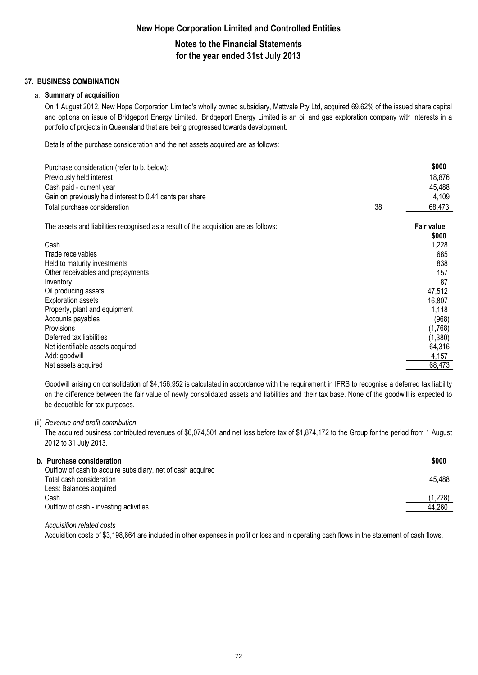### **Notes to the Financial Statements for the year ended 31st July 2013**

#### **37. BUSINESS COMBINATION**

#### a. **Summary of acquisition**

On 1 August 2012, New Hope Corporation Limited's wholly owned subsidiary, Mattvale Pty Ltd, acquired 69.62% of the issued share capital and options on issue of Bridgeport Energy Limited. Bridgeport Energy Limited is an oil and gas exploration company with interests in a portfolio of projects in Queensland that are being progressed towards development.

Details of the purchase consideration and the net assets acquired are as follows:

| Purchase consideration (refer to b. below):<br>Previously held interest<br>Cash paid - current year<br>Gain on previously held interest to 0.41 cents per share |    | \$000<br>18,876<br>45,488<br>4,109 |
|-----------------------------------------------------------------------------------------------------------------------------------------------------------------|----|------------------------------------|
| Total purchase consideration                                                                                                                                    | 38 | 68,473                             |
| The assets and liabilities recognised as a result of the acquisition are as follows:                                                                            |    | <b>Fair value</b><br>\$000         |
| Cash                                                                                                                                                            |    | 1,228                              |
| Trade receivables                                                                                                                                               |    | 685                                |
| Held to maturity investments                                                                                                                                    |    | 838                                |
| Other receivables and prepayments                                                                                                                               |    | 157                                |
| Inventory                                                                                                                                                       |    | 87                                 |
| Oil producing assets                                                                                                                                            |    | 47,512                             |
| <b>Exploration assets</b>                                                                                                                                       |    | 16,807                             |
| Property, plant and equipment                                                                                                                                   |    | 1,118                              |
| Accounts payables                                                                                                                                               |    | (968)                              |
| Provisions                                                                                                                                                      |    | (1,768)                            |
| Deferred tax liabilities                                                                                                                                        |    | (1,380)                            |
| Net identifiable assets acquired                                                                                                                                |    | 64,316                             |
| Add: goodwill                                                                                                                                                   |    | 4,157                              |
| Net assets acquired                                                                                                                                             |    | 68,473                             |

Goodwill arising on consolidation of \$4,156,952 is calculated in accordance with the requirement in IFRS to recognise a deferred tax liability on the difference between the fair value of newly consolidated assets and liabilities and their tax base. None of the goodwill is expected to be deductible for tax purposes.

(ii) *Revenue and profit contribution* 

The acquired business contributed revenues of \$6,074,501 and net loss before tax of \$1,874,172 to the Group for the period from 1 August 2012 to 31 July 2013.

| b. Purchase consideration<br>Outflow of cash to acquire subsidiary, net of cash acquired | \$000   |
|------------------------------------------------------------------------------------------|---------|
| Total cash consideration                                                                 | 45,488  |
| Less: Balances acquired<br>Cash                                                          | (1,228) |
| Outflow of cash - investing activities                                                   | 44,260  |

*Acquisition related costs*

Acquisition costs of \$3,198,664 are included in other expenses in profit or loss and in operating cash flows in the statement of cash flows.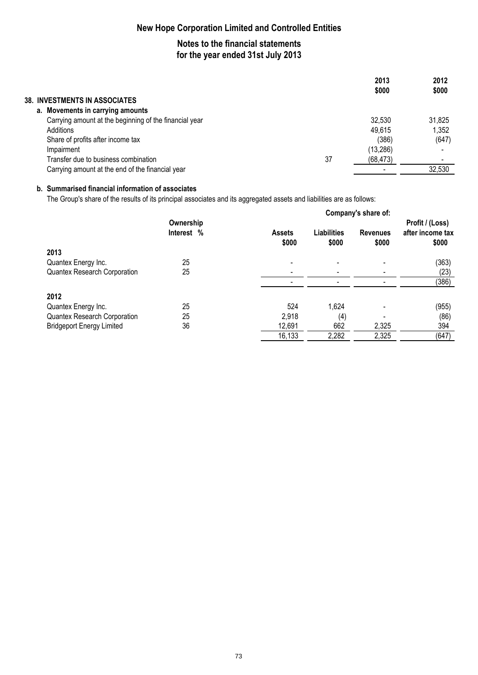### **Notes to the financial statements for the year ended 31st July 2013**

|                                                        | 2013<br>\$000 | 2012<br>\$000 |
|--------------------------------------------------------|---------------|---------------|
| <b>38. INVESTMENTS IN ASSOCIATES</b>                   |               |               |
| a. Movements in carrying amounts                       |               |               |
| Carrying amount at the beginning of the financial year | 32.530        | 31.825        |
| Additions                                              | 49,615        | 1,352         |
| Share of profits after income tax                      | (386)         | (647)         |
| Impairment                                             | (13, 286)     |               |
| 37<br>Transfer due to business combination             | (68, 473)     |               |
| Carrying amount at the end of the financial year       |               | 32,530        |

#### **b. Summarised financial information of associates**

The Group's share of the results of its principal associates and its aggregated assets and liabilities are as follows:

|                                  |            |                        |                      | Company's share of:      |                           |
|----------------------------------|------------|------------------------|----------------------|--------------------------|---------------------------|
|                                  | Ownership  |                        |                      |                          | Profit / (Loss)           |
|                                  | Interest % | <b>Assets</b><br>\$000 | Liabilities<br>\$000 | <b>Revenues</b><br>\$000 | after income tax<br>\$000 |
| 2013                             |            |                        |                      |                          |                           |
| Quantex Energy Inc.              | 25         |                        |                      |                          | (363)                     |
| Quantex Research Corporation     | 25         |                        |                      |                          | (23)                      |
|                                  |            |                        |                      |                          | (386)                     |
| 2012                             |            |                        |                      |                          |                           |
| Quantex Energy Inc.              | 25         | 524                    | 1,624                |                          | (955)                     |
| Quantex Research Corporation     | 25         | 2,918                  | (4)                  |                          | (86)                      |
| <b>Bridgeport Energy Limited</b> | 36         | 12,691                 | 662                  | 2,325                    | 394                       |
|                                  |            | 16,133                 | 2,282                | 2,325                    | (647)                     |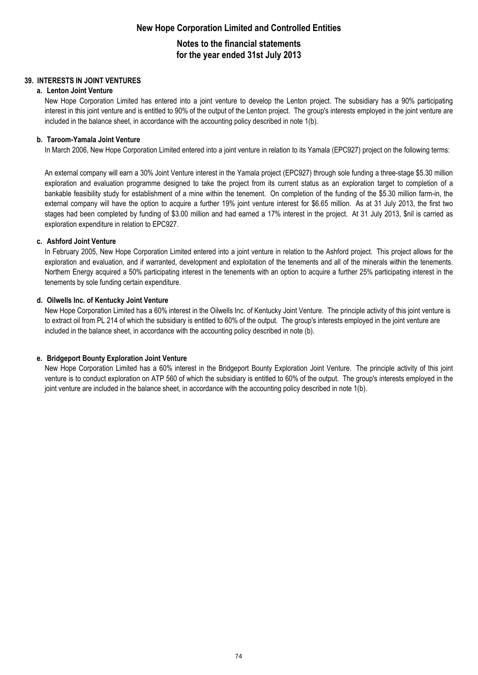### **Notes to the financial statements for the year ended 31st July 2013**

#### **39. INTERESTS IN JOINT VENTURES**

#### **a. Lenton Joint Venture**

New Hope Corporation Limited has entered into a joint venture to develop the Lenton project. The subsidiary has a 90% participating interest in this joint venture and is entitled to 90% of the output of the Lenton project. The group's interests employed in the joint venture are included in the balance sheet, in accordance with the accounting policy described in note 1(b).

#### **b. Taroom-Yamala Joint Venture**

In March 2006, New Hope Corporation Limited entered into a joint venture in relation to its Yamala (EPC927) project on the following terms:

An external company will earn a 30% Joint Venture interest in the Yamala project (EPC927) through sole funding a three-stage \$5.30 million exploration and evaluation programme designed to take the project from its current status as an exploration target to completion of a bankable feasibility study for establishment of a mine within the tenement. On completion of the funding of the \$5.30 million farm-in, the external company will have the option to acquire a further 19% joint venture interest for \$6.65 million. As at 31 July 2013, the first two stages had been completed by funding of \$3.00 million and had earned a 17% interest in the project. At 31 July 2013, \$nil is carried as exploration expenditure in relation to EPC927.

#### **c. Ashford Joint Venture**

In February 2005, New Hope Corporation Limited entered into a joint venture in relation to the Ashford project. This project allows for the exploration and evaluation, and if warranted, development and exploitation of the tenements and all of the minerals within the tenements. Northern Energy acquired a 50% participating interest in the tenements with an option to acquire a further 25% participating interest in the tenements by sole funding certain expenditure.

#### **d. Oilwells Inc. of Kentucky Joint Venture**

New Hope Corporation Limited has a 60% interest in the Oilwells Inc. of Kentucky Joint Venture. The principle activity of this joint venture is to extract oil from PL 214 of which the subsidiary is entitled to 60% of the output. The group's interests employed in the joint venture are included in the balance sheet, in accordance with the accounting policy described in note (b).

#### **e. Bridgeport Bounty Exploration Joint Venture**

New Hope Corporation Limited has a 60% interest in the Bridgeport Bounty Exploration Joint Venture. The principle activity of this joint venture is to conduct exploration on ATP 560 of which the subsidiary is entitled to 60% of the output. The group's interests employed in the joint venture are included in the balance sheet, in accordance with the accounting policy described in note 1(b).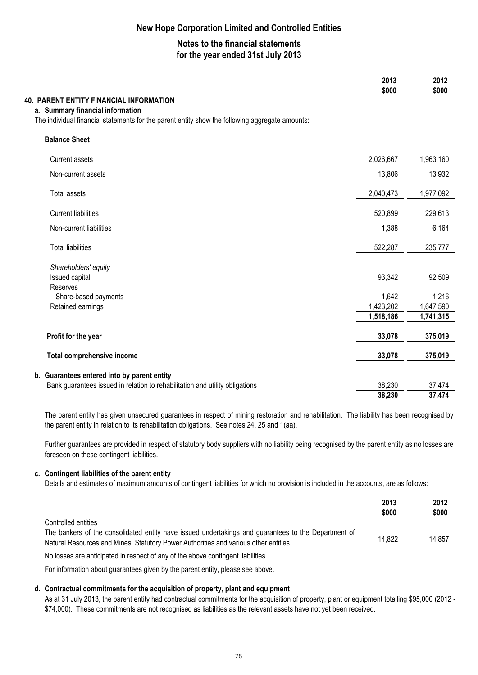### **Notes to the financial statements for the year ended 31st July 2013**

|                                                                                                 | 2013<br>\$000    | 2012<br>\$000    |
|-------------------------------------------------------------------------------------------------|------------------|------------------|
| <b>40. PARENT ENTITY FINANCIAL INFORMATION</b>                                                  |                  |                  |
| a. Summary financial information                                                                |                  |                  |
| The individual financial statements for the parent entity show the following aggregate amounts: |                  |                  |
| <b>Balance Sheet</b>                                                                            |                  |                  |
| <b>Current assets</b>                                                                           | 2,026,667        | 1,963,160        |
| Non-current assets                                                                              | 13,806           | 13,932           |
| <b>Total assets</b>                                                                             | 2,040,473        | 1,977,092        |
| <b>Current liabilities</b>                                                                      | 520,899          | 229,613          |
| Non-current liabilities                                                                         | 1,388            | 6,164            |
| <b>Total liabilities</b>                                                                        | 522,287          | 235,777          |
| Shareholders' equity                                                                            |                  |                  |
| Issued capital                                                                                  | 93,342           | 92,509           |
| Reserves                                                                                        |                  |                  |
| Share-based payments                                                                            | 1,642            | 1,216            |
| Retained earnings                                                                               | 1,423,202        | 1,647,590        |
|                                                                                                 | 1,518,186        | 1,741,315        |
| Profit for the year                                                                             | 33,078           | 375,019          |
| <b>Total comprehensive income</b>                                                               | 33,078           | 375,019          |
|                                                                                                 |                  |                  |
| b. Guarantees entered into by parent entity                                                     |                  |                  |
| Bank guarantees issued in relation to rehabilitation and utility obligations                    | 38,230<br>38,230 | 37,474<br>37,474 |
|                                                                                                 |                  |                  |

The parent entity has given unsecured guarantees in respect of mining restoration and rehabilitation. The liability has been recognised by the parent entity in relation to its rehabilitation obligations. See notes 24, 25 and 1(aa).

Further guarantees are provided in respect of statutory body suppliers with no liability being recognised by the parent entity as no losses are foreseen on these contingent liabilities.

#### **c. Contingent liabilities of the parent entity**

Details and estimates of maximum amounts of contingent liabilities for which no provision is included in the accounts, are as follows:

|                                                                                                                            | 2013<br>\$000 | 2012<br>\$000 |
|----------------------------------------------------------------------------------------------------------------------------|---------------|---------------|
| Controlled entities<br>The bankers of the consolidated entity have issued undertakings and guarantees to the Department of |               |               |
| Natural Resources and Mines, Statutory Power Authorities and various other entities.                                       | 14.822        | 14.857        |
| No losses are anticipated in respect of any of the above continuent liabilities                                            |               |               |

No losses are anticipated in respect of any of the above contingent liabilities.

For information about guarantees given by the parent entity, please see above.

#### **d. Contractual commitments for the acquisition of property, plant and equipment**

As at 31 July 2013, the parent entity had contractual commitments for the acquisition of property, plant or equipment totalling \$95,000 (2012 -\$74,000). These commitments are not recognised as liabilities as the relevant assets have not yet been received.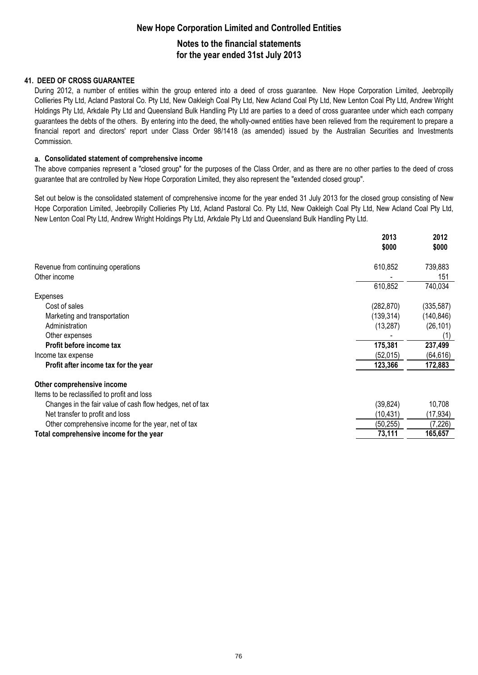# **New Hope Corporation Limited and Controlled Entities Notes to the financial statements**

### **for the year ended 31st July 2013**

#### **41. DEED OF CROSS GUARANTEE**

During 2012, a number of entities within the group entered into a deed of cross guarantee. New Hope Corporation Limited, Jeebropilly Collieries Pty Ltd, Acland Pastoral Co. Pty Ltd, New Oakleigh Coal Pty Ltd, New Acland Coal Pty Ltd, New Lenton Coal Pty Ltd, Andrew Wright Holdings Pty Ltd, Arkdale Pty Ltd and Queensland Bulk Handling Pty Ltd are parties to a deed of cross guarantee under which each company guarantees the debts of the others. By entering into the deed, the wholly-owned entities have been relieved from the requirement to prepare a financial report and directors' report under Class Order 98/1418 (as amended) issued by the Australian Securities and Investments Commission.

#### **a. Consolidated statement of comprehensive income**

The above companies represent a "closed group" for the purposes of the Class Order, and as there are no other parties to the deed of cross guarantee that are controlled by New Hope Corporation Limited, they also represent the "extended closed group".

Set out below is the consolidated statement of comprehensive income for the year ended 31 July 2013 for the closed group consisting of New Hope Corporation Limited, Jeebropilly Collieries Pty Ltd, Acland Pastoral Co. Pty Ltd, New Oakleigh Coal Pty Ltd, New Acland Coal Pty Ltd, New Lenton Coal Pty Ltd, Andrew Wright Holdings Pty Ltd, Arkdale Pty Ltd and Queensland Bulk Handling Pty Ltd.

|                                                           | 2013<br>\$000 | 2012<br>\$000 |
|-----------------------------------------------------------|---------------|---------------|
| Revenue from continuing operations                        | 610,852       | 739,883       |
| Other income                                              |               | 151           |
|                                                           | 610,852       | 740,034       |
| Expenses                                                  |               |               |
| Cost of sales                                             | (282, 870)    | (335, 587)    |
| Marketing and transportation                              | (139, 314)    | (140,846)     |
| Administration                                            | (13, 287)     | (26, 101)     |
| Other expenses                                            |               | (1)           |
| Profit before income tax                                  | 175,381       | 237,499       |
| Income tax expense                                        | (52, 015)     | (64, 616)     |
| Profit after income tax for the year                      | 123,366       | 172,883       |
| Other comprehensive income                                |               |               |
| Items to be reclassified to profit and loss               |               |               |
| Changes in the fair value of cash flow hedges, net of tax | (39, 824)     | 10,708        |
| Net transfer to profit and loss                           | (10,431)      | (17,934)      |
| Other comprehensive income for the year, net of tax       | (50, 255)     | (7, 226)      |
| Total comprehensive income for the year                   | 73,111        | 165,657       |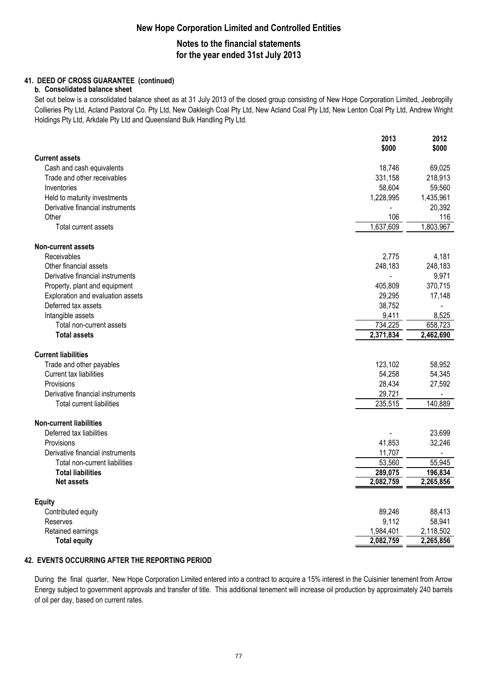### **Notes to the financial statements for the year ended 31st July 2013**

### **41. DEED OF CROSS GUARANTEE (continued)**

#### **b. Consolidated balance sheet**

Set out below is a consolidated balance sheet as at 31 July 2013 of the closed group consisting of New Hope Corporation Limited, Jeebropilly Collieries Pty Ltd, Acland Pastoral Co. Pty Ltd, New Oakleigh Coal Pty Ltd, New Acland Coal Pty Ltd, New Lenton Coal Pty Ltd, Andrew Wright Holdings Pty Ltd, Arkdale Pty Ltd and Queensland Bulk Handling Pty Ltd.

|                                   | 2013<br>\$000 | 2012<br>\$000 |
|-----------------------------------|---------------|---------------|
| <b>Current assets</b>             |               |               |
| Cash and cash equivalents         | 18,746        | 69,025        |
| Trade and other receivables       | 331,158       | 218,913       |
| Inventories                       | 58,604        | 59,560        |
| Held to maturity investments      | 1,228,995     | 1,435,961     |
| Derivative financial instruments  |               | 20,392        |
| Other                             | 106           | 116           |
| Total current assets              | 1,637,609     | 1,803,967     |
| <b>Non-current assets</b>         |               |               |
| Receivables                       | 2,775         | 4,181         |
| Other financial assets            | 248,183       | 248,183       |
| Derivative financial instruments  |               | 9,971         |
| Property, plant and equipment     | 405,809       | 370,715       |
| Exploration and evaluation assets | 29,295        | 17,148        |
| Deferred tax assets               | 38,752        |               |
| Intangible assets                 | 9,411         | 8,525         |
| Total non-current assets          | 734,225       | 658,723       |
| <b>Total assets</b>               | 2,371,834     | 2,462,690     |
| <b>Current liabilities</b>        |               |               |
| Trade and other payables          | 123,102       | 58,952        |
| Current tax liabilities           | 54,258        | 54,345        |
| Provisions                        | 28,434        | 27,592        |
| Derivative financial instruments  | 29,721        |               |
| <b>Total current liabilities</b>  | 235,515       | 140,889       |
| <b>Non-current liabilities</b>    |               |               |
| Deferred tax liabilities          |               | 23,699        |
| Provisions                        | 41,853        | 32,246        |
| Derivative financial instruments  | 11,707        |               |
| Total non-current liabilities     | 53,560        | 55,945        |
| <b>Total liabilities</b>          | 289,075       | 196,834       |
| <b>Net assets</b>                 | 2,082,759     | 2,265,856     |
| <b>Equity</b>                     |               |               |
| Contributed equity                | 89,246        | 88,413        |
| Reserves                          | 9,112         | 58,941        |
| Retained earnings                 |               |               |
|                                   | 1,984,401     | 2,118,502     |

#### **42. EVENTS OCCURRING AFTER THE REPORTING PERIOD**

During the final quarter, New Hope Corporation Limited entered into a contract to acquire a 15% interest in the Cuisinier tenement from Arrow Energy subject to government approvals and transfer of title. This additional tenement will increase oil production by approximately 240 barrels of oil per day, based on current rates.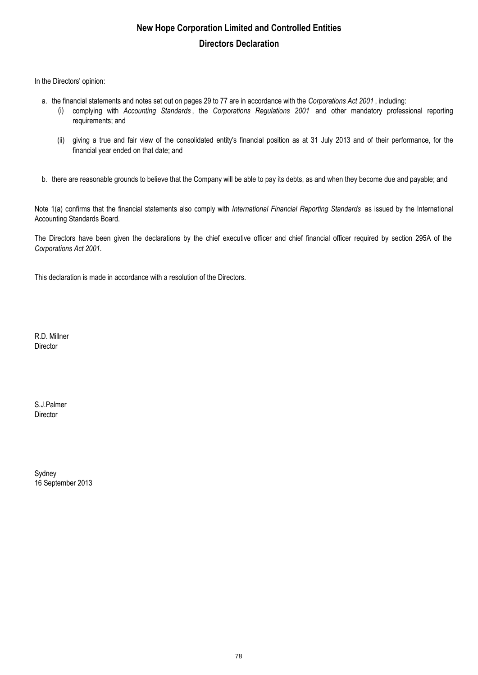# **New Hope Corporation Limited and Controlled Entities Directors Declaration**

In the Directors' opinion:

- a. the financial statements and notes set out on pages 29 to 77 are in accordance with the *Corporations Act 2001* , including:
	- (i) complying with *Accounting Standards* , the *Corporations Regulations 2001* and other mandatory professional reporting requirements; and
		- (ii) giving a true and fair view of the consolidated entity's financial position as at 31 July 2013 and of their performance, for the financial year ended on that date; and
- b. there are reasonable grounds to believe that the Company will be able to pay its debts, as and when they become due and payable; and

Note 1(a) confirms that the financial statements also comply with *International Financial Reporting Standards* as issued by the International Accounting Standards Board.

The Directors have been given the declarations by the chief executive officer and chief financial officer required by section 295A of the *Corporations Act 2001.*

This declaration is made in accordance with a resolution of the Directors.

R.D. Millner Director

S.J.Palmer **Director** 

Sydney 16 September 2013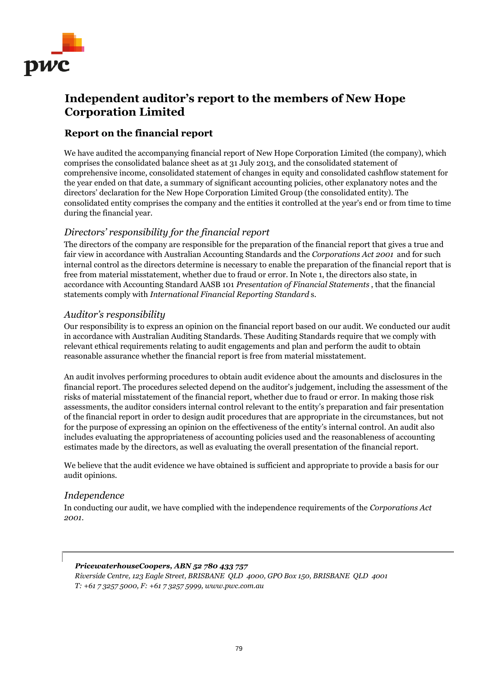

# **Independent auditor's report to the members of New Hope Corporation Limited**

### **Report on the financial report**

We have audited the accompanying financial report of New Hope Corporation Limited (the company), which comprises the consolidated balance sheet as at 31 July 2013, and the consolidated statement of comprehensive income, consolidated statement of changes in equity and consolidated cashflow statement for the year ended on that date, a summary of significant accounting policies, other explanatory notes and the directors' declaration for the New Hope Corporation Limited Group (the consolidated entity). The consolidated entity comprises the company and the entities it controlled at the year's end or from time to time during the financial year.

### *Directors' responsibility for the financial report*

The directors of the company are responsible for the preparation of the financial report that gives a true and fair view in accordance with Australian Accounting Standards and the *Corporations Act 2001* and for such internal control as the directors determine is necessary to enable the preparation of the financial report that is free from material misstatement, whether due to fraud or error. In Note 1, the directors also state, in accordance with Accounting Standard AASB 101 *Presentation of Financial Statements* , that the financial statements comply with *International Financial Reporting Standard* s*.*

### *Auditor's responsibility*

Our responsibility is to express an opinion on the financial report based on our audit. We conducted our audit in accordance with Australian Auditing Standards. These Auditing Standards require that we comply with relevant ethical requirements relating to audit engagements and plan and perform the audit to obtain reasonable assurance whether the financial report is free from material misstatement.

An audit involves performing procedures to obtain audit evidence about the amounts and disclosures in the financial report. The procedures selected depend on the auditor's judgement, including the assessment of the risks of material misstatement of the financial report, whether due to fraud or error. In making those risk assessments, the auditor considers internal control relevant to the entity's preparation and fair presentation of the financial report in order to design audit procedures that are appropriate in the circumstances, but not for the purpose of expressing an opinion on the effectiveness of the entity's internal control. An audit also includes evaluating the appropriateness of accounting policies used and the reasonableness of accounting estimates made by the directors, as well as evaluating the overall presentation of the financial report.

We believe that the audit evidence we have obtained is sufficient and appropriate to provide a basis for our audit opinions.

### *Independence*

In conducting our audit, we have complied with the independence requirements of the *Corporations Act 2001.* 

#### *PricewaterhouseCoopers, ABN 52 780 433 757*

*Riverside Centre, 123 Eagle Street, BRISBANE QLD 4000, GPO Box 150, BRISBANE QLD 4001 T: +61 7 3257 5000, F: +61 7 3257 5999, www.pwc.com.au*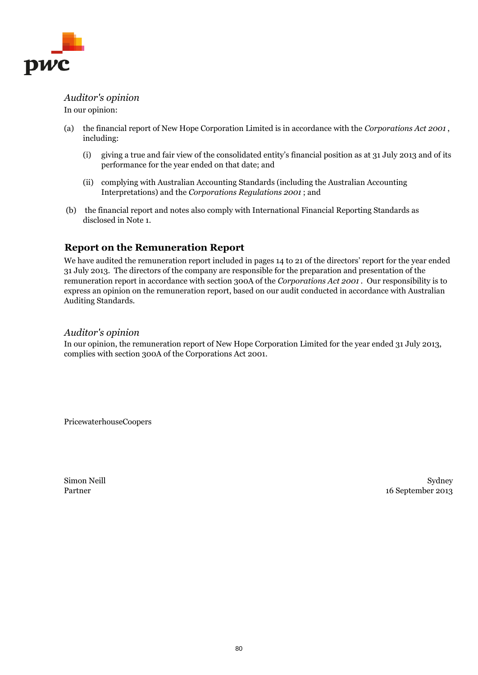

*Auditor's opinion* In our opinion:

- (a) the financial report of New Hope Corporation Limited is in accordance with the *Corporations Act 2001* , including:
	- (i) giving a true and fair view of the consolidated entity's financial position as at 31 July 2013 and of its performance for the year ended on that date; and
	- (ii) complying with Australian Accounting Standards (including the Australian Accounting Interpretations) and the *Corporations Regulations 2001* ; and
- (b) the financial report and notes also comply with International Financial Reporting Standards as disclosed in Note 1.

### **Report on the Remuneration Report**

We have audited the remuneration report included in pages 14 to 21 of the directors' report for the year ended 31 July 2013. The directors of the company are responsible for the preparation and presentation of the remuneration report in accordance with section 300A of the *Corporations Act 2001* . Our responsibility is to express an opinion on the remuneration report, based on our audit conducted in accordance with Australian Auditing Standards.

#### *Auditor's opinion*

In our opinion, the remuneration report of New Hope Corporation Limited for the year ended 31 July 2013, complies with section 300A of the Corporations Act 2001.

PricewaterhouseCoopers

Simon Neill Partner

Sydney 16 September 2013